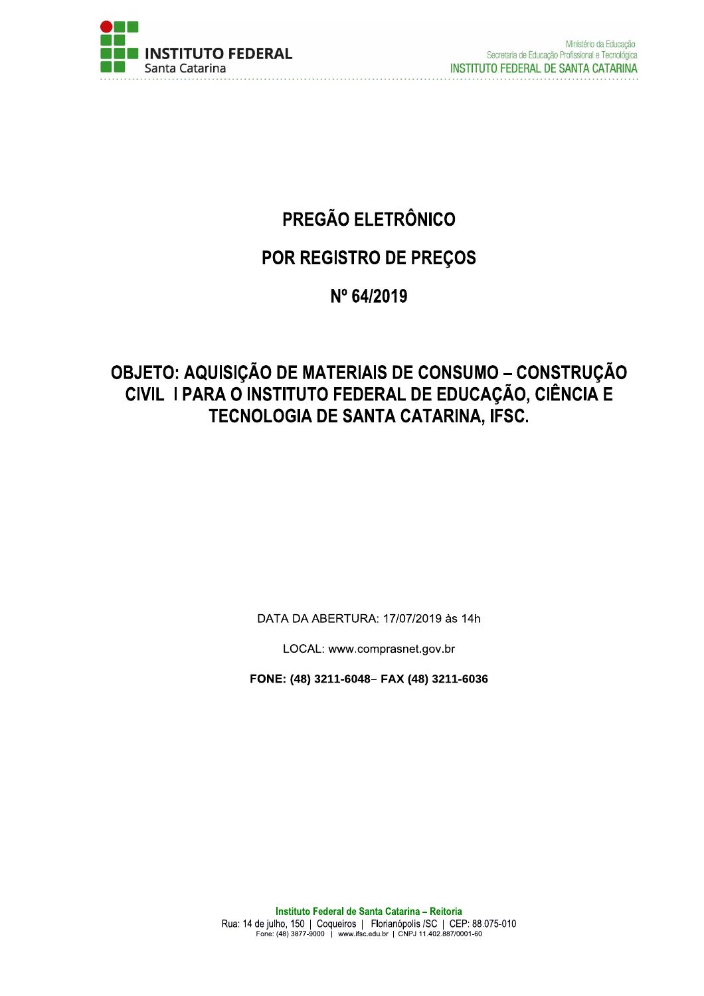

# PREGÃO ELETRÔNICO

# POR REGISTRO DE PREÇOS

# Nº 64/2019

# **OBJETO: AQUISIÇÃO DE MATERIAIS DE CONSUMO - CONSTRUÇÃO<br>CIVIL I PARA O INSTITUTO FEDERAL DE EDUCAÇÃO, CIÊNCIA E** TECNOLOGIA DE SANTA CATARINA, IFSC.

DATA DA ABERTURA: 17/07/2019 às 14h

LOCAL: www.comprasnet.gov.br

FONE: (48) 3211-6048- FAX (48) 3211-6036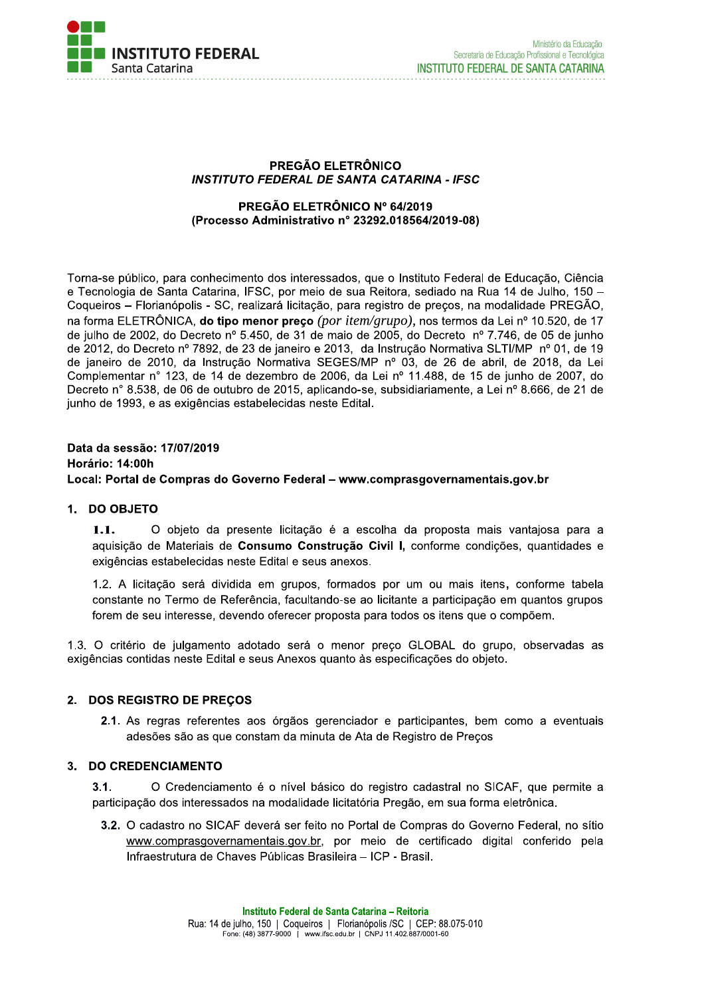

#### PREGÃO ELETRÔNICO **INSTITUTO FEDERAL DE SANTA CATARINA - IFSC**

#### PREGÃO ELETRÔNICO Nº 64/2019 (Processo Administrativo nº 23292.018564/2019-08)

Torna-se público, para conhecimento dos interessados, que o Instituto Federal de Educação, Ciência e Tecnologia de Santa Catarina, IFSC, por meio de sua Reitora, sediado na Rua 14 de Julho, 150 -Coqueiros - Florianópolis - SC, realizará licitação, para registro de preços, na modalidade PREGÃO, na forma ELETRÔNICA, do tipo menor preço (por item/grupo), nos termos da Lei nº 10.520, de 17 de julho de 2002, do Decreto nº 5.450, de 31 de maio de 2005, do Decreto nº 7.746, de 05 de junho de 2012, do Decreto nº 7892, de 23 de janeiro e 2013, da Instrução Normativa SLTI/MP nº 01, de 19 de ianeiro de 2010, da Instrução Normativa SEGES/MP nº 03, de 26 de abril, de 2018, da Lei Complementar n° 123, de 14 de dezembro de 2006, da Lei nº 11.488, de 15 de junho de 2007, do Decreto n° 8.538, de 06 de outubro de 2015, aplicando-se, subsidiariamente, a Lei nº 8.666, de 21 de junho de 1993, e as exigências estabelecidas neste Edital.

### Data da sessão: 17/07/2019 Horário: 14:00h Local: Portal de Compras do Governo Federal - www.comprasgovernamentais.gov.br

### 1. DO OBJETO

O objeto da presente licitação é a escolha da proposta mais vantajosa para a  $1.1.$ aquisição de Materiais de Consumo Construção Civil I, conforme condições, quantidades e exigências estabelecidas neste Edital e seus anexos.

1.2. A licitação será dividida em grupos, formados por um ou mais itens, conforme tabela constante no Termo de Referência, facultando-se ao licitante a participação em quantos grupos forem de seu interesse, devendo oferecer proposta para todos os itens que o compõem.

1.3. O critério de julgamento adotado será o menor preco GLOBAL do grupo, observadas as exigências contidas neste Edital e seus Anexos quanto às especificações do objeto.

### 2. DOS REGISTRO DE PRECOS

2.1. As regras referentes aos órgãos gerenciador e participantes, bem como a eventuais adesões são as que constam da minuta de Ata de Registro de Preços

### 3. DO CREDENCIAMENTO

 $3.1.$ O Credenciamento é o nível básico do registro cadastral no SICAF, que permite a participação dos interessados na modalidade licitatória Pregão, em sua forma eletrônica.

3.2. O cadastro no SICAF deverá ser feito no Portal de Compras do Governo Federal, no sítio www.comprasgovernamentais.gov.br, por meio de certificado digital conferido pela Infraestrutura de Chaves Públicas Brasileira - ICP - Brasil.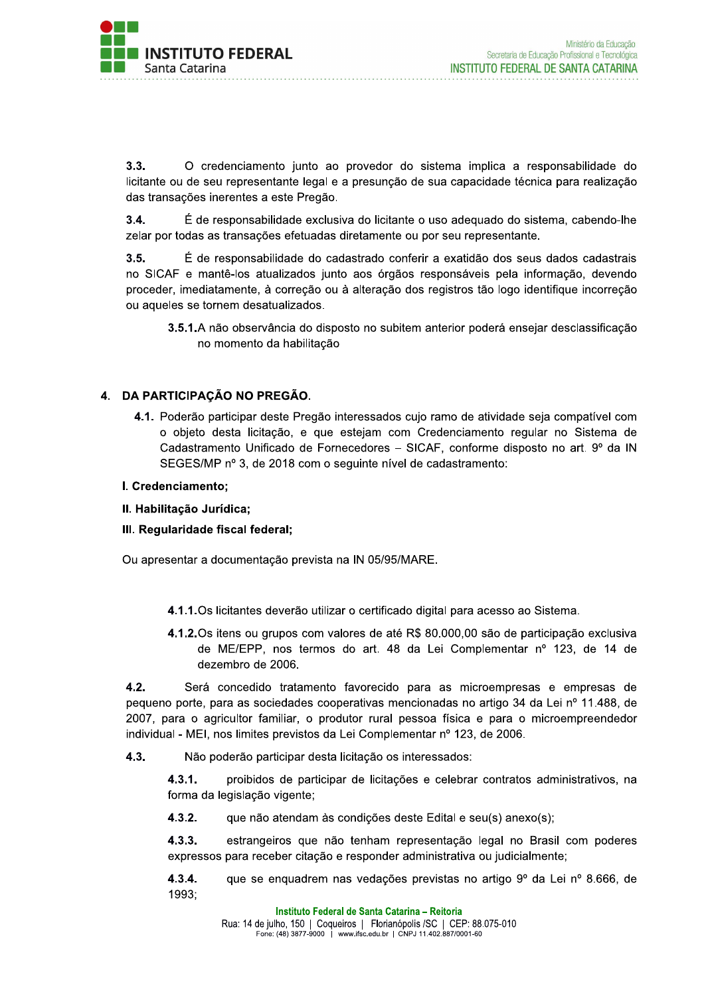

 $3.3.$ O credenciamento junto ao provedor do sistema implica a responsabilidade do licitante ou de seu representante legal e a presunção de sua capacidade técnica para realização das transações inerentes a este Pregão.

 $3.4.$ É de responsabilidade exclusiva do licitante o uso adequado do sistema, cabendo-lhe zelar por todas as transações efetuadas diretamente ou por seu representante.

 $3.5.$ É de responsabilidade do cadastrado conferir a exatidão dos seus dados cadastrais no SICAF e mantê-los atualizados junto aos órgãos responsáveis pela informação, devendo proceder, imediatamente, à correção ou à alteração dos registros tão logo identifique incorreção ou aqueles se tornem desatualizados.

3.5.1.A não observância do disposto no subitem anterior poderá ensejar desclassificação no momento da habilitação

### 4. DA PARTICIPAÇÃO NO PREGÃO.

4.1. Poderão participar deste Pregão interessados cujo ramo de atividade seja compatível com o objeto desta licitação, e que estejam com Credenciamento regular no Sistema de Cadastramento Unificado de Fornecedores - SICAF, conforme disposto no art. 9º da IN SEGES/MP nº 3, de 2018 com o seguinte nível de cadastramento:

#### I. Credenciamento;

II. Habilitação Jurídica;

### III. Regularidade fiscal federal;

Ou apresentar a documentação prevista na IN 05/95/MARE.

- 4.1.1. Os licitantes deverão utilizar o certificado digital para acesso ao Sistema.
- 4.1.2. Os itens ou grupos com valores de até R\$ 80.000,00 são de participação exclusiva de ME/EPP, nos termos do art. 48 da Lei Complementar nº 123, de 14 de dezembro de 2006.

 $4.2.$ Será concedido tratamento favorecido para as microempresas e empresas de pequeno porte, para as sociedades cooperativas mencionadas no artigo 34 da Lei nº 11.488, de 2007, para o agricultor familiar, o produtor rural pessoa física e para o microempreendedor individual - MEI, nos limites previstos da Lei Complementar nº 123, de 2006.

 $4.3.$ Não poderão participar desta licitação os interessados:

> $4.3.1.$ proibidos de participar de licitações e celebrar contratos administrativos, na forma da legislação vigente;

 $4.3.2.$ que não atendam às condições deste Edital e seu(s) anexo(s);

 $4.3.3.$ estrangeiros que não tenham representação legal no Brasil com poderes expressos para receber citação e responder administrativa ou judicialmente;

 $4.3.4.$ que se enquadrem nas vedações previstas no artigo 9º da Lei nº 8.666, de 1993;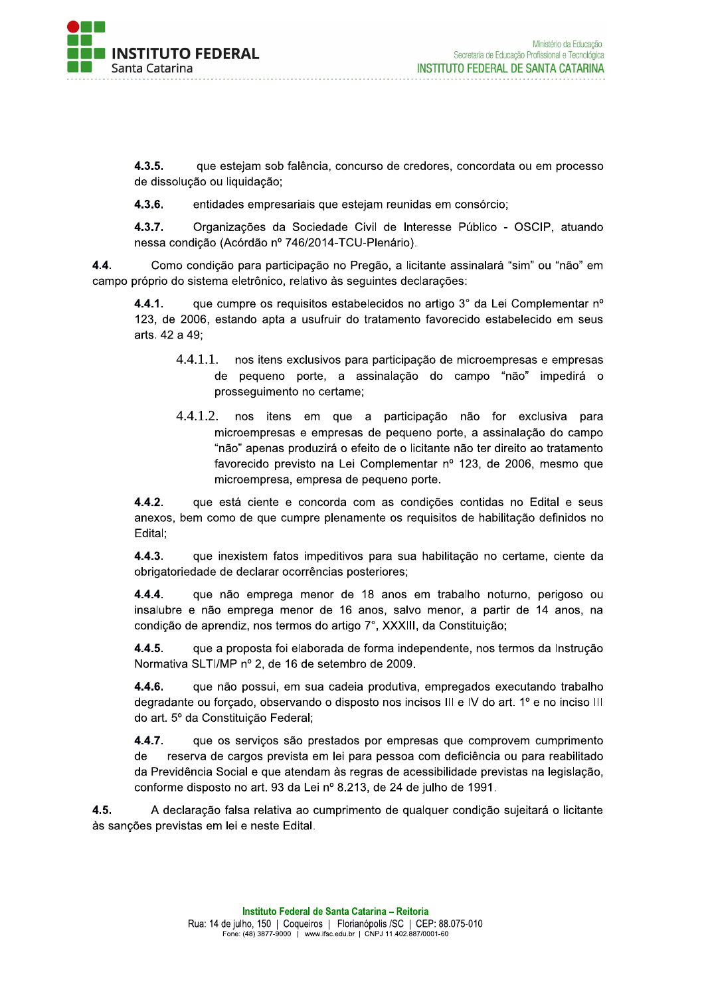

 $4.3.5.$ que estejam sob falência, concurso de credores, concordata ou em processo de dissolução ou liquidação;

 $4.3.6.$ entidades empresariais que estejam reunidas em consórcio;

 $4.3.7.$ Organizações da Sociedade Civil de Interesse Público - OSCIP, atuando nessa condição (Acórdão nº 746/2014-TCU-Plenário).

4.4. Como condição para participação no Pregão, a licitante assinalará "sim" ou "não" em campo próprio do sistema eletrônico, relativo às seguintes declarações:

 $4.4.1.$ que cumpre os requisitos estabelecidos no artigo 3° da Lei Complementar nº 123, de 2006, estando apta a usufruir do tratamento favorecido estabelecido em seus arts. 42 a 49:

- $4.4.1.1.$ nos itens exclusivos para participação de microempresas e empresas de pequeno porte, a assinalação do campo "não" impedirá o prosseguimento no certame;
- $4.4.1.2.$ nos itens em que a participação não for exclusiva para microempresas e empresas de pequeno porte, a assinalação do campo "não" apenas produzirá o efeito de o licitante não ter direito ao tratamento favorecido previsto na Lei Complementar nº 123, de 2006, mesmo que microempresa, empresa de pequeno porte.

 $4.4.2.$ que está ciente e concorda com as condições contidas no Edital e seus anexos, bem como de que cumpre plenamente os requisitos de habilitação definidos no Edital;

 $4.4.3.$ que inexistem fatos impeditivos para sua habilitação no certame, ciente da obrigatoriedade de declarar ocorrências posteriores;

 $4.4.4.$ que não emprega menor de 18 anos em trabalho noturno, perigoso ou insalubre e não emprega menor de 16 anos, salvo menor, a partir de 14 anos, na condição de aprendiz, nos termos do artigo 7°, XXXIII, da Constituição;

 $4.4.5.$ que a proposta foi elaborada de forma independente, nos termos da Instrução Normativa SLTI/MP nº 2, de 16 de setembro de 2009.

4.4.6. que não possui, em sua cadeia produtiva, empregados executando trabalho degradante ou forçado, observando o disposto nos incisos III e IV do art. 1º e no inciso III do art. 5º da Constituição Federal;

 $4.4.7.$ que os serviços são prestados por empresas que comprovem cumprimento reserva de cargos prevista em lei para pessoa com deficiência ou para reabilitado de da Previdência Social e que atendam às regras de acessibilidade previstas na legislação, conforme disposto no art. 93 da Lei nº 8.213, de 24 de julho de 1991.

4.5. A declaração falsa relativa ao cumprimento de qualquer condição sujeitará o licitante às sanções previstas em lei e neste Edital.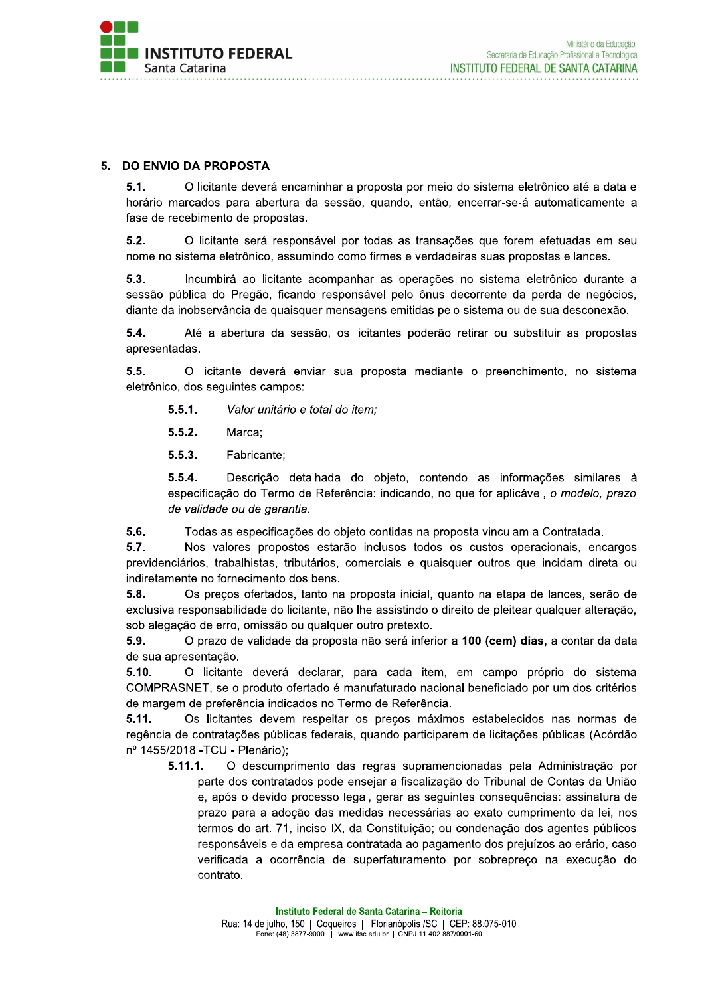

### 5. DO ENVIO DA PROPOSTA

 $5.1.$ O licitante deverá encaminhar a proposta por meio do sistema eletrônico até a data e horário marcados para abertura da sessão, quando, então, encerrar-se-á automaticamente a fase de recebimento de propostas.

 $5.2.$ O licitante será responsável por todas as transações que forem efetuadas em seu nome no sistema eletrônico, assumindo como firmes e verdadeiras suas propostas e lances.

 $5.3.$ Incumbirá ao licitante acompanhar as operações no sistema eletrônico durante a sessão pública do Pregão, ficando responsável pelo ônus decorrente da perda de negócios, diante da inobservância de quaisquer mensagens emitidas pelo sistema ou de sua desconexão.

 $5.4.$ Até a abertura da sessão, os licitantes poderão retirar ou substituir as propostas apresentadas.

 $5.5.$ O licitante deverá enviar sua proposta mediante o preenchimento, no sistema eletrônico, dos seguintes campos:

 $5.5.1.$ Valor unitário e total do item:

 $5.5.2.$ Marca:

 $5.5.3.$ Fabricante;

Descrição detalhada do objeto, contendo as informações similares à  $5.5.4.$ especificação do Termo de Referência: indicando, no que for aplicável, o modelo, prazo de validade ou de garantia.

 $5.6.$ Todas as especificações do objeto contidas na proposta vinculam a Contratada.

Nos valores propostos estarão inclusos todos os custos operacionais, encargos  $5.7.$ previdenciários, trabalhistas, tributários, comerciais e quaisquer outros que incidam direta ou indiretamente no fornecimento dos bens.

 $5.8.$ Os precos ofertados, tanto na proposta inicial, quanto na etapa de lances, serão de exclusiva responsabilidade do licitante, não lhe assistindo o direito de pleitear qualquer alteração, sob alegação de erro, omissão ou qualquer outro pretexto.

5.9. O prazo de validade da proposta não será inferior a 100 (cem) dias, a contar da data de sua apresentação.

 $5.10.$ O licitante deverá declarar, para cada item, em campo próprio do sistema COMPRASNET, se o produto ofertado é manufaturado nacional beneficiado por um dos critérios de margem de preferência indicados no Termo de Referência.

 $5.11.$ Os licitantes devem respeitar os precos máximos estabelecidos nas normas de regência de contratações públicas federais, quando participarem de licitações públicas (Acórdão nº 1455/2018 - TCU - Plenário);

 $5.11.1.$ O descumprimento das regras supramencionadas pela Administração por parte dos contratados pode ensejar a fiscalização do Tribunal de Contas da União e, após o devido processo legal, gerar as seguintes conseguências: assinatura de prazo para a adoção das medidas necessárias ao exato cumprimento da lei, nos termos do art. 71, inciso IX, da Constituição; ou condenação dos agentes públicos responsáveis e da empresa contratada ao pagamento dos prejuízos ao erário, caso verificada a ocorrência de superfaturamento por sobrepreço na execução do contrato.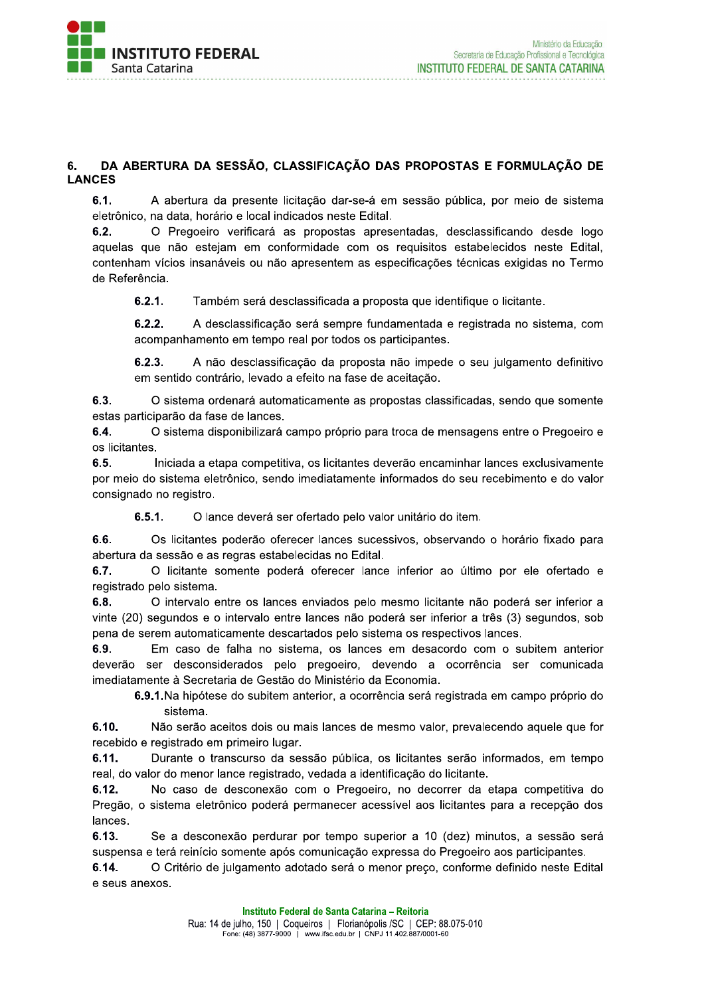

#### DA ABERTURA DA SESSÃO, CLASSIFICAÇÃO DAS PROPOSTAS E FORMULAÇÃO DE 6. **LANCES**

 $6.1.$ A abertura da presente licitação dar-se-á em sessão pública, por meio de sistema eletrônico, na data, horário e local indicados neste Edital.

 $6.2.$ O Pregoeiro verificará as propostas apresentadas, desclassificando desde logo aquelas que não estejam em conformidade com os requisitos estabelecidos neste Edital, contenham vícios insanáveis ou não apresentem as especificações técnicas exigidas no Termo de Referência.

 $6.2.1.$ Também será desclassificada a proposta que identifique o licitante.

 $6.2.2.$ A desclassificação será sempre fundamentada e registrada no sistema, com acompanhamento em tempo real por todos os participantes.

 $6.2.3.$ A não desclassificação da proposta não impede o seu julgamento definitivo em sentido contrário, levado a efeito na fase de aceitação.

 $6.3.$ O sistema ordenará automaticamente as propostas classificadas, sendo que somente estas participarão da fase de lances.

6.4. O sistema disponibilizará campo próprio para troca de mensagens entre o Pregoeiro e os licitantes.

 $6.5.$ Iniciada a etapa competitiva, os licitantes deverão encaminhar lances exclusivamente por meio do sistema eletrônico, sendo imediatamente informados do seu recebimento e do valor consignado no registro.

 $6.5.1.$ O lance deverá ser ofertado pelo valor unitário do item.

6.6. Os licitantes poderão oferecer lances sucessivos, observando o horário fixado para abertura da sessão e as regras estabelecidas no Edital.

6.7. O licitante somente poderá oferecer lance inferior ao último por ele ofertado e registrado pelo sistema.

 $6.8.$ O intervalo entre os lances enviados pelo mesmo licitante não poderá ser inferior a vinte (20) segundos e o intervalo entre lances não poderá ser inferior a três (3) segundos, sob pena de serem automaticamente descartados pelo sistema os respectivos lances.

6.9. Em caso de falha no sistema, os lances em desacordo com o subitem anterior deverão ser desconsiderados pelo pregoeiro, devendo a ocorrência ser comunicada imediatamente à Secretaria de Gestão do Ministério da Economia.

6.9.1. Na hipótese do subitem anterior, a ocorrência será registrada em campo próprio do sistema.

 $6.10.$ Não serão aceitos dois ou mais lances de mesmo valor, prevalecendo aquele que for recebido e registrado em primeiro lugar.

6.11. Durante o transcurso da sessão pública, os licitantes serão informados, em tempo real, do valor do menor lance registrado, vedada a identificação do licitante.

No caso de desconexão com o Pregoeiro, no decorrer da etapa competitiva do  $6.12.$ Pregão, o sistema eletrônico poderá permanecer acessível aos licitantes para a recepção dos lances.

6.13. Se a desconexão perdurar por tempo superior a 10 (dez) minutos, a sessão será suspensa e terá reinício somente após comunicação expressa do Pregoeiro aos participantes.

O Critério de julgamento adotado será o menor preço, conforme definido neste Edital  $6.14.$ e seus anexos.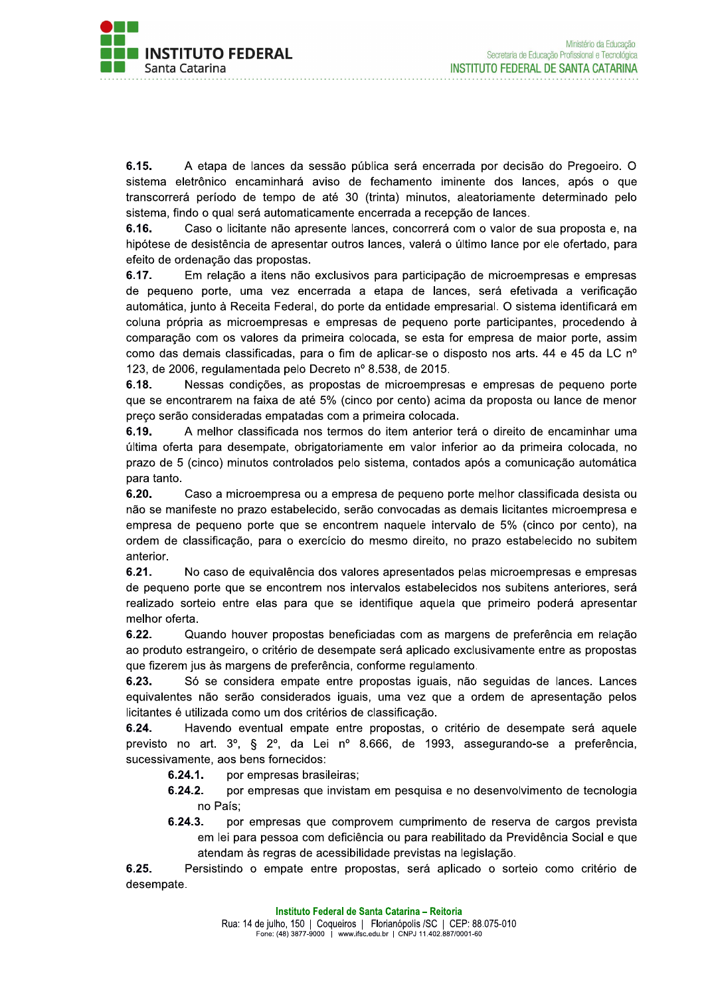

 $6.15.$ A etapa de lances da sessão pública será encerrada por decisão do Pregoeiro. O sistema eletrônico encaminhará aviso de fechamento iminente dos lances, após o que transcorrerá período de tempo de até 30 (trinta) minutos, aleatoriamente determinado pelo sistema, findo o qual será automaticamente encerrada a recepção de lances.

6.16. Caso o licitante não apresente lances, concorrerá com o valor de sua proposta e, na hipótese de desistência de apresentar outros lances, valerá o último lance por ele ofertado, para efeito de ordenação das propostas.

6.17. Em relação a itens não exclusivos para participação de microempresas e empresas de pequeno porte, uma vez encerrada a etapa de lances, será efetivada a verificação automática, junto à Receita Federal, do porte da entidade empresarial. O sistema identificará em coluna própria as microempresas e empresas de pequeno porte participantes, procedendo à comparação com os valores da primeira colocada, se esta for empresa de maior porte, assim como das demais classificadas, para o fim de aplicar-se o disposto nos arts. 44 e 45 da LC nº 123, de 2006, regulamentada pelo Decreto nº 8.538, de 2015.

6.18. Nessas condições, as propostas de microempresas e empresas de pequeno porte que se encontrarem na faixa de até 5% (cinco por cento) acima da proposta ou lance de menor preço serão consideradas empatadas com a primeira colocada.

6.19. A melhor classificada nos termos do item anterior terá o direito de encaminhar uma última oferta para desempate, obrigatoriamente em valor inferior ao da primeira colocada, no prazo de 5 (cinco) minutos controlados pelo sistema, contados após a comunicação automática para tanto.

 $6.20.$ Caso a microempresa ou a empresa de pequeno porte melhor classificada desista ou não se manifeste no prazo estabelecido, serão convocadas as demais licitantes microempresa e empresa de pequeno porte que se encontrem naquele intervalo de 5% (cinco por cento), na ordem de classificação, para o exercício do mesmo direito, no prazo estabelecido no subitem anterior.

 $6.21.$ No caso de equivalência dos valores apresentados pelas microempresas e empresas de pequeno porte que se encontrem nos intervalos estabelecidos nos subitens anteriores, será realizado sorteio entre elas para que se identifique aquela que primeiro poderá apresentar melhor oferta.

Quando houver propostas beneficiadas com as margens de preferência em relação  $6.22.$ ao produto estrangeiro, o critério de desempate será aplicado exclusivamente entre as propostas que fizerem jus às margens de preferência, conforme regulamento.

Só se considera empate entre propostas iguais, não seguidas de lances. Lances 6.23. equivalentes não serão considerados iguais, uma vez que a ordem de apresentação pelos licitantes é utilizada como um dos critérios de classificação.

6.24. Havendo eventual empate entre propostas, o critério de desempate será aquele previsto no art. 3º, § 2º, da Lei nº 8.666, de 1993, assegurando-se a preferência, sucessivamente, aos bens fornecidos:

- $6.24.1.$ por empresas brasileiras;
- $6.24.2.$ por empresas que invistam em pesquisa e no desenvolvimento de tecnologia no País:
- $6.24.3.$ por empresas que comprovem cumprimento de reserva de cargos prevista em lei para pessoa com deficiência ou para reabilitado da Previdência Social e que atendam às regras de acessibilidade previstas na legislação.

 $6.25.$ Persistindo o empate entre propostas, será aplicado o sorteio como critério de desempate.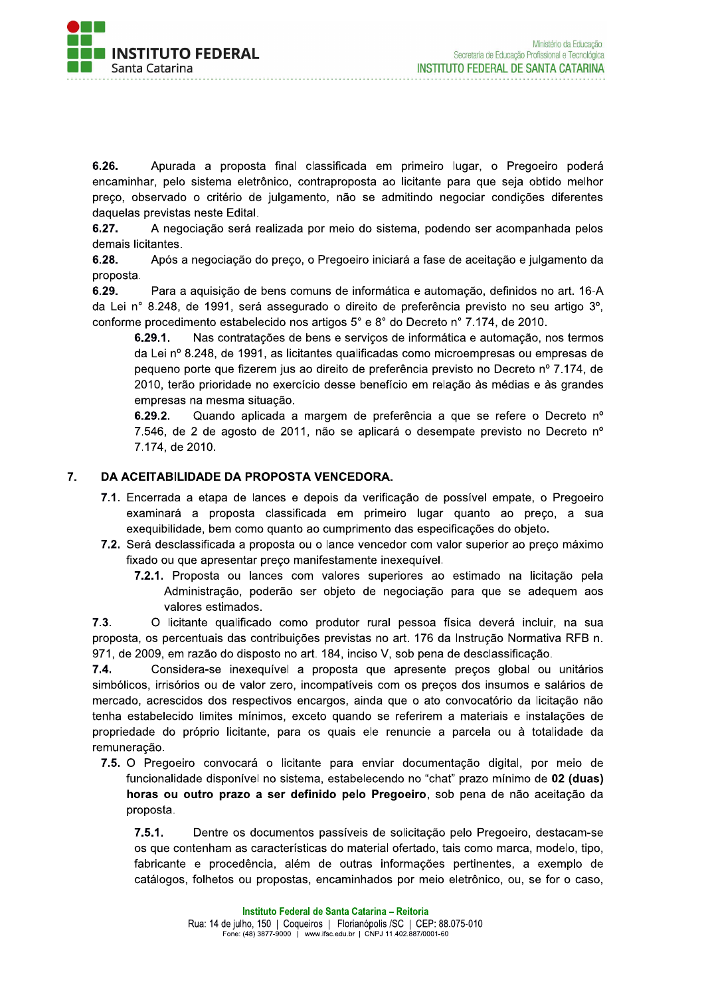

6.26. Apurada a proposta final classificada em primeiro lugar, o Pregoeiro poderá encaminhar, pelo sistema eletrônico, contraproposta ao licitante para que seja obtido melhor preço, observado o critério de julgamento, não se admitindo negociar condições diferentes daquelas previstas neste Edital.

A negociação será realizada por meio do sistema, podendo ser acompanhada pelos 6.27. demais licitantes.

Após a negociação do preço, o Pregoeiro iniciará a fase de aceitação e julgamento da 6.28. proposta.

Para a aquisição de bens comuns de informática e automação, definidos no art. 16-A 6.29. da Lei nº 8.248, de 1991, será assegurado o direito de preferência previsto no seu artigo 3º, conforme procedimento estabelecido nos artigos 5° e 8° do Decreto n° 7.174, de 2010.

 $6.29.1.$ Nas contratações de bens e serviços de informática e automação, nos termos da Lei nº 8.248, de 1991, as licitantes qualificadas como microempresas ou empresas de pequeno porte que fizerem jus ao direito de preferência previsto no Decreto nº 7.174, de 2010, terão prioridade no exercício desse benefício em relação às médias e às grandes empresas na mesma situação.

 $6.29.2.$ Quando aplicada a margem de preferência a que se refere o Decreto nº 7.546, de 2 de agosto de 2011, não se aplicará o desempate previsto no Decreto nº 7.174, de 2010.

#### $\overline{7}$ . DA ACEITABILIDADE DA PROPOSTA VENCEDORA.

- 7.1. Encerrada a etapa de lances e depois da verificação de possível empate, o Pregoeiro examinará a proposta classificada em primeiro lugar quanto ao preco, a sua exequibilidade, bem como quanto ao cumprimento das especificações do objeto.
- 7.2. Será desclassificada a proposta ou o lance vencedor com valor superior ao preco máximo fixado ou que apresentar preço manifestamente inexequível.
	- 7.2.1. Proposta ou lances com valores superiores ao estimado na licitação pela Administração, poderão ser objeto de negociação para que se adequem aos valores estimados.

 $7.3.$ O licitante qualificado como produtor rural pessoa física deverá incluir, na sua proposta, os percentuais das contribuições previstas no art. 176 da Instrução Normativa RFB n. 971, de 2009, em razão do disposto no art. 184, inciso V, sob pena de desclassificação.

 $7.4.$ Considera-se inexeguível a proposta que apresente precos global ou unitários simbólicos, irrisórios ou de valor zero, incompatíveis com os preços dos insumos e salários de mercado, acrescidos dos respectivos encargos, ainda que o ato convocatório da licitação não tenha estabelecido limites mínimos, exceto quando se referirem a materiais e instalações de propriedade do próprio licitante, para os quais ele renuncie a parcela ou à totalidade da remuneração.

7.5. O Pregoeiro convocará o licitante para enviar documentação digital, por meio de funcionalidade disponível no sistema, estabelecendo no "chat" prazo mínimo de 02 (duas) horas ou outro prazo a ser definido pelo Pregoeiro, sob pena de não aceitação da proposta.

 $7.5.1.$ Dentre os documentos passíveis de solicitação pelo Pregoeiro, destacam-se os que contenham as características do material ofertado, tais como marca, modelo, tipo, fabricante e procedência, além de outras informações pertinentes, a exemplo de catálogos, folhetos ou propostas, encaminhados por meio eletrônico, ou, se for o caso,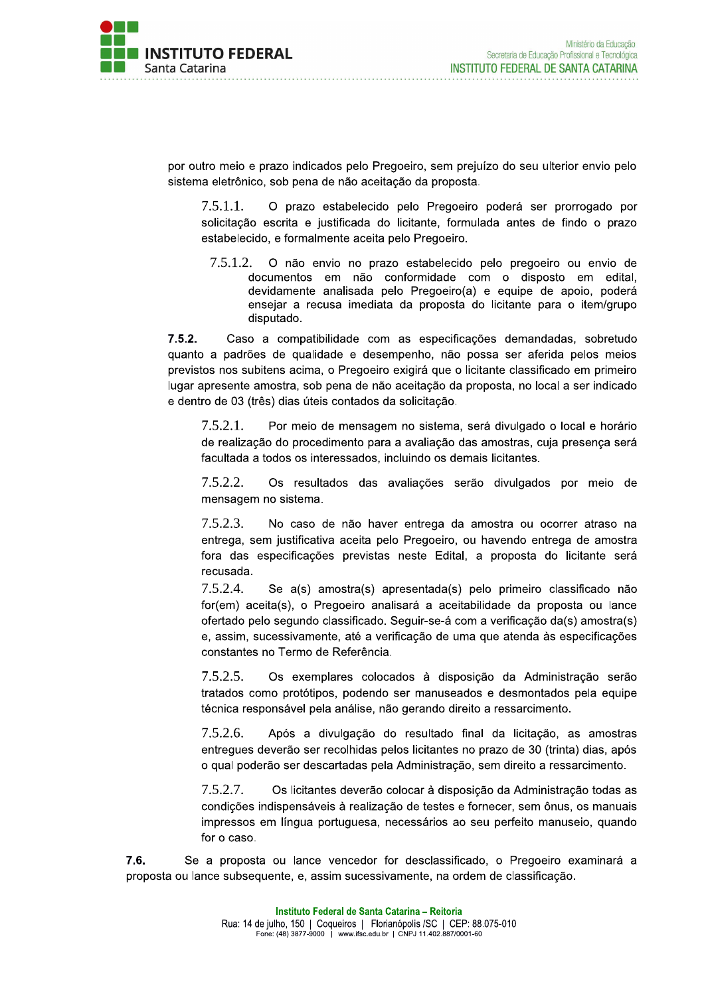

por outro meio e prazo indicados pelo Pregoeiro, sem prejuízo do seu ulterior envio pelo sistema eletrônico, sob pena de não aceitação da proposta.

O prazo estabelecido pelo Pregoeiro poderá ser prorrogado por  $7.5.1.1.$ solicitação escrita e justificada do licitante, formulada antes de findo o prazo estabelecido, e formalmente aceita pelo Pregoeiro.

 $7.5.1.2.$ O não envio no prazo estabelecido pelo pregoeiro ou envio de documentos em não conformidade com o disposto em edital, devidamente analisada pelo Pregoeiro(a) e equipe de apoio, poderá ensejar a recusa imediata da proposta do licitante para o item/grupo disputado.

 $7.5.2.$ Caso a compatibilidade com as especificações demandadas, sobretudo quanto a padrões de qualidade e desempenho, não possa ser aferida pelos meios previstos nos subitens acima, o Pregoeiro exigirá que o licitante classificado em primeiro lugar apresente amostra, sob pena de não aceitação da proposta, no local a ser indicado e dentro de 03 (três) dias úteis contados da solicitação.

 $7.5.2.1.$ Por meio de mensagem no sistema, será divulgado o local e horário de realização do procedimento para a avaliação das amostras, cuja presença será facultada a todos os interessados, incluindo os demais licitantes.

 $7.5.2.2.$ Os resultados das avaliações serão divulgados por meio de mensagem no sistema.

 $7.5.2.3.$ No caso de não haver entrega da amostra ou ocorrer atraso na entrega, sem justificativa aceita pelo Pregoeiro, ou havendo entrega de amostra fora das especificações previstas neste Edital, a proposta do licitante será recusada.

7.5.2.4. Se a(s) amostra(s) apresentada(s) pelo primeiro classificado não for(em) aceita(s), o Pregoeiro analisará a aceitabilidade da proposta ou lance ofertado pelo segundo classificado. Seguir-se-á com a verificação da(s) amostra(s) e, assim, sucessivamente, até a verificação de uma que atenda às especificações constantes no Termo de Referência.

 $7.5.2.5.$ Os exemplares colocados à disposição da Administração serão tratados como protótipos, podendo ser manuseados e desmontados pela equipe técnica responsável pela análise, não gerando direito a ressarcimento.

 $7.5.2.6.$ Após a divulgação do resultado final da licitação, as amostras entregues deverão ser recolhidas pelos licitantes no prazo de 30 (trinta) dias, após o qual poderão ser descartadas pela Administração, sem direito a ressarcimento.

7.5.2.7. Os licitantes deverão colocar à disposição da Administração todas as condições indispensáveis à realização de testes e fornecer, sem ônus, os manuais impressos em língua portuguesa, necessários ao seu perfeito manuseio, quando for o caso.

 $7.6.$ Se a proposta ou lance vencedor for desclassificado, o Pregoeiro examinará a proposta ou lance subsequente, e, assim sucessivamente, na ordem de classificação.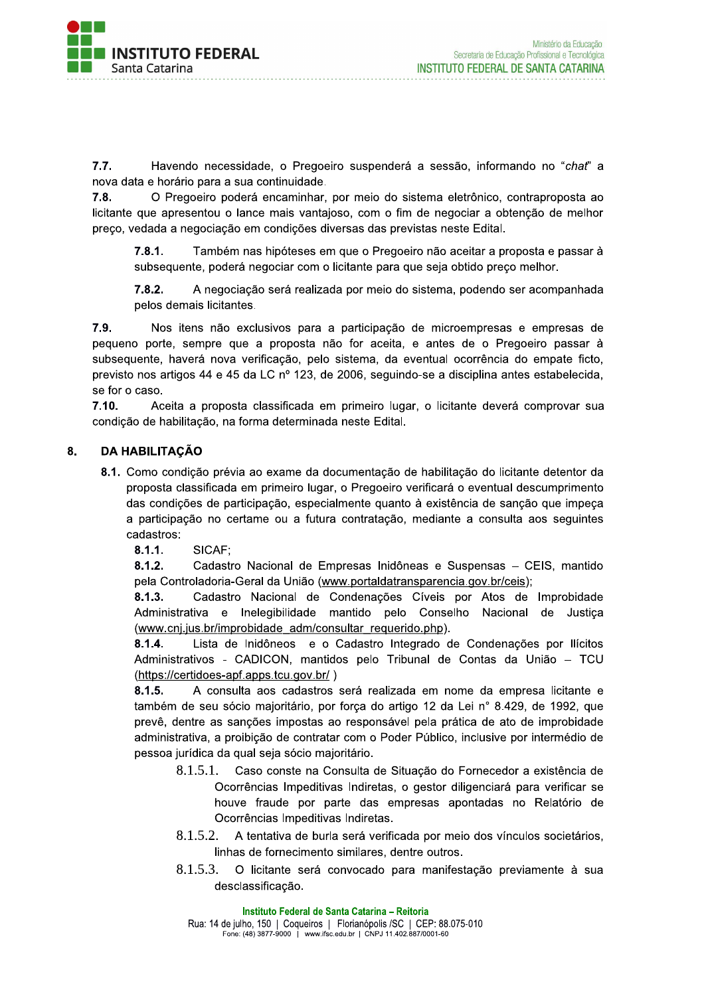

 $7.7.$ Havendo necessidade, o Pregoeiro suspenderá a sessão, informando no "chat" a nova data e horário para a sua continuidade.

O Pregoeiro poderá encaminhar, por meio do sistema eletrônico, contraproposta ao  $7.8.$ licitante que apresentou o lance mais vantajoso, com o fim de negociar a obtenção de melhor preço, vedada a negociação em condições diversas das previstas neste Edital.

Também nas hipóteses em que o Pregoeiro não aceitar a proposta e passar à  $7.8.1.$ subsequente, poderá negociar com o licitante para que seja obtido preco melhor.

 $7.8.2.$ A negociação será realizada por meio do sistema, podendo ser acompanhada pelos demais licitantes.

 $7.9.$ Nos itens não exclusivos para a participação de microempresas e empresas de pequeno porte, sempre que a proposta não for aceita, e antes de o Pregoeiro passar à subseguente, haverá nova verificação, pelo sistema, da eventual ocorrência do empate ficto, previsto nos artigos 44 e 45 da LC nº 123, de 2006, seguindo-se a disciplina antes estabelecida, se for o caso.

 $7.10.$ Aceita a proposta classificada em primeiro lugar, o licitante deverá comprovar sua condição de habilitação, na forma determinada neste Edital.

#### 8. **DA HABILITAÇÃO**

- 8.1. Como condição prévia ao exame da documentação de habilitação do licitante detentor da proposta classificada em primeiro lugar, o Pregoeiro verificará o eventual descumprimento das condições de participação, especialmente quanto à existência de sanção que impeça a participação no certame ou a futura contratação, mediante a consulta aos seguintes cadastros:
	- $8.1.1.$ SICAF;

 $8.1.2.$ Cadastro Nacional de Empresas Inidôneas e Suspensas - CEIS, mantido pela Controladoria-Geral da União (www.portaldatransparencia.gov.br/ceis);

Cadastro Nacional de Condenações Cíveis por Atos de Improbidade  $8.1.3.$ Administrativa e Inelegibilidade mantido pelo Conselho Nacional de Justiça (www.cnj.jus.br/improbidade adm/consultar requerido.php).

Lista de Inidôneos e o Cadastro Integrado de Condenações por Ilícitos  $8.1.4.$ Administrativos - CADICON, mantidos pelo Tribunal de Contas da União - TCU (https://certidoes-apf.apps.tcu.gov.br/)

 $8.1.5.$ A consulta aos cadastros será realizada em nome da empresa licitante e também de seu sócio majoritário, por força do artigo 12 da Lei nº 8.429, de 1992, que prevê, dentre as sanções impostas ao responsável pela prática de ato de improbidade administrativa, a proibição de contratar com o Poder Público, inclusive por intermédio de pessoa jurídica da qual seja sócio majoritário.

- Caso conste na Consulta de Situação do Fornecedor a existência de  $8.1.5.1.$ Ocorrências Impeditivas Indiretas, o gestor diligenciará para verificar se houve fraude por parte das empresas apontadas no Relatório de Ocorrências Impeditivas Indiretas.
- 8.1.5.2. A tentativa de burla será verificada por meio dos vínculos societários, linhas de fornecimento similares, dentre outros.
- 8.1.5.3. O licitante será convocado para manifestação previamente à sua desclassificação.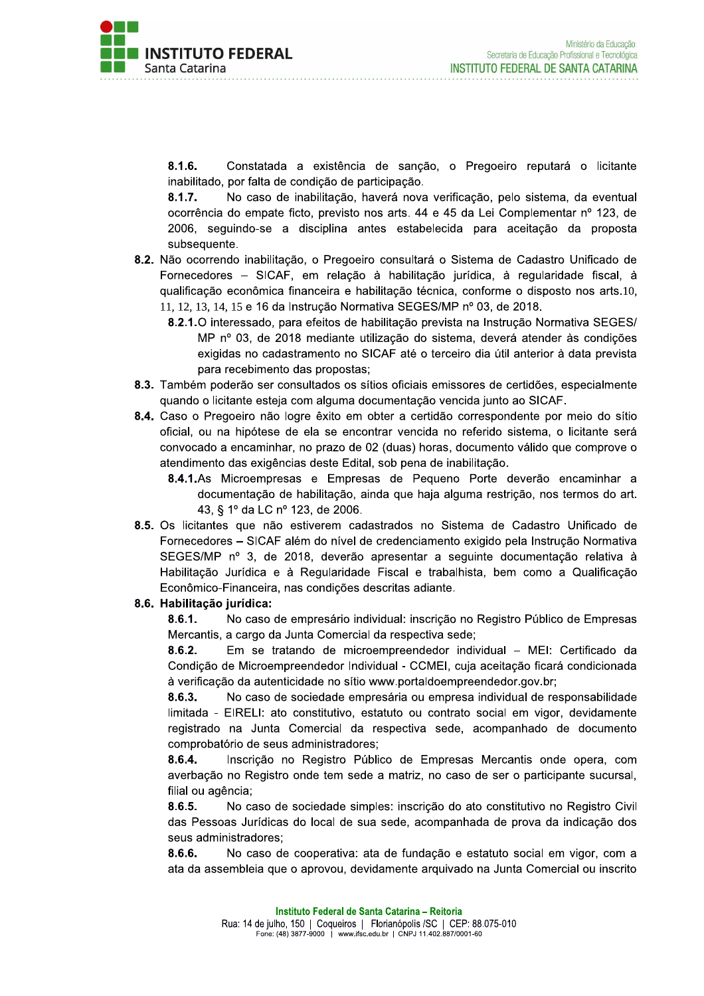

 $8.1.6.$ Constatada a existência de sanção, o Pregoeiro reputará o licitante inabilitado, por falta de condição de participação.

No caso de inabilitação, haverá nova verificação, pelo sistema, da eventual  $8.1.7.$ ocorrência do empate ficto, previsto nos arts. 44 e 45 da Lei Complementar nº 123, de 2006, seguindo-se a disciplina antes estabelecida para aceitação da proposta subsequente.

- 8.2. Não ocorrendo inabilitação, o Pregoeiro consultará o Sistema de Cadastro Unificado de Fornecedores – SICAF, em relação à habilitação jurídica, à regularidade fiscal, à qualificação econômica financeira e habilitação técnica, conforme o disposto nos arts.10, 11, 12, 13, 14, 15 e 16 da Instrução Normativa SEGES/MP nº 03, de 2018.
	- 8.2.1. O interessado, para efeitos de habilitação prevista na Instrução Normativa SEGES/ MP nº 03, de 2018 mediante utilização do sistema, deverá atender às condições exigidas no cadastramento no SICAF até o terceiro dia útil anterior à data prevista para recebimento das propostas;
- 8.3. Também poderão ser consultados os sítios oficiais emissores de certidões, especialmente quando o licitante esteja com alguma documentação vencida junto ao SICAF.
- 8.4. Caso o Pregoeiro não logre êxito em obter a certidão correspondente por meio do sítio oficial, ou na hipótese de ela se encontrar vencida no referido sistema, o licitante será convocado a encaminhar, no prazo de 02 (duas) horas, documento válido que comprove o atendimento das exigências deste Edital, sob pena de inabilitação.
	- 8.4.1.As Microempresas e Empresas de Pequeno Porte deverão encaminhar a documentação de habilitação, ainda que haja alguma restrição, nos termos do art. 43, § 1º da LC nº 123, de 2006.
- 8.5. Os licitantes que não estiverem cadastrados no Sistema de Cadastro Unificado de Fornecedores – SICAF além do nível de credenciamento exigido pela Instrução Normativa SEGES/MP nº 3, de 2018, deverão apresentar a seguinte documentação relativa à Habilitação Jurídica e à Regularidade Fiscal e trabalhista, bem como a Qualificação Econômico-Financeira, nas condições descritas adiante.

### 8.6. Habilitação iurídica:

 $8.6.1.$ No caso de empresário individual: inscrição no Registro Público de Empresas Mercantis, a cargo da Junta Comercial da respectiva sede;

 $8.6.2.$ Em se tratando de microempreendedor individual - MEI: Certificado da Condição de Microempreendedor Individual - CCMEI, cuja aceitação ficará condicionada à verificação da autenticidade no sítio www.portaldoempreendedor.gov.br;

 $8.6.3.$ No caso de sociedade empresária ou empresa individual de responsabilidade limitada - EIRELI: ato constitutivo, estatuto ou contrato social em vigor, devidamente registrado na Junta Comercial da respectiva sede, acompanhado de documento comprobatório de seus administradores:

Inscrição no Registro Público de Empresas Mercantis onde opera, com 8.6.4. averbação no Registro onde tem sede a matriz, no caso de ser o participante sucursal, filial ou agência;

8.6.5. No caso de sociedade simples: inscrição do ato constitutivo no Registro Civil das Pessoas Jurídicas do local de sua sede, acompanhada de prova da indicação dos seus administradores:

 $8.6.6.$ No caso de cooperativa: ata de fundação e estatuto social em vigor, com a ata da assembleia que o aprovou, devidamente arquivado na Junta Comercial ou inscrito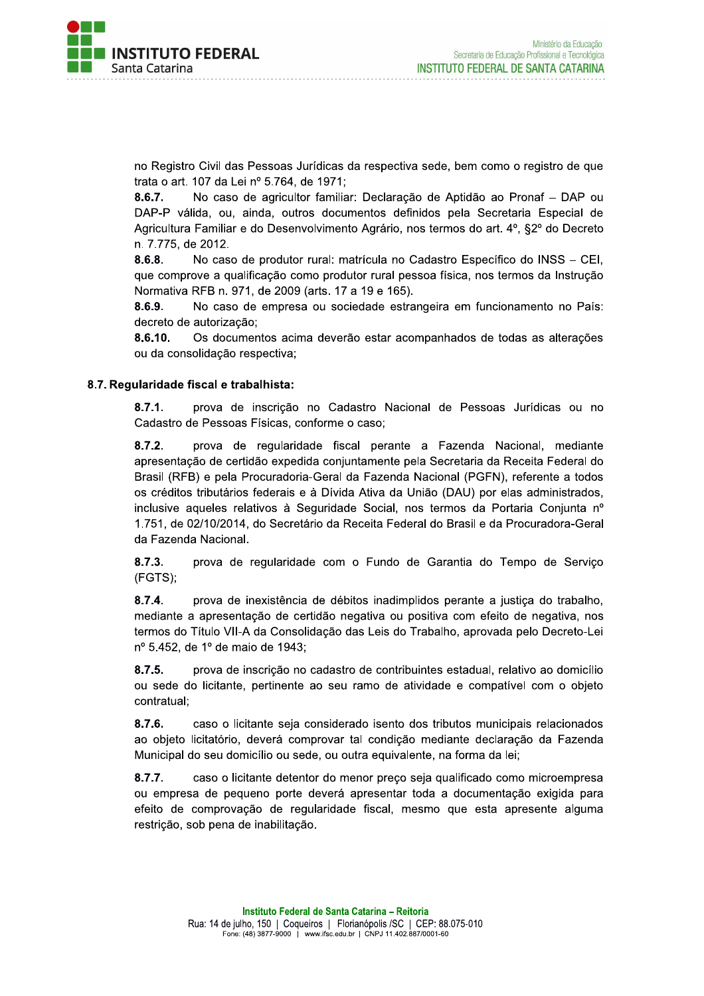

no Registro Civil das Pessoas Jurídicas da respectiva sede, bem como o registro de que trata o art. 107 da Lei nº 5.764, de 1971;

 $8.6.7.$ No caso de agricultor familiar: Declaração de Aptidão ao Pronaf - DAP ou DAP-P válida, ou, ainda, outros documentos definidos pela Secretaria Especial de Agricultura Familiar e do Desenvolvimento Agrário, nos termos do art. 4º, §2º do Decreto n. 7.775, de 2012.

No caso de produtor rural: matrícula no Cadastro Específico do INSS - CEI,  $8.6.8.$ que comprove a qualificação como produtor rural pessoa física, nos termos da Instrução Normativa RFB n. 971, de 2009 (arts. 17 a 19 e 165).

 $8.6.9.$ No caso de empresa ou sociedade estrangeira em funcionamento no País: decreto de autorização:

8.6.10. Os documentos acima deverão estar acompanhados de todas as alterações ou da consolidação respectiva;

### 8.7. Reqularidade fiscal e trabalhista:

 $8.7.1.$ prova de inscrição no Cadastro Nacional de Pessoas Jurídicas ou no Cadastro de Pessoas Físicas, conforme o caso;

 $8.7.2.$ prova de regularidade fiscal perante a Fazenda Nacional, mediante apresentação de certidão expedida conjuntamente pela Secretaria da Receita Federal do Brasil (RFB) e pela Procuradoria-Geral da Fazenda Nacional (PGFN), referente a todos os créditos tributários federais e à Dívida Ativa da União (DAU) por elas administrados, inclusive aqueles relativos à Seguridade Social, nos termos da Portaria Conjunta nº 1.751, de 02/10/2014, do Secretário da Receita Federal do Brasil e da Procuradora-Geral da Fazenda Nacional.

 $8.7.3.$ prova de regularidade com o Fundo de Garantia do Tempo de Serviço (FGTS);

 $8.7.4.$ prova de inexistência de débitos inadimplidos perante a justiça do trabalho, mediante a apresentação de certidão negativa ou positiva com efeito de negativa, nos termos do Título VII-A da Consolidação das Leis do Trabalho, aprovada pelo Decreto-Lei nº 5.452, de 1º de maio de 1943;

 $8.7.5.$ prova de inscrição no cadastro de contribuintes estadual, relativo ao domicílio ou sede do licitante, pertinente ao seu ramo de atividade e compatível com o objeto contratual:

 $8.7.6.$ caso o licitante seja considerado isento dos tributos municipais relacionados ao objeto licitatório, deverá comprovar tal condição mediante declaração da Fazenda Municipal do seu domicílio ou sede, ou outra equivalente, na forma da lei;

 $8.7.7.$ caso o licitante detentor do menor preço seja qualificado como microempresa ou empresa de pequeno porte deverá apresentar toda a documentação exigida para efeito de comprovação de regularidade fiscal, mesmo que esta apresente alguma restrição, sob pena de inabilitação.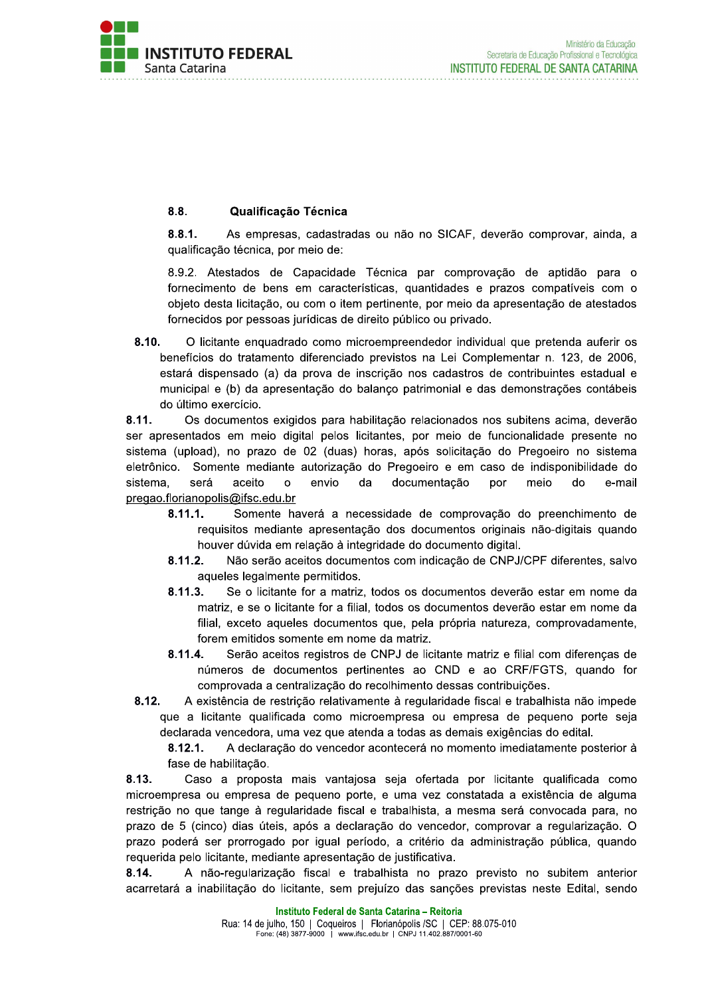

#### $8.8.$ Qualificação Técnica

 $8.8.1.$ As empresas, cadastradas ou não no SICAF, deverão comprovar, ainda, a qualificação técnica, por meio de:

8.9.2. Atestados de Capacidade Técnica par comprovação de aptidão para o fornecimento de bens em características, quantidades e prazos compatíveis com o objeto desta licitação, ou com o item pertinente, por meio da apresentação de atestados fornecidos por pessoas jurídicas de direito público ou privado.

 $8.10.$ O licitante enquadrado como microempreendedor individual que pretenda auferir os benefícios do tratamento diferenciado previstos na Lei Complementar n. 123, de 2006, estará dispensado (a) da prova de inscrição nos cadastros de contribuintes estadual e municipal e (b) da apresentação do balanco patrimonial e das demonstrações contábeis do último exercício.

8.11. Os documentos exigidos para habilitação relacionados nos subitens acima, deverão ser apresentados em meio digital pelos licitantes, por meio de funcionalidade presente no sistema (upload), no prazo de 02 (duas) horas, após solicitação do Pregoeiro no sistema Somente mediante autorização do Pregoeiro e em caso de indisponibilidade do eletrônico. sistema, será aceito  $\Omega$ envio da documentação por meio do e-mail pregao.florianopolis@ifsc.edu.br

- $8.11.1.$ Somente haverá a necessidade de comprovação do preenchimento de requisitos mediante apresentação dos documentos originais não-digitais quando houver dúvida em relação à integridade do documento digital.
- $8.11.2.$ Não serão aceitos documentos com indicação de CNPJ/CPF diferentes, salvo aqueles legalmente permitidos.
- $8.11.3.$ Se o licitante for a matriz, todos os documentos deverão estar em nome da matriz, e se o licitante for a filial, todos os documentos deverão estar em nome da filial, exceto aqueles documentos que, pela própria natureza, comprovadamente, forem emitidos somente em nome da matriz.
- 8.11.4. Serão aceitos registros de CNPJ de licitante matriz e filial com diferencas de números de documentos pertinentes ao CND e ao CRF/FGTS, quando for comprovada a centralização do recolhimento dessas contribuições.
- $8.12.$ A existência de restrição relativamente à regularidade fiscal e trabalhista não impede que a licitante qualificada como microempresa ou empresa de pequeno porte seja declarada vencedora, uma vez que atenda a todas as demais exigências do edital.

 $8.12.1.$ A declaração do vencedor acontecerá no momento imediatamente posterior à fase de habilitação.

8.13. Caso a proposta mais vantajosa seja ofertada por licitante qualificada como microempresa ou empresa de pequeno porte, e uma vez constatada a existência de alguma restrição no que tange à regularidade fiscal e trabalhista, a mesma será convocada para, no prazo de 5 (cinco) dias úteis, após a declaração do vencedor, comprovar a regularização. O prazo poderá ser prorrogado por igual período, a critério da administração pública, quando requerida pelo licitante, mediante apresentação de justificativa.

8.14. A não-regularização fiscal e trabalhista no prazo previsto no subitem anterior acarretará a inabilitação do licitante, sem prejuízo das sanções previstas neste Edital, sendo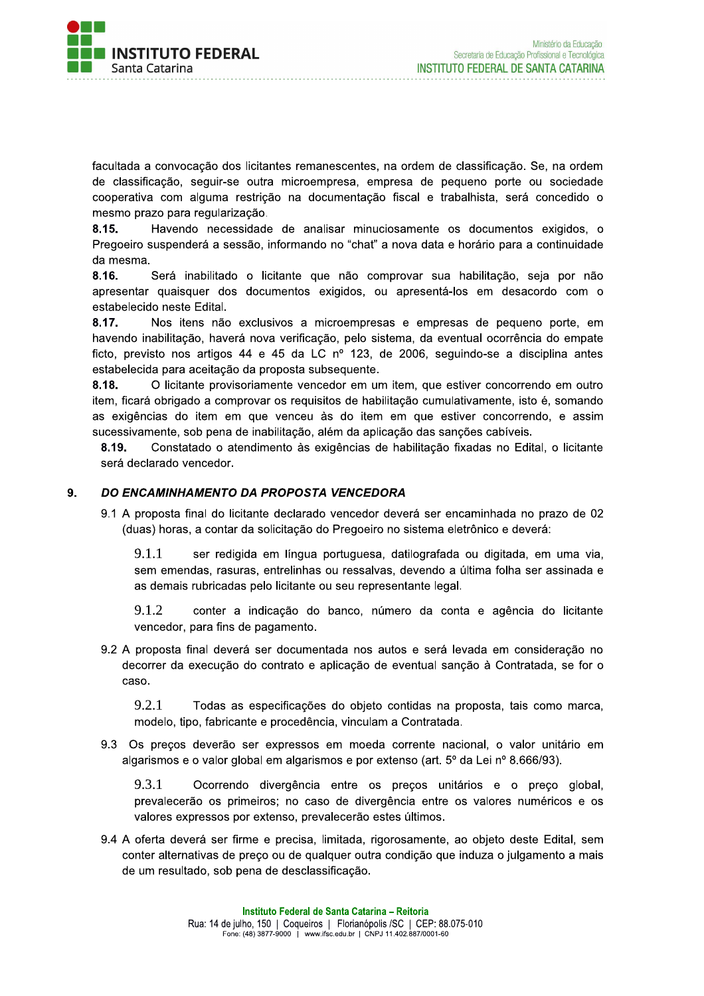

racultada a convocação dos licitantes remanescentes, na ordem de classificação. Se, na ordem de classificação, seguir-se outra microempresa, empresa de pequeno porte ou sociedade cooperativa com alguma restrição na documentação fiscal e trabalnista, sera concedido o 

**8.15.** Havendo necessidade de analisar minuciosamente os documentos exigidos, o Pregoeiro suspendera a sessao, informando no "chat" a nova data e norario para a continuidade

itante que nao comprovar sua nabilitação, seja por não apresentar quaisquer dos documentos exigidos, ou apresenta-los em desacordo com o estabelecido neste Edital.

facultada a convocação dos licitant<br>de classificação, seguir-se outra<br>cooperativa com alguma restrição<br>mesmo prazo para regularização.<br>8.15. Havendo necessidade<br>Pregoeiro suspenderá a sessão, int<br>da mesma.<br>8.16. Será inabi  $x, y, z \in \mathbb{R}$  . Thus then a exclusivos a microempresas e empresas de pequeno porte, em navendo inabilitação, navera nova verificação, pelo sistema, da eventual ocorrencia do empate ficto, previsto nos artigos 44 e 45 da LC nº 123, de 2006, seguindo-se a disciplina antes estabelecida para aceltação da proposta subsequente.

8.18. C licitante provisoriamente vencedor em um litem, que estiver concorrendo em outro item, ficara obrigado a comprovar os requisitos de habilitação cumulativamente, isto e, somando as exigencias do item em que venceu as do item em que estiver concorrendo, e assim sucessivamente, sob pena de inabilitação, alem da aplicação das sanções cabíveis.

 $\boldsymbol{s}$ .19. Constatado o atendimento as exigencias de nabilitação fixadas no Edital, o licitante sera declarado vencedor.

### 9. DO ENCAMINHAMENTO DA PROPOSTA VENCEDORA

 $9.1$  A proposta final do licitante declarado vencedor devera ser encaminhada no prazo de UZ (duas) horas, a contar da solicitação do Pregoeiro no sistema eletronico e devera:

9.1.1 ser redigida em língua portuguesa, datilografada ou digitada, em uma via, sem emendas, rasuras, entrelinnas ou ressalvas, devendo a ultima folna ser assinada e as demais rubricadas pelo licitante ou seu representante legal.

 $9.1.2$ onter a indicação do banco, numero da conta e agencia do licitante vencedor, para fins de pagamento.

9.2 A proposta final devera ser documentada hos autos e sera levada em consideração no decorrer da execução do contrato e aplicação de eventual sanção a Contratada, se for o caso.

9.2.1 lodas as específicações do objeto contidas na proposta, tais como marca, modelo, tipo, fabricante e procedencia, vinculam a Contratada.

9.3 Os preços deverao ser expressos em moeda corrente nacional, o valor unitario em algarismos e o valor global em algarismos e por extenso (art. 5° da Lei n° 8.666/93).

 $9.3.1$ orrendo divergencia entre os preços unitarios e o preço giobal, prevalecerao os primeiros; no caso de divergencia entre os valores numericos e os valores expressos por extenso, prevalecerão estes ultimos.

9.4 A oferta devera ser firme e precisa, limitada, rigorosamente, ao objeto deste Edital, sem conter alternativas de preço ou de qualquer outra condição que induza o julgamento a mais de um resultado, sob pena de desclassificação.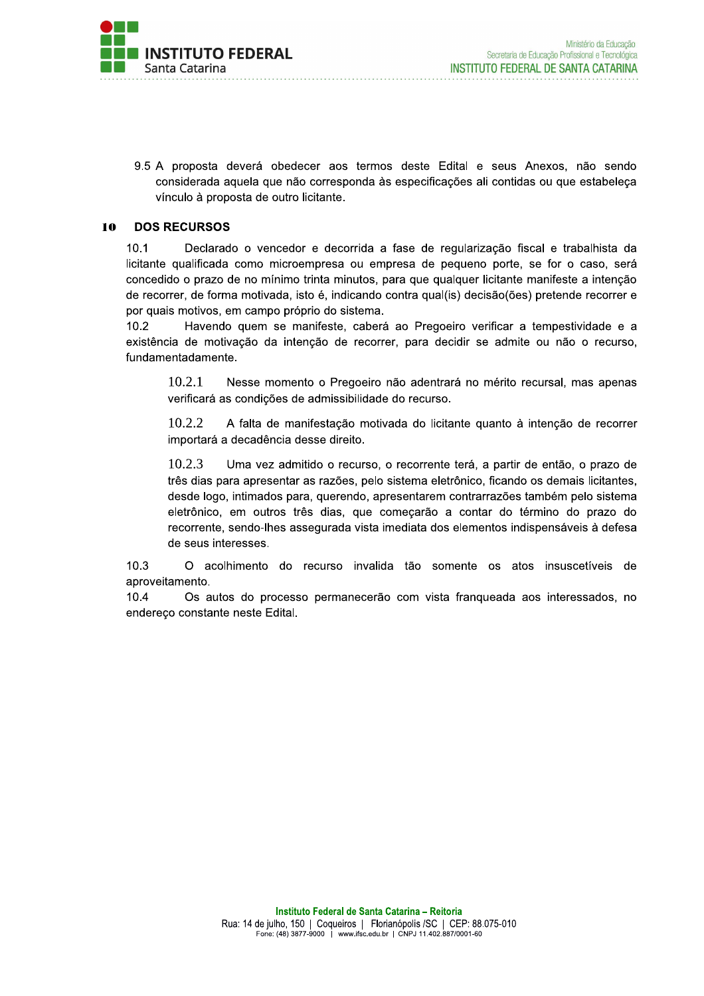

9.5 A proposta deverá obedecer aos termos deste Edital e seus Anexos, não sendo considerada aquela que não corresponda às especificações ali contidas ou que estabeleça vínculo à proposta de outro licitante.

#### 10 **DOS RECURSOS**

 $10.1$ Declarado o vencedor e decorrida a fase de regularização fiscal e trabalhista da licitante qualificada como microempresa ou empresa de pequeno porte, se for o caso, será concedido o prazo de no mínimo trinta minutos, para que qualquer licitante manifeste a intenção de recorrer, de forma motivada, isto é, indicando contra qual(is) decisão(ões) pretende recorrer e por quais motivos, em campo próprio do sistema.

 $10.2$ Havendo quem se manifeste, caberá ao Pregoeiro verificar a tempestividade e a existência de motivação da intenção de recorrer, para decidir se admite ou não o recurso, fundamentadamente.

10.2.1 Nesse momento o Pregoeiro não adentrará no mérito recursal, mas apenas verificará as condições de admissibilidade do recurso.

10.2.2 A falta de manifestação motivada do licitante quanto à intenção de recorrer importará a decadência desse direito.

10.2.3 Uma vez admitido o recurso, o recorrente terá, a partir de então, o prazo de três dias para apresentar as razões, pelo sistema eletrônico, ficando os demais licitantes, desde logo, intimados para, querendo, apresentarem contrarrazões também pelo sistema eletrônico, em outros três dias, que começarão a contar do término do prazo do recorrente, sendo-lhes assegurada vista imediata dos elementos indispensáveis à defesa de seus interesses.

O acolhimento do recurso invalida tão somente os atos insuscetíveis de  $10.3$ aproveitamento.

 $10.4$ Os autos do processo permanecerão com vista frangueada aos interessados, no endereço constante neste Edital.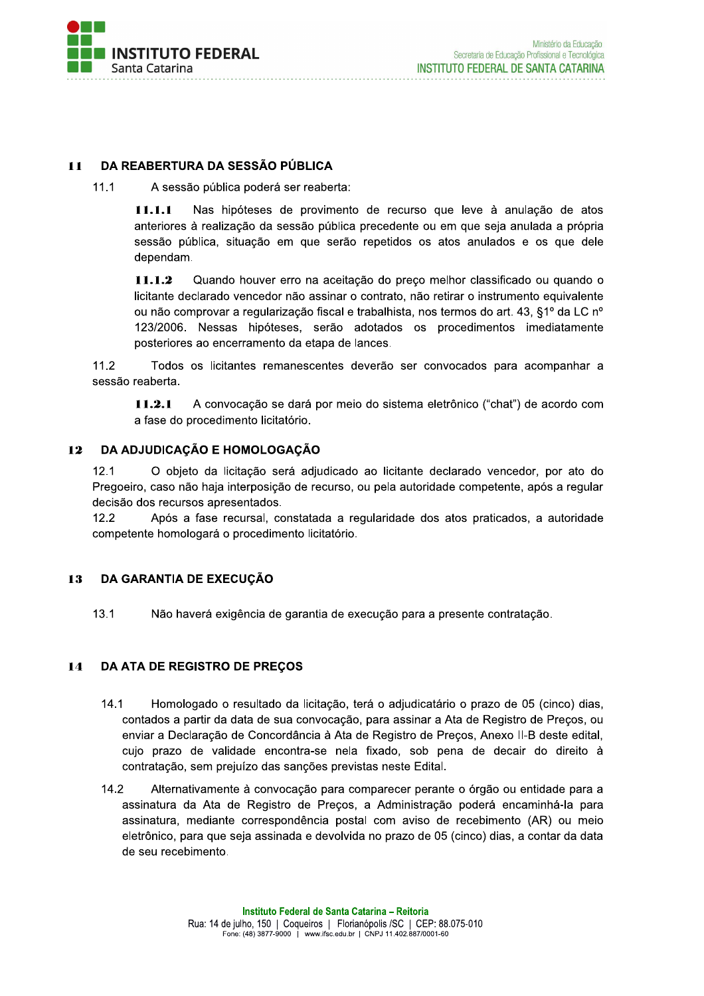

#### DA REABERTURA DA SESSÃO PÚBLICA  $11$

 $11.1$ A sessão pública poderá ser reaberta:

> $11.1.1$ Nas hipóteses de provimento de recurso que leve à anulação de atos anteriores à realização da sessão pública precedente ou em que seja anulada a própria sessão pública, situação em que serão repetidos os atos anulados e os que dele dependam.

> $11.1.2$ Quando houver erro na aceitação do preço melhor classificado ou quando o licitante declarado vencedor não assinar o contrato, não retirar o instrumento equivalente ou não comprovar a regularização fiscal e trabalhista, nos termos do art. 43, §1º da LC nº 123/2006. Nessas hipóteses, serão adotados os procedimentos imediatamente posteriores ao encerramento da etapa de lances.

 $11.2$ Todos os licitantes remanescentes deverão ser convocados para acompanhar a sessão reaberta.

A convocação se dará por meio do sistema eletrônico ("chat") de acordo com  $11.2.1$ a fase do procedimento licitatório.

#### DA ADJUDICAÇÃO E HOMOLOGAÇÃO  $12$

 $12.1$ O objeto da licitação será adjudicado ao licitante declarado vencedor, por ato do Pregoeiro, caso não haja interposição de recurso, ou pela autoridade competente, após a regular decisão dos recursos apresentados.

 $12.2$ Após a fase recursal, constatada a regularidade dos atos praticados, a autoridade competente homologará o procedimento licitatório.

#### DA GARANTIA DE EXECUÇÃO 13

13.1 Não haverá exigência de garantia de execução para a presente contratação.

#### DA ATA DE REGISTRO DE PREÇOS 14

- $14.1$ Homologado o resultado da licitação, terá o adjudicatário o prazo de 05 (cinco) dias, contados a partir da data de sua convocação, para assinar a Ata de Registro de Preços, ou enviar a Declaração de Concordância à Ata de Registro de Preços, Anexo II-B deste edital, cujo prazo de validade encontra-se nela fixado, sob pena de decair do direito à contratação, sem prejuízo das sanções previstas neste Edital.
- $14.2$ Alternativamente à convocação para comparecer perante o órgão ou entidade para a assinatura da Ata de Registro de Preços, a Administração poderá encaminhá-la para assinatura, mediante correspondência postal com aviso de recebimento (AR) ou meio eletrônico, para que seja assinada e devolvida no prazo de 05 (cinco) dias, a contar da data de seu recebimento.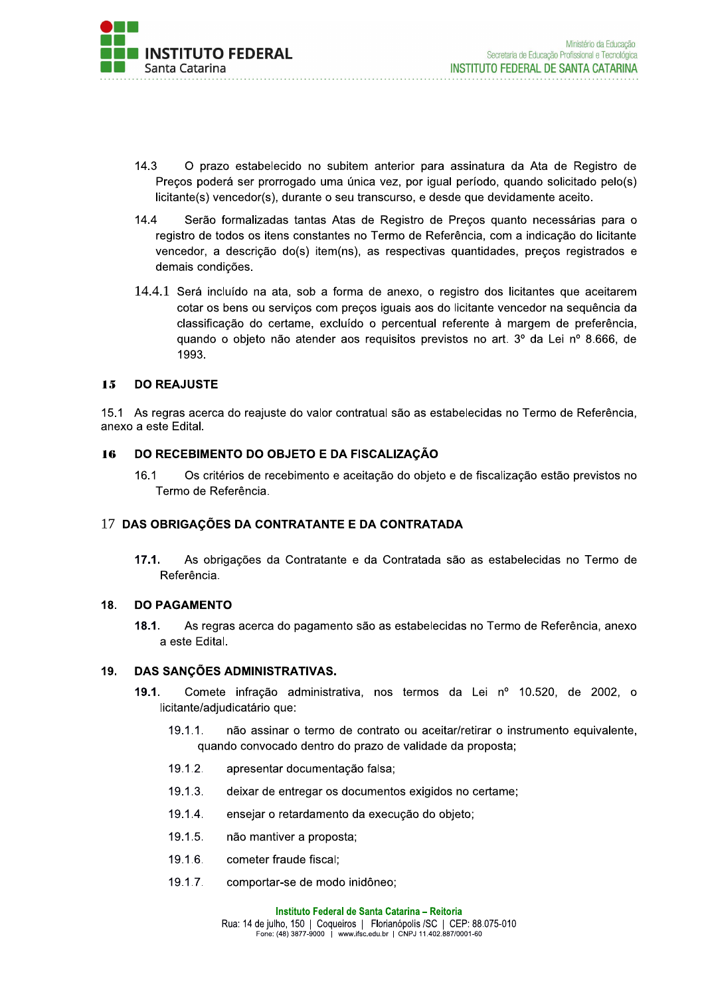

- $14.3$ O prazo estabelecido no subitem anterior para assinatura da Ata de Registro de Preços poderá ser prorrogado uma única vez, por igual período, quando solicitado pelo(s) licitante(s) vencedor(s), durante o seu transcurso, e desde que devidamente aceito.
- $14.4$ Serão formalizadas tantas Atas de Registro de Preços quanto necessárias para o registro de todos os itens constantes no Termo de Referência, com a indicação do licitante vencedor, a descrição do(s) item(ns), as respectivas quantidades, preços registrados e demais condicões.
- 14.4.1 Será incluído na ata, sob a forma de anexo, o registro dos licitantes que aceitarem cotar os bens ou serviços com preços iguais aos do licitante vencedor na sequência da classificação do certame, excluído o percentual referente à margem de preferência, quando o objeto não atender aos requisitos previstos no art. 3º da Lei nº 8.666, de 1993.

#### **DO REAJUSTE**  $1.5$

15.1 As regras acerca do reajuste do valor contratual são as estabelecidas no Termo de Referência, anexo a este Edital.

#### DO RECEBIMENTO DO OBJETO E DA FISCALIZAÇÃO 16

16.1 Os critérios de recebimento e aceitação do objeto e de fiscalização estão previstos no Termo de Referência.

### 17 DAS OBRIGAÇÕES DA CONTRATANTE E DA CONTRATADA

 $17.1.$ As obrigações da Contratante e da Contratada são as estabelecidas no Termo de Referência.

#### 18. **DO PAGAMENTO**

 $18.1.$ As regras acerca do pagamento são as estabelecidas no Termo de Referência, anexo a este Edital.

#### DAS SANCÕES ADMINISTRATIVAS. 19.

- $19.1.$ Comete infração administrativa, nos termos da Lei nº 10.520, de 2002, o licitante/adiudicatário que:
	- $19.1.1.$ não assinar o termo de contrato ou aceitar/retirar o instrumento equivalente, quando convocado dentro do prazo de validade da proposta;
	- $19.1.2.$ apresentar documentação falsa;
	- $19.1.3.$ deixar de entregar os documentos exigidos no certame;
	- $19.1.4.$ ensejar o retardamento da execução do objeto;
	- $19.1.5.$ não mantiver a proposta;
	- $19.1.6.$ cometer fraude fiscal;
	- $19.1.7.$ comportar-se de modo inidôneo;

Instituto Federal de Santa Catarina - Reitoria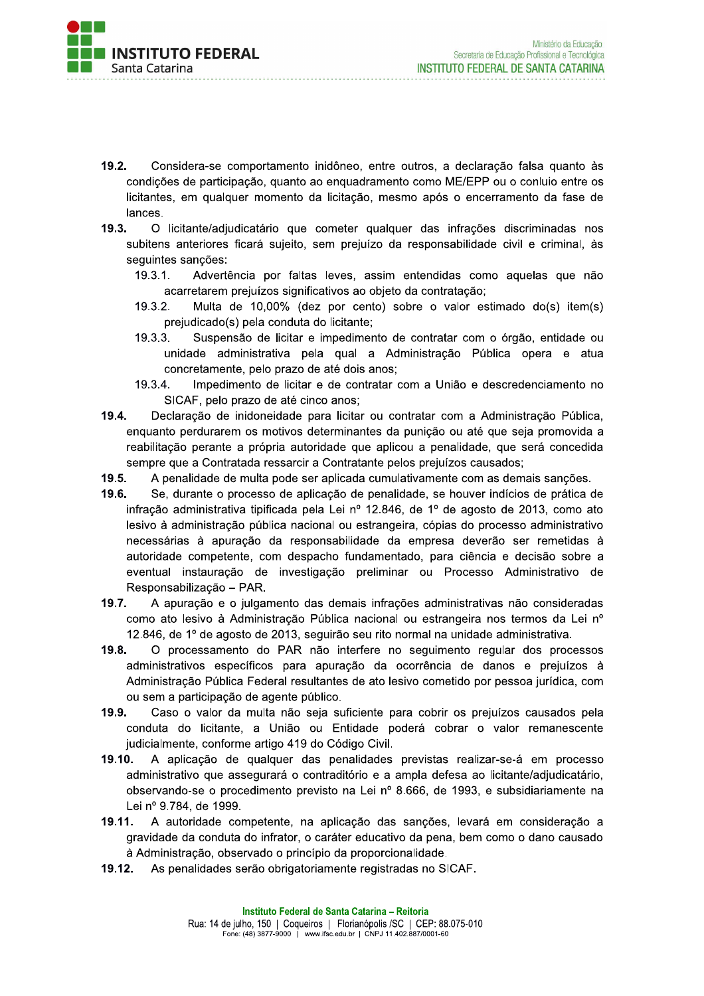

- $19.2.$ Considera-se comportamento inidôneo, entre outros, a declaração falsa quanto às condições de participação, quanto ao enquadramento como ME/EPP ou o conluio entre os licitantes, em qualquer momento da licitação, mesmo após o encerramento da fase de lances.
- $19.3.$ O licitante/adjudicatário que cometer qualquer das infrações discriminadas nos subitens anteriores ficará sujeito, sem prejuízo da responsabilidade civil e criminal, às sequintes sancões:
	- $19.3.1.$ Advertência por faltas leves, assim entendidas como aquelas que não acarretarem prejuízos significativos ao objeto da contratação;
	- 19.3.2. Multa de 10,00% (dez por cento) sobre o valor estimado do(s) item(s) prejudicado(s) pela conduta do licitante:
	- $19.3.3.$ Suspensão de licitar e impedimento de contratar com o órgão, entidade ou unidade administrativa pela qual a Administração Pública opera e atua concretamente, pelo prazo de até dois anos;
	- Impedimento de licitar e de contratar com a União e descredenciamento no 19.3.4. SICAF, pelo prazo de até cinco anos;
- 19.4. Declaração de inidoneidade para licitar ou contratar com a Administração Pública, enguanto perdurarem os motivos determinantes da punição ou até que seja promovida a reabilitação perante a própria autoridade que aplicou a penalidade, que será concedida sempre que a Contratada ressarcir a Contratante pelos prejuízos causados;
- 19.5. A penalidade de multa pode ser aplicada cumulativamente com as demais sanções.
- 19.6. Se, durante o processo de aplicação de penalidade, se houver indícios de prática de infração administrativa tipificada pela Lei nº 12.846, de 1º de agosto de 2013, como ato lesivo à administração pública nacional ou estrangeira, cópias do processo administrativo necessárias à apuração da responsabilidade da empresa deverão ser remetidas à autoridade competente, com despacho fundamentado, para ciência e decisão sobre a eventual instauração de investigação preliminar ou Processo Administrativo de Responsabilização - PAR.
- $19.7.$ A apuração e o julgamento das demais infrações administrativas não consideradas como ato lesivo à Administração Pública nacional ou estrangeira nos termos da Lei nº 12.846, de 1º de agosto de 2013, seguirão seu rito normal na unidade administrativa.
- O processamento do PAR não interfere no seguimento regular dos processos 19.8. administrativos específicos para apuração da ocorrência de danos e prejuízos à Administração Pública Federal resultantes de ato lesivo cometido por pessoa jurídica, com ou sem a participação de agente público.
- 19.9. Caso o valor da multa não seja suficiente para cobrir os prejuízos causados pela conduta do licitante, a União ou Entidade poderá cobrar o valor remanescente judicialmente, conforme artigo 419 do Código Civil.
- $19.10.$ A aplicação de qualquer das penalidades previstas realizar-se-á em processo administrativo que assegurará o contraditório e a ampla defesa ao licitante/adjudicatário, observando-se o procedimento previsto na Lei nº 8.666, de 1993, e subsidiariamente na Lei nº 9.784, de 1999.
- 19.11. A autoridade competente, na aplicação das sanções, levará em consideração a gravidade da conduta do infrator, o caráter educativo da pena, bem como o dano causado à Administração, observado o princípio da proporcionalidade.
- 19.12. As penalidades serão obrigatoriamente registradas no SICAF.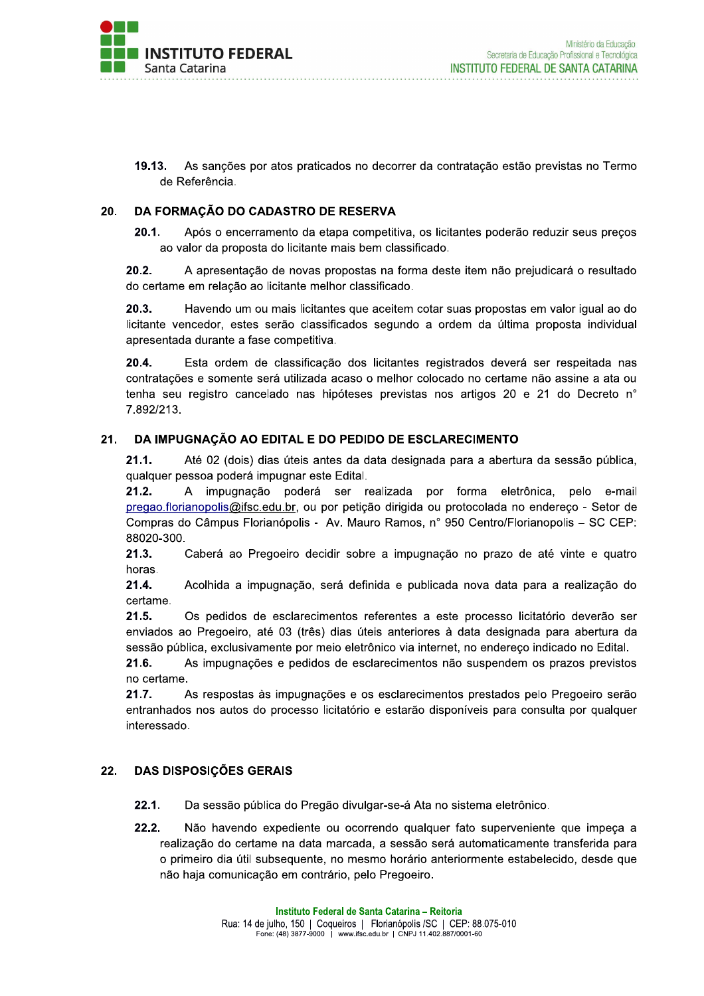

19.13. As sancões por atos praticados no decorrer da contratação estão previstas no Termo de Referência.

#### DA FORMAÇÃO DO CADASTRO DE RESERVA 20.

 $20.1.$ Após o encerramento da etapa competitiva, os licitantes poderão reduzir seus preços ao valor da proposta do licitante mais bem classificado.

 $20.2.$ A apresentação de novas propostas na forma deste item não prejudicará o resultado do certame em relação ao licitante melhor classificado.

 $20.3.$ Havendo um ou mais licitantes que aceitem cotar suas propostas em valor igual ao do licitante vencedor, estes serão classificados segundo a ordem da última proposta individual apresentada durante a fase competitiva.

 $20.4.$ Esta ordem de classificação dos licitantes registrados deverá ser respeitada nas contratações e somente será utilizada acaso o melhor colocado no certame não assine a ata ou tenha seu registro cancelado nas hipóteses previstas nos artigos 20 e 21 do Decreto n° 7.892/213.

#### $21.$ DA IMPUGNAÇÃO AO EDITAL E DO PEDIDO DE ESCLARECIMENTO

 $21.1.$ Até 02 (dois) dias úteis antes da data designada para a abertura da sessão pública, qualquer pessoa poderá impugnar este Edital.

 $21.2.$ A impugnacão poderá ser realizada por forma eletrônica. pelo e-mail pregao.florianopolis@ifsc.edu.br, ou por petição dirigida ou protocolada no endereço - Setor de Compras do Câmpus Florianópolis - Av. Mauro Ramos, nº 950 Centro/Florianopolis - SC CEP: 88020-300.

 $21.3.$ Caberá ao Pregoeiro decidir sobre a impugnação no prazo de até vinte e quatro horas.

 $21.4.$ Acolhida a impugnação, será definida e publicada nova data para a realização do certame.

 $21.5.$ Os pedidos de esclarecimentos referentes a este processo licitatório deverão ser enviados ao Pregoeiro, até 03 (três) dias úteis anteriores à data designada para abertura da sessão pública, exclusivamente por meio eletrônico via internet, no endereco indicado no Edital.

21.6. As impugnações e pedidos de esclarecimentos não suspendem os prazos previstos no certame.

As respostas às impugnações e os esclarecimentos prestados pelo Pregoeiro serão  $21.7.$ entranhados nos autos do processo licitatório e estarão disponíveis para consulta por qualquer interessado.

#### 22. **DAS DISPOSIÇÕES GERAIS**

- $22.1.$ Da sessão pública do Pregão divulgar-se-á Ata no sistema eletrônico.
- $22.2.$ Não havendo expediente ou ocorrendo qualquer fato superveniente que impeça a realização do certame na data marcada, a sessão será automaticamente transferida para o primeiro dia útil subsequente, no mesmo horário anteriormente estabelecido, desde que não haja comunicação em contrário, pelo Pregoeiro.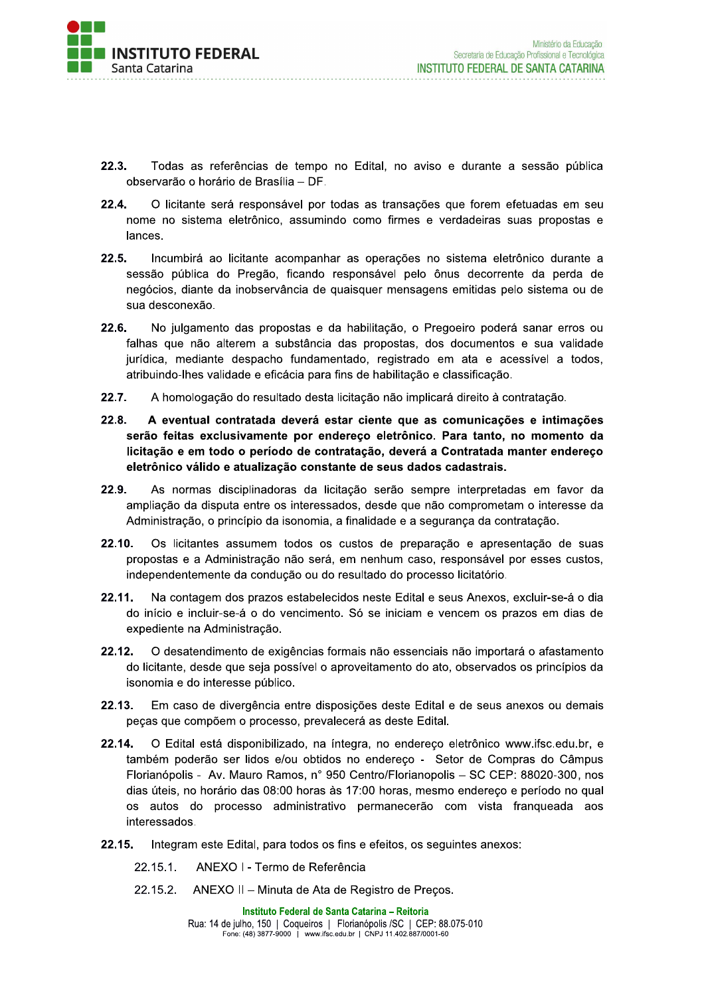

- 22.3. Todas as referências de tempo no Edital, no aviso e durante a sessão pública observarão o horário de Brasília - DF.
- $22.4.$ O licitante será responsável por todas as transações que forem efetuadas em seu nome no sistema eletrônico, assumindo como firmes e verdadeiras suas propostas e lances.
- $22.5.$ Incumbirá ao licitante acompanhar as operações no sistema eletrônico durante a sessão pública do Pregão, ficando responsável pelo ônus decorrente da perda de negócios, diante da inobservância de quaisquer mensagens emitidas pelo sistema ou de sua desconexão.
- 22.6. No julgamento das propostas e da habilitação, o Pregoeiro poderá sanar erros ou falhas que não alterem a substância das propostas, dos documentos e sua validade jurídica, mediante despacho fundamentado, registrado em ata e acessível a todos, atribuindo-lhes validade e eficácia para fins de habilitação e classificação.
- $22.7.$ A homologação do resultado desta licitação não implicará direito à contratação.
- 22.8. A eventual contratada deverá estar ciente que as comunicações e intimações serão feitas exclusivamente por endereço eletrônico. Para tanto, no momento da licitação e em todo o período de contratação, deverá a Contratada manter endereço eletrônico válido e atualização constante de seus dados cadastrais.
- 22.9. As normas disciplinadoras da licitação serão sempre interpretadas em favor da ampliação da disputa entre os interessados, desde que não comprometam o interesse da Administração, o princípio da isonomia, a finalidade e a segurança da contratação.
- 22.10. Os licitantes assumem todos os custos de preparação e apresentação de suas propostas e a Administração não será, em nenhum caso, responsável por esses custos, independentemente da condução ou do resultado do processo licitatório.
- 22.11. Na contagem dos prazos estabelecidos neste Edital e seus Anexos, excluir-se-á o dia do início e incluir-se-á o do vencimento. Só se iniciam e vencem os prazos em dias de expediente na Administração.
- 22.12. O desatendimento de exigências formais não essenciais não importará o afastamento do licitante, desde que seja possível o aproveitamento do ato, observados os princípios da isonomia e do interesse público.
- 22.13. Em caso de divergência entre disposições deste Edital e de seus anexos ou demais peças que compõem o processo, prevalecerá as deste Edital.
- 22.14. O Edital está disponibilizado, na íntegra, no endereço eletrônico www.ifsc.edu.br, e também poderão ser lidos e/ou obtidos no endereço - Setor de Compras do Câmpus Florianópolis - Av. Mauro Ramos, nº 950 Centro/Florianopolis - SC CEP: 88020-300, nos dias úteis, no horário das 08:00 horas às 17:00 horas, mesmo endereço e período no qual os autos do processo administrativo permanecerão com vista franqueada aos interessados.
- Integram este Edital, para todos os fins e efeitos, os seguintes anexos:  $22.15.$ 
	- ANEXO I Termo de Referência  $22.15.1$ .
	- 22.15.2. ANEXO II - Minuta de Ata de Registro de Preços.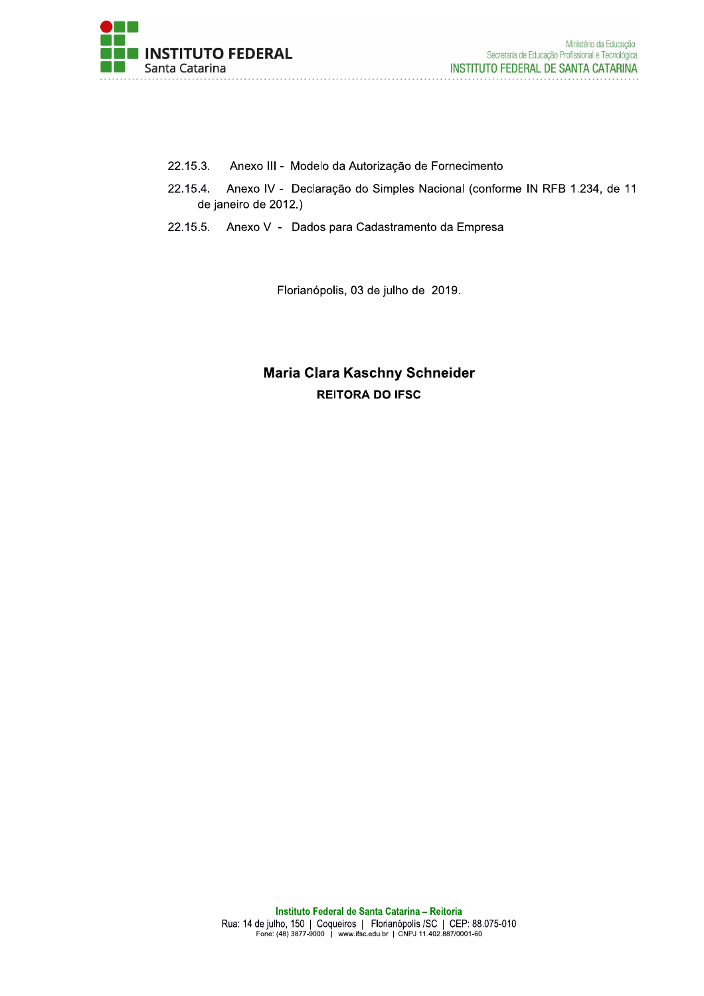

- 22.15.3. Anexo III - Modelo da Autorização de Fornecimento
- 22.15.4. Anexo IV - Declaração do Simples Nacional (conforme IN RFB 1.234, de 11 de janeiro de 2012.)
- 22.15.5. Anexo V Dados para Cadastramento da Empresa

Florianópolis, 03 de julho de 2019.

# Maria Clara Kaschny Schneider **REITORA DO IFSC**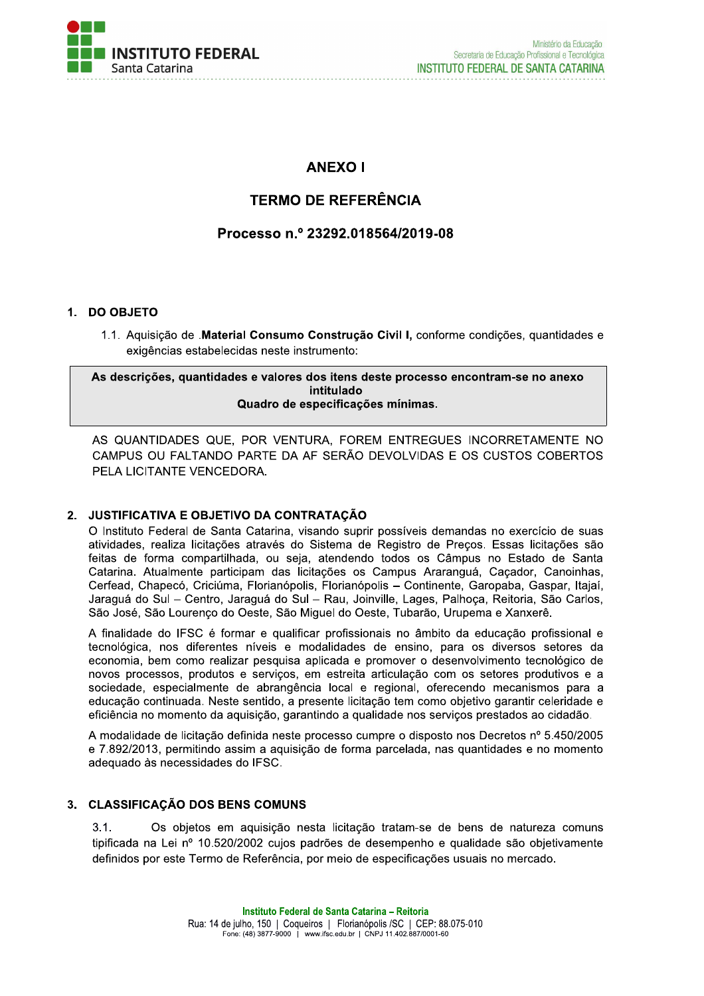

## **ANEXO I**

# **TERMO DE REFERÊNCIA**

### Processo n.º 23292.018564/2019-08

### 1. DO OBJETO

1.1. Aquisicão de .Material Consumo Construção Civil I, conforme condições, quantidades e exigências estabelecidas neste instrumento:

As descrições, quantidades e valores dos itens deste processo encontram-se no anexo intitulado Quadro de especificações mínimas.

AS QUANTIDADES QUE, POR VENTURA, FOREM ENTREGUES INCORRETAMENTE NO CAMPUS OU FALTANDO PARTE DA AF SERÃO DEVOLVIDAS E OS CUSTOS COBERTOS PELA LICITANTE VENCEDORA.

### 2. JUSTIFICATIVA E OBJETIVO DA CONTRATAÇÃO

O Instituto Federal de Santa Catarina, visando suprir possíveis demandas no exercício de suas atividades, realiza licitações através do Sistema de Registro de Preços. Essas licitações são feitas de forma compartilhada, ou seja, atendendo todos os Câmpus no Estado de Santa Catarina. Atualmente participam das licitações os Campus Araranguá, Caçador, Canoinhas, Cerfead, Chapecó, Criciúma, Florianópolis, Florianópolis - Continente, Garopaba, Gaspar, Itajaí, Jaraguá do Sul - Centro, Jaraguá do Sul - Rau, Joinville, Lages, Palhoça, Reitoria, São Carlos, São José, São Lourenço do Oeste, São Miguel do Oeste, Tubarão, Urupema e Xanxerê.

A finalidade do IFSC é formar e qualificar profissionais no âmbito da educação profissional e tecnológica, nos diferentes níveis e modalidades de ensino, para os diversos setores da economia, bem como realizar pesquisa aplicada e promover o desenvolvimento tecnológico de novos processos, produtos e servicos, em estreita articulação com os setores produtivos e a sociedade, especialmente de abrangência local e regional, oferecendo mecanismos para a educação continuada. Neste sentido, a presente licitação tem como objetivo garantir celeridade e eficiência no momento da aquisição, garantindo a qualidade nos serviços prestados ao cidadão.

A modalidade de licitação definida neste processo cumpre o disposto nos Decretos nº 5.450/2005 e 7.892/2013, permitindo assim a aquisição de forma parcelada, nas quantidades e no momento adequado às necessidades do IFSC.

### 3. CLASSIFICAÇÃO DOS BENS COMUNS

 $3.1.$ Os objetos em aquisição nesta licitação tratam-se de bens de natureza comuns tipificada na Lei nº 10.520/2002 cujos padrões de desempenho e qualidade são objetivamente definidos por este Termo de Referência, por meio de especificações usuais no mercado.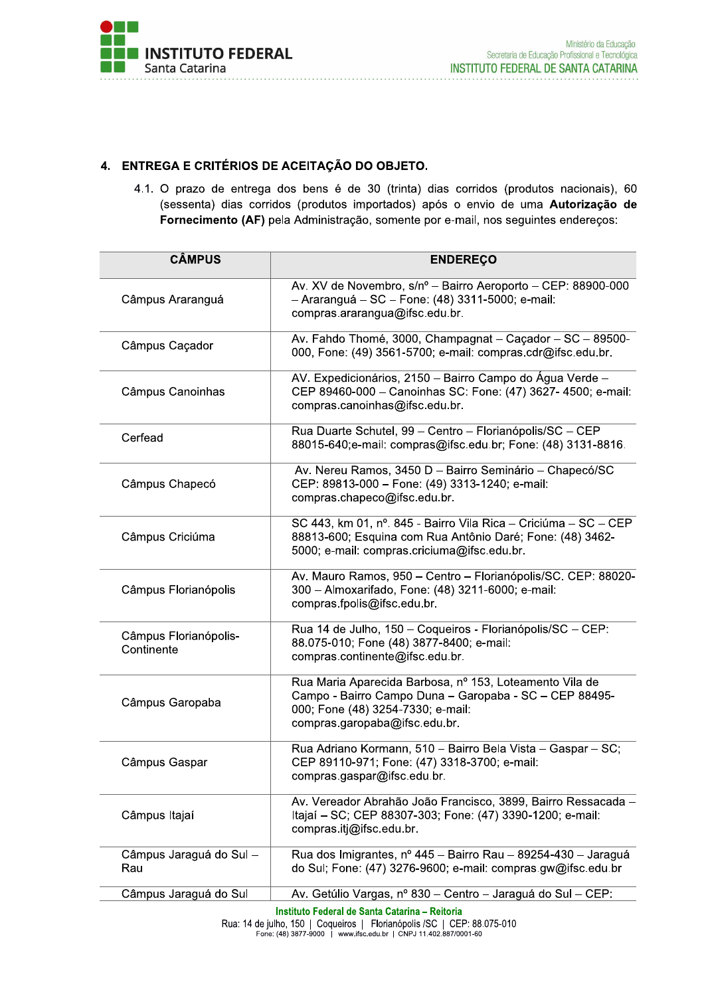

# 4. ENTREGA E CRITERIOS DE ACEITAÇÃO DO OBJET

|                                     | 4. ENTREGA E CRITÉRIOS DE ACEITAÇÃO DO OBJETO.<br>4.1. O prazo de entrega dos bens é de 30 (trinta) dias corridos (produtos nacionais), 60                                              |
|-------------------------------------|-----------------------------------------------------------------------------------------------------------------------------------------------------------------------------------------|
|                                     | (sessenta) dias corridos (produtos importados) após o envio de uma Autorização de<br>Fornecimento (AF) pela Administração, somente por e-mail, nos seguintes endereços:                 |
| <b>CÂMPUS</b>                       | <b>ENDEREÇO</b>                                                                                                                                                                         |
| Câmpus Araranguá                    | Av. XV de Novembro, s/nº - Bairro Aeroporto - CEP: 88900-000<br>- Araranguá - SC - Fone: (48) 3311-5000; e-mail:<br>compras.ararangua@ifsc.edu.br.                                      |
| Câmpus Caçador                      | Av. Fahdo Thomé, 3000, Champagnat - Caçador - SC - 89500-<br>000, Fone: (49) 3561-5700; e-mail: compras.cdr@ifsc.edu.br.                                                                |
| Câmpus Canoinhas                    | AV. Expedicionários, 2150 - Bairro Campo do Água Verde -<br>CEP 89460-000 - Canoinhas SC: Fone: (47) 3627- 4500; e-mail:<br>compras.canoinhas@ifsc.edu.br.                              |
| Cerfead                             | Rua Duarte Schutel, 99 - Centro - Florianópolis/SC - CEP<br>88015-640;e-mail: compras@ifsc.edu.br; Fone: (48) 3131-8816.                                                                |
| Câmpus Chapecó                      | Av. Nereu Ramos, 3450 D - Bairro Seminário - Chapecó/SC<br>CEP: 89813-000 - Fone: (49) 3313-1240; e-mail:<br>compras.chapeco@ifsc.edu.br.                                               |
| Câmpus Criciúma                     | SC 443, km 01, nº. 845 - Bairro Vila Rica - Criciúma - SC - CEP<br>88813-600; Esquina com Rua Antônio Daré; Fone: (48) 3462-<br>5000; e-mail: compras.criciuma@ifsc.edu.br.             |
| Câmpus Florianópolis                | Av. Mauro Ramos, 950 - Centro - Florianópolis/SC. CEP: 88020-<br>300 - Almoxarifado, Fone: (48) 3211-6000; e-mail:<br>compras.fpolis@ifsc.edu.br.                                       |
| Câmpus Florianópolis-<br>Continente | Rua 14 de Julho, 150 - Coqueiros - Florianópolis/SC - CEP:<br>88.075-010; Fone (48) 3877-8400; e-mail:<br>compras.continente@ifsc.edu.br.                                               |
| Câmpus Garopaba                     | Rua Maria Aparecida Barbosa, nº 153, Loteamento Vila de<br>Campo - Bairro Campo Duna - Garopaba - SC - CEP 88495-<br>000; Fone (48) 3254-7330; e-mail:<br>compras.garopaba@ifsc.edu.br. |
| Câmpus Gaspar                       | Rua Adriano Kormann, 510 - Bairro Bela Vista - Gaspar - SC;<br>CEP 89110-971; Fone: (47) 3318-3700; e-mail:<br>compras.gaspar@ifsc.edu.br.                                              |
| Câmpus Itajaí                       | Av. Vereador Abrahão João Francisco, 3899, Bairro Ressacada -<br>Itajaí - SC; CEP 88307-303; Fone: (47) 3390-1200; e-mail:<br>compras.itj@ifsc.edu.br.                                  |
| Câmpus Jaraguá do Sul -<br>Rau      | Rua dos Imigrantes, nº 445 - Bairro Rau - 89254-430 - Jaraguá<br>do Sul; Fone: (47) 3276-9600; e-mail: compras.gw@ifsc.edu.br                                                           |
| Câmpus Jaraguá do Sul               | Av. Getúlio Vargas, nº 830 – Centro – Jaraguá do Sul – CEP:<br>Instituto Federal de Santa Catarina - Reitoria                                                                           |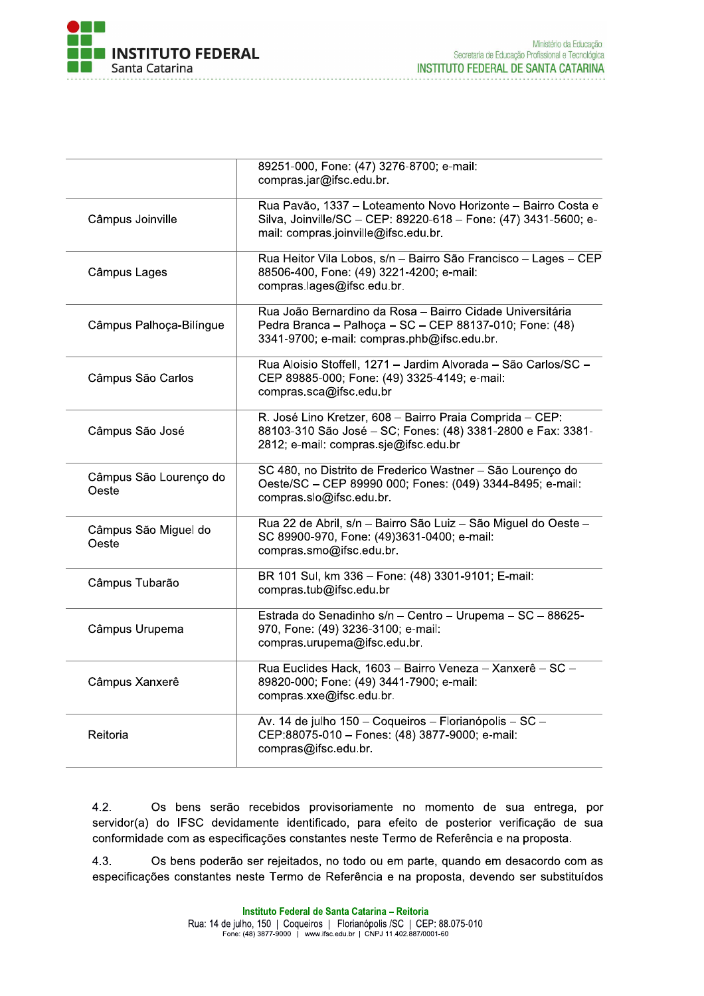

|                                 | 89251-000, Fone: (47) 3276-8700; e-mail:<br>compras.jar@ifsc.edu.br.                                                                                                    |
|---------------------------------|-------------------------------------------------------------------------------------------------------------------------------------------------------------------------|
| Câmpus Joinville                | Rua Pavão, 1337 - Loteamento Novo Horizonte - Bairro Costa e<br>Silva, Joinville/SC - CEP: 89220-618 - Fone: (47) 3431-5600; e-<br>mail: compras.joinville@ifsc.edu.br. |
| Câmpus Lages                    | Rua Heitor Vila Lobos, s/n - Bairro São Francisco - Lages - CEP<br>88506-400, Fone: (49) 3221-4200; e-mail:<br>compras.lages@ifsc.edu.br.                               |
| Câmpus Palhoça-Bilíngue         | Rua João Bernardino da Rosa - Bairro Cidade Universitária<br>Pedra Branca - Palhoça - SC - CEP 88137-010; Fone: (48)<br>3341-9700; e-mail: compras.phb@ifsc.edu.br.     |
| Câmpus São Carlos               | Rua Aloisio Stoffell, 1271 - Jardim Alvorada - São Carlos/SC -<br>CEP 89885-000; Fone: (49) 3325-4149; e-mail:<br>compras.sca@ifsc.edu.br                               |
| Câmpus São José                 | R. José Lino Kretzer, 608 - Bairro Praia Comprida - CEP:<br>88103-310 São José - SC; Fones: (48) 3381-2800 e Fax: 3381-<br>2812; e-mail: compras.sje@ifsc.edu.br        |
| Câmpus São Lourenço do<br>Oeste | SC 480, no Distrito de Frederico Wastner - São Lourenço do<br>Oeste/SC - CEP 89990 000; Fones: (049) 3344-8495; e-mail:<br>compras.slo@ifsc.edu.br.                     |
| Câmpus São Miguel do<br>Oeste   | Rua 22 de Abril, s/n - Bairro São Luiz - São Miguel do Oeste -<br>SC 89900-970, Fone: (49)3631-0400; e-mail:<br>compras.smo@ifsc.edu.br.                                |
| Câmpus Tubarão                  | BR 101 Sul, km 336 - Fone: (48) 3301-9101; E-mail:<br>compras.tub@ifsc.edu.br                                                                                           |
| Câmpus Urupema                  | Estrada do Senadinho s/n - Centro - Urupema - SC - 88625-<br>970, Fone: (49) 3236-3100; e-mail:<br>compras.urupema@ifsc.edu.br.                                         |
| Câmpus Xanxerê                  | Rua Euclides Hack, 1603 - Bairro Veneza - Xanxerê - SC -<br>89820-000; Fone: (49) 3441-7900; e-mail:<br>compras.xxe@ifsc.edu.br.                                        |
| Reitoria                        | Av. 14 de julho 150 - Coqueiros - Florianópolis - SC -<br>CEP:88075-010 - Fones: (48) 3877-9000; e-mail:<br>compras@ifsc.edu.br.                                        |

Os bens serão recebidos provisoriamente no momento de sua entrega, por  $4.2.$ servidor(a) do IFSC devidamente identificado, para efeito de posterior verificação de sua conformidade com as especificações constantes neste Termo de Referência e na proposta.

 $4.3.$ Os bens poderão ser rejeitados, no todo ou em parte, quando em desacordo com as especificações constantes neste Termo de Referência e na proposta, devendo ser substituídos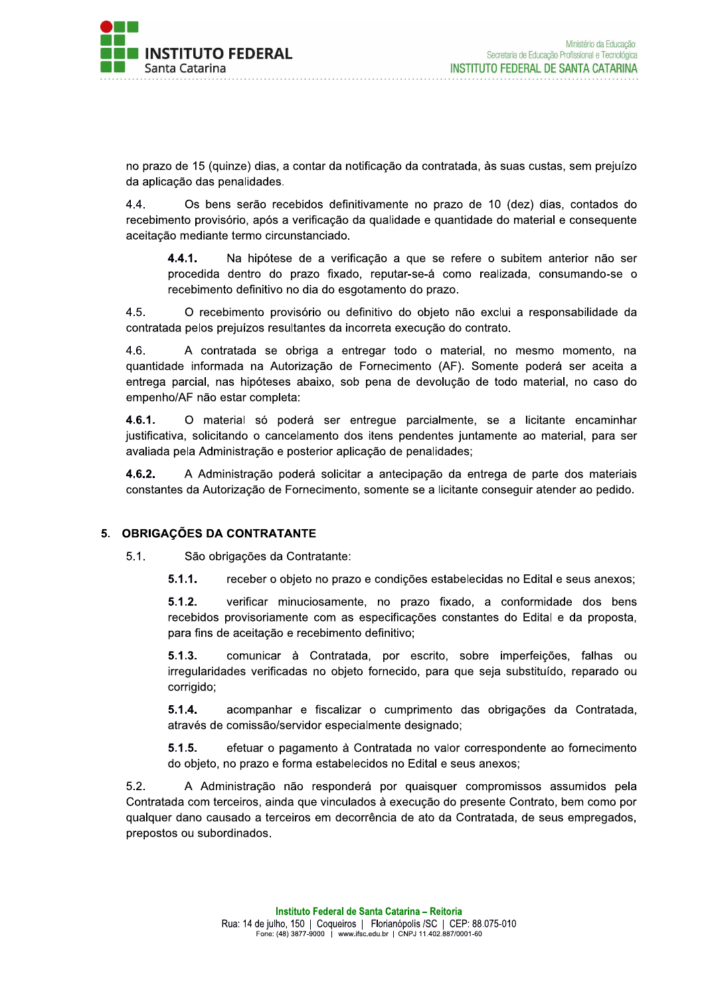no prazo de 15 (quinze) dias, a contar da notificação da contratada, às suas custas, sem prejuízo da aplicação das penalidades.

 $4.4.$ Os bens serão recebidos definitivamente no prazo de 10 (dez) dias, contados do recebimento provisório, após a verificação da qualidade e quantidade do material e consequente aceitação mediante termo circunstanciado.

Na hipótese de a verificação a que se refere o subitem anterior não ser  $4.4.1.$ procedida dentro do prazo fixado, reputar-se-á como realizada, consumando-se o recebimento definitivo no dia do esgotamento do prazo.

 $4.5.$ O recebimento provisório ou definitivo do objeto não exclui a responsabilidade da contratada pelos prejuízos resultantes da incorreta execução do contrato.

 $4.6.$ A contratada se obriga a entregar todo o material, no mesmo momento, na quantidade informada na Autorização de Fornecimento (AF). Somente poderá ser aceita a entrega parcial, nas hipóteses abaixo, sob pena de devolução de todo material, no caso do empenho/AF não estar completa:

 $4.6.1.$ O material só poderá ser entregue parcialmente, se a licitante encaminhar justificativa, solicitando o cancelamento dos itens pendentes juntamente ao material, para ser avaliada pela Administração e posterior aplicação de penalidades:

4.6.2. A Administração poderá solicitar a antecipação da entrega de parte dos materiais constantes da Autorização de Fornecimento, somente se a licitante conseguir atender ao pedido.

### 5. OBRIGAÇÕES DA CONTRATANTE

 $5.1.$ São obrigações da Contratante:

> $5.1.1.$ receber o objeto no prazo e condições estabelecidas no Edital e seus anexos;

> $5.1.2.$ verificar minuciosamente, no prazo fixado, a conformidade dos bens recebidos provisoriamente com as especificações constantes do Edital e da proposta. para fins de aceitação e recebimento definitivo;

> $5.1.3.$ comunicar à Contratada, por escrito, sobre imperfeições, falhas ou irregularidades verificadas no objeto fornecido, para que seja substituído, reparado ou corrigido;

> $5.1.4.$ acompanhar e fiscalizar o cumprimento das obrigações da Contratada, através de comissão/servidor especialmente designado;

> $5.1.5.$ efetuar o pagamento à Contratada no valor correspondente ao fornecimento do objeto, no prazo e forma estabelecidos no Edital e seus anexos;

 $5.2.$ A Administração não responderá por quaisquer compromissos assumidos pela Contratada com terceiros, ainda que vinculados à execução do presente Contrato, bem como por qualquer dano causado a terceiros em decorrência de ato da Contratada, de seus empregados, prepostos ou subordinados.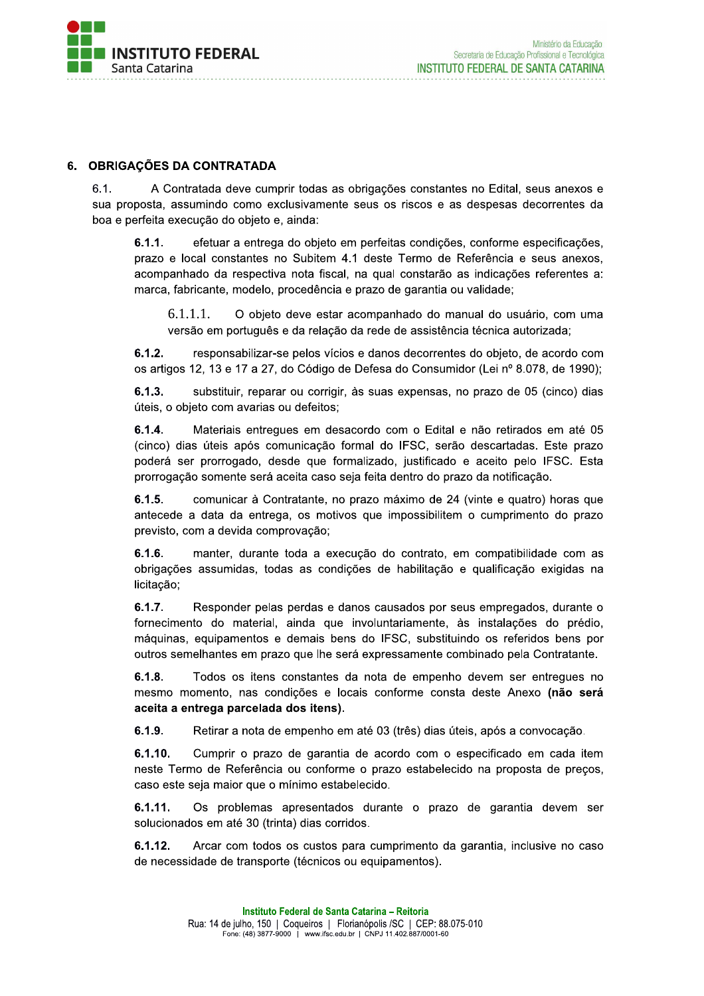

### 6. OBRIGAÇÕES DA CONTRATADA

 $6.1.$ A Contratada deve cumprir todas as obrigações constantes no Edital, seus anexos e sua proposta, assumindo como exclusivamente seus os riscos e as despesas decorrentes da boa e perfeita execução do objeto e, ainda:

 $6.1.1.$ efetuar a entrega do objeto em perfeitas condições, conforme especificações, prazo e local constantes no Subitem 4.1 deste Termo de Referência e seus anexos, acompanhado da respectiva nota fiscal, na qual constarão as indicações referentes a: marca, fabricante, modelo, procedência e prazo de garantia ou validade;

 $6.1.1.1.$ O objeto deve estar acompanhado do manual do usuário, com uma versão em português e da relação da rede de assistência técnica autorizada;

 $6.1.2.$ responsabilizar-se pelos vícios e danos decorrentes do objeto, de acordo com os artigos 12, 13 e 17 a 27, do Código de Defesa do Consumidor (Lei nº 8.078, de 1990);

 $6.1.3.$ substituir, reparar ou corrigir, às suas expensas, no prazo de 05 (cinco) dias úteis, o objeto com avarias ou defeitos;

 $6.1.4.$ Materiais entregues em desacordo com o Edital e não retirados em até 05 (cinco) dias úteis após comunicação formal do IFSC, serão descartadas. Este prazo poderá ser prorrogado, desde que formalizado, justificado e aceito pelo IFSC. Esta prorrogação somente será aceita caso seja feita dentro do prazo da notificação.

comunicar à Contratante, no prazo máximo de 24 (vinte e quatro) horas que  $6.1.5.$ antecede a data da entrega, os motivos que impossibilitem o cumprimento do prazo previsto, com a devida comprovação;

 $6.1.6.$ manter, durante toda a execução do contrato, em compatibilidade com as obrigações assumidas, todas as condições de habilitação e qualificação exigidas na licitação;

 $6.1.7.$ Responder pelas perdas e danos causados por seus empregados, durante o fornecimento do material, ainda que involuntariamente, às instalações do prédio, máquinas, equipamentos e demais bens do IFSC, substituindo os referidos bens por outros semelhantes em prazo que lhe será expressamente combinado pela Contratante.

 $6.1.8.$ Todos os itens constantes da nota de empenho devem ser entregues no mesmo momento, nas condições e locais conforme consta deste Anexo (não será aceita a entrega parcelada dos itens).

 $6.1.9.$ Retirar a nota de empenho em até 03 (três) dias úteis, após a convocação.

 $6.1.10.$ Cumprir o prazo de garantia de acordo com o especificado em cada item neste Termo de Referência ou conforme o prazo estabelecido na proposta de preços, caso este seja maior que o mínimo estabelecido.

 $6.1.11$ . Os problemas apresentados durante o prazo de garantia devem ser solucionados em até 30 (trinta) dias corridos.

 $6.1.12.$ Arcar com todos os custos para cumprimento da garantia, inclusive no caso de necessidade de transporte (técnicos ou equipamentos).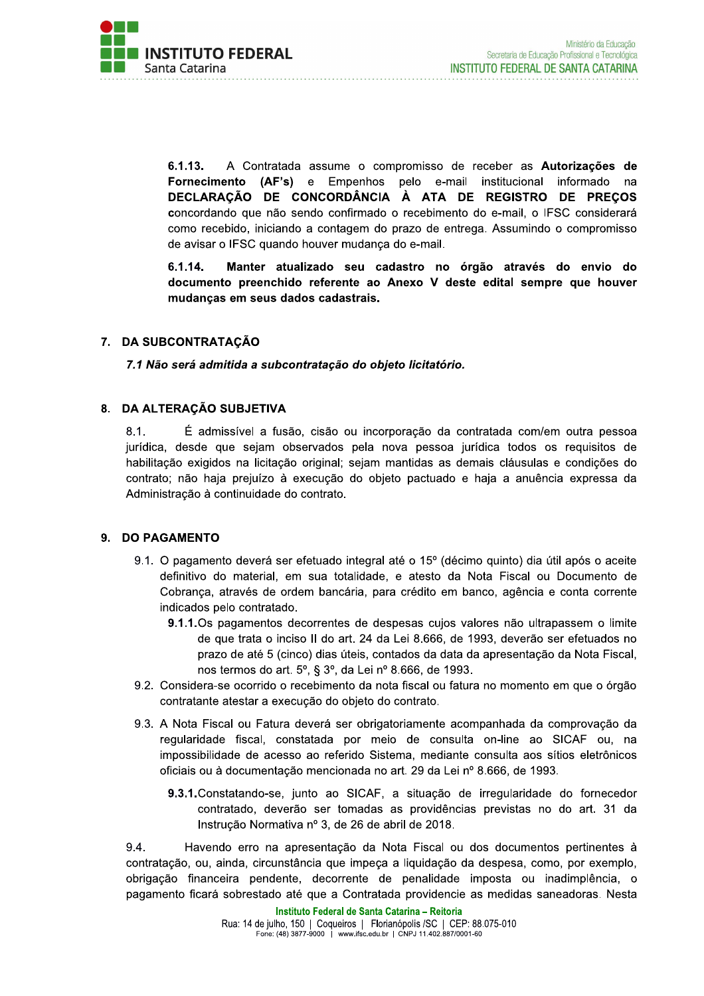

 $6.1.13.$ A Contratada assume o compromisso de receber as Autorizações de Fornecimento (AF's) e Empenhos pelo e-mail institucional informado na DECLARAÇÃO DE CONCORDÂNCIA À ATA DE REGISTRO DE PRECOS concordando que não sendo confirmado o recebimento do e-mail, o IFSC considerará como recebido, iniciando a contagem do prazo de entrega. Assumindo o compromisso de avisar o IFSC quando houver mudança do e-mail.

6.1.14. Manter atualizado seu cadastro no órgão através do envio do documento preenchido referente ao Anexo V deste edital sempre que houver mudanças em seus dados cadastrais.

### 7. DA SUBCONTRATAÇÃO

7.1 Não será admitida a subcontratação do objeto licitatório.

### 8. DA ALTERAÇÃO SUBJETIVA

 $8.1.$ É admissível a fusão, cisão ou incorporação da contratada com/em outra pessoa jurídica, desde que sejam observados pela nova pessoa jurídica todos os requisitos de habilitação exigidos na licitação original; sejam mantidas as demais cláusulas e condições do contrato; não haja prejuízo à execução do objeto pactuado e haja a anuência expressa da Administração à continuidade do contrato.

### 9. DO PAGAMENTO

- 9.1. O pagamento deverá ser efetuado integral até o 15<sup>°</sup> (décimo quinto) dia útil após o aceite definitivo do material, em sua totalidade, e atesto da Nota Fiscal ou Documento de Cobrança, através de ordem bancária, para crédito em banco, agência e conta corrente indicados pelo contratado.
	- 9.1.1. Os pagamentos decorrentes de despesas cujos valores não ultrapassem o limite de que trata o inciso II do art. 24 da Lei 8.666, de 1993, deverão ser efetuados no prazo de até 5 (cinco) dias úteis, contados da data da apresentação da Nota Fiscal. nos termos do art. 5°, § 3°, da Lei nº 8.666, de 1993.
- 9.2. Considera-se ocorrido o recebimento da nota fiscal ou fatura no momento em que o órgão contratante atestar a execução do objeto do contrato.
- 9.3. A Nota Fiscal ou Fatura deverá ser obrigatoriamente acompanhada da comprovação da regularidade fiscal, constatada por meio de consulta on-line ao SICAF ou, na impossibilidade de acesso ao referido Sistema, mediante consulta aos sítios eletrônicos oficiais ou à documentação mencionada no art. 29 da Lei nº 8.666, de 1993.
	- 9.3.1. Constatando-se, junto ao SICAF, a situação de irregularidade do fornecedor contratado, deverão ser tomadas as providências previstas no do art. 31 da Instrução Normativa nº 3, de 26 de abril de 2018.

9.4. Havendo erro na apresentação da Nota Fiscal ou dos documentos pertinentes à contratação, ou, ainda, circunstância que impeça a liquidação da despesa, como, por exemplo, obrigação financeira pendente, decorrente de penalidade imposta ou inadimplência, o pagamento ficará sobrestado até que a Contratada providencie as medidas saneadoras. Nesta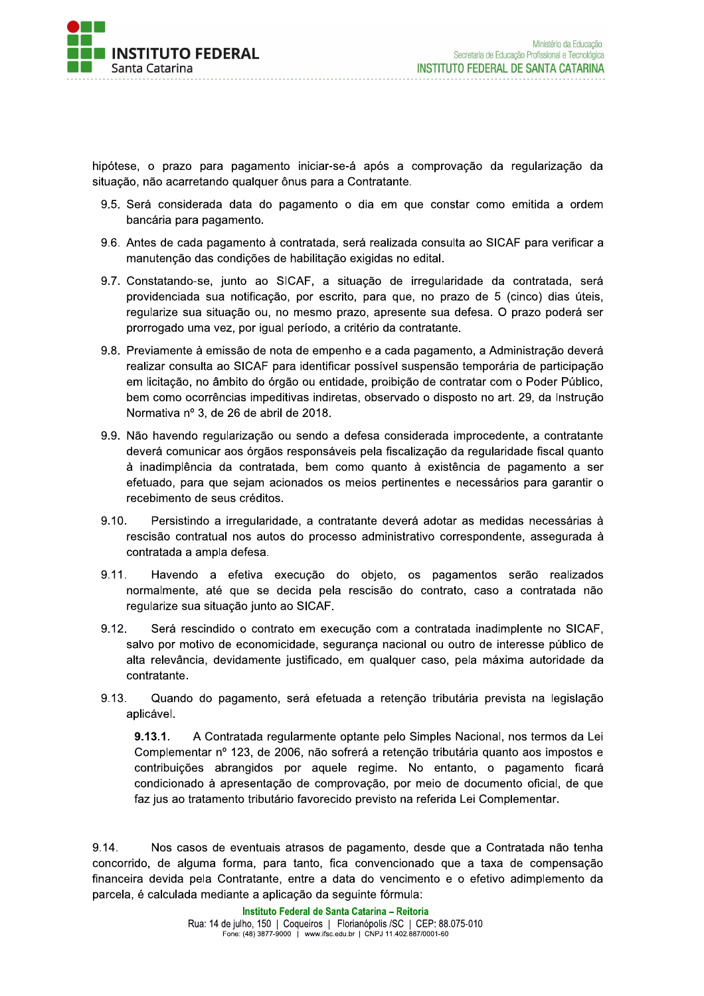

hipótese, o prazo para pagamento iniciar-se-á após a comprovação da regularização da situação, não acarretando qualquer ônus para a Contratante.

- 9.5. Será considerada data do pagamento o dia em que constar como emitida a ordem bancária para pagamento.
- 9.6. Antes de cada pagamento à contratada, será realizada consulta ao SICAF para verificar a manutenção das condições de habilitação exigidas no edital.
- 9.7. Constatando-se, junto ao SICAF, a situação de irregularidade da contratada, será providenciada sua notificação, por escrito, para que, no prazo de 5 (cinco) dias úteis, regularize sua situação ou, no mesmo prazo, apresente sua defesa. O prazo poderá ser prorrogado uma vez, por igual período, a critério da contratante.
- 9.8. Previamente à emissão de nota de empenho e a cada pagamento, a Administração deverá realizar consulta ao SICAF para identificar possível suspensão temporária de participação em licitação, no âmbito do órgão ou entidade, proibição de contratar com o Poder Público, bem como ocorrências impeditivas indiretas, observado o disposto no art. 29, da Instrução Normativa nº 3, de 26 de abril de 2018.
- 9.9. Não havendo regularização ou sendo a defesa considerada improcedente, a contratante deverá comunicar aos órgãos responsáveis pela fiscalização da regularidade fiscal quanto à inadimplência da contratada, bem como quanto à existência de pagamento a ser efetuado, para que sejam acionados os meios pertinentes e necessários para garantir o recebimento de seus créditos.
- $9.10.$ Persistindo a irregularidade, a contratante deverá adotar as medidas necessárias à rescisão contratual nos autos do processo administrativo correspondente, assegurada à contratada a ampla defesa.
- $9.11.$ Havendo a efetiva execução do objeto, os pagamentos serão realizados normalmente, até que se decida pela rescisão do contrato, caso a contratada não regularize sua situação junto ao SICAF.
- $9.12.$ Será rescindido o contrato em execução com a contratada inadimplente no SICAF, salvo por motivo de economicidade, seguranca nacional ou outro de interesse público de alta relevância, devidamente justificado, em qualquer caso, pela máxima autoridade da contratante.
- $9.13.$ Quando do pagamento, será efetuada a retenção tributária prevista na legislação aplicável.

 $9.13.1.$ A Contratada regularmente optante pelo Simples Nacional, nos termos da Lei Complementar nº 123, de 2006, não sofrerá a retenção tributária quanto aos impostos e contribuições abrangidos por aquele regime. No entanto, o pagamento ficará condicionado à apresentação de comprovação, por meio de documento oficial, de que faz jus ao tratamento tributário favorecido previsto na referida Lei Complementar.

9.14. Nos casos de eventuais atrasos de pagamento, desde que a Contratada não tenha concorrido, de alguma forma, para tanto, fica convencionado que a taxa de compensação financeira devida pela Contratante, entre a data do vencimento e o efetivo adimplemento da parcela, é calculada mediante a aplicação da seguinte fórmula: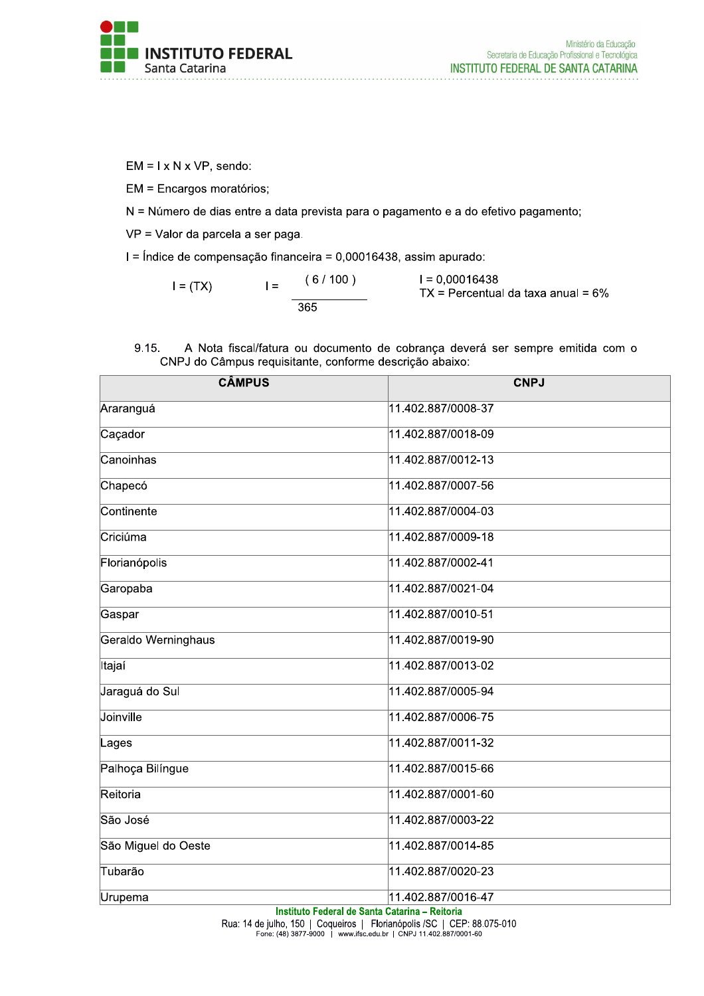

Ministério da Educação Secretaria de Educação Profissional e Tecnológica INSTITUTO FEDERAL DE SANTA CATARINA

 $EM = I \times N \times VP$ , sendo:

EM = Encargos moratórios;

N = Número de dias entre a data prevista para o pagamento e a do efetivo pagamento;

VP = Valor da parcela a ser paga.

I = Índice de compensação financeira = 0,00016438, assim apurado:

 $(6/100)$  $I = 0.00016438$  $I =$  $I = (TX)$  $TX = Percentual da taxa anual = 6%$  $365$ 

A Nota fiscal/fatura ou documento de cobrança deverá ser sempre emitida com o 9.15. CNPJ do Câmpus requisitante, conforme descrição abaixo:

| <b>CÂMPUS</b>       | <b>CNPJ</b>                                                          |
|---------------------|----------------------------------------------------------------------|
| Araranguá           | 11.402.887/0008-37                                                   |
| Caçador             | 11.402.887/0018-09                                                   |
| Canoinhas           | 11.402.887/0012-13                                                   |
| Chapecó             | 11.402.887/0007-56                                                   |
| Continente          | 11.402.887/0004-03                                                   |
| Criciúma            | 11.402.887/0009-18                                                   |
| Florianópolis       | 11.402.887/0002-41                                                   |
| Garopaba            | 11.402.887/0021-04                                                   |
| Gaspar              | 11.402.887/0010-51                                                   |
| Geraldo Werninghaus | 11.402.887/0019-90                                                   |
| Itajaí              | 11.402.887/0013-02                                                   |
| Jaraguá do Sul      | 11.402.887/0005-94                                                   |
| Joinville           | 11.402.887/0006-75                                                   |
| Lages               | 11.402.887/0011-32                                                   |
| Palhoça Bilíngue    | 11.402.887/0015-66                                                   |
| Reitoria            | 11.402.887/0001-60                                                   |
| São José            | 11.402.887/0003-22                                                   |
| São Miguel do Oeste | 11.402.887/0014-85                                                   |
| Tubarão             | 11.402.887/0020-23                                                   |
| Urupema             | 11.402.887/0016-47<br>Institute Federal de Cente Ceterina - Deiterin |

Instituto Federal de Santa Catarina - Reitoria

Rua: 14 de julho, 150 | Coqueiros | Florianópolis / SC | CEP: 88.075-010<br>Fone: (48) 3877-9000 | www.ifsc.edu.br | CNPJ 11.402.887/0001-60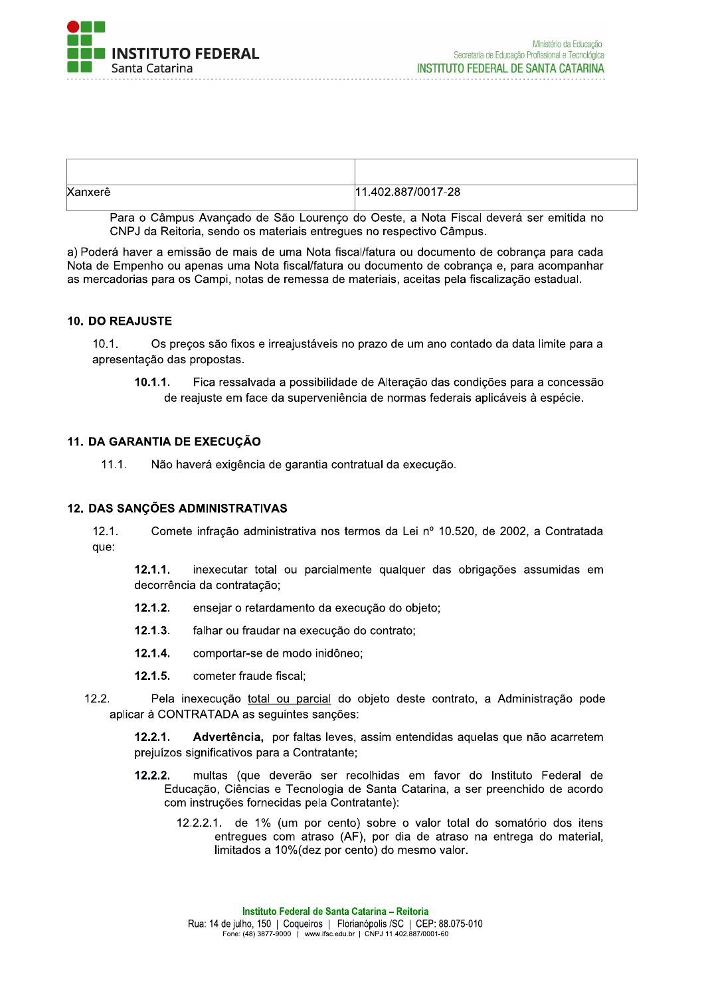

| Xanxerê | .402.887/0017-28<br>11 |
|---------|------------------------|

Para o Câmpus Avancado de São Lourenco do Oeste, a Nota Fiscal deverá ser emitida no CNPJ da Reitoria, sendo os materiais entregues no respectivo Câmpus.

a) Poderá haver a emissão de mais de uma Nota fiscal/fatura ou documento de cobrança para cada Nota de Empenho ou apenas uma Nota fiscal/fatura ou documento de cobrança e, para acompanhar as mercadorias para os Campi, notas de remessa de materiais, aceitas pela fiscalização estadual.

#### 10. DO REAJUSTE

 $10.1.$ Os precos são fixos e irreajustáveis no prazo de um ano contado da data limite para a apresentação das propostas.

 $10.1.1.$ Fica ressalvada a possibilidade de Alteração das condições para a concessão de reajuste em face da superveniência de normas federais aplicáveis à espécie.

#### 11. DA GARANTIA DE EXECUÇÃO

 $11.1.$ Não haverá exigência de garantia contratual da execução.

#### **12. DAS SANÇÕES ADMINISTRATIVAS**

 $12.1.$ Comete infração administrativa nos termos da Lei nº 10.520, de 2002, a Contratada que:

 $12.1.1.$ inexecutar total ou parcialmente qualquer das obrigações assumidas em decorrência da contratação;

- $12.1.2.$ ensejar o retardamento da execução do objeto;
- $12.1.3.$ falhar ou fraudar na execução do contrato:
- $12.1.4.$ comportar-se de modo inidôneo;
- $12.1.5.$ cometer fraude fiscal;
- $12.2.$ Pela inexecução total ou parcial do objeto deste contrato, a Administração pode aplicar à CONTRATADA as seguintes sanções:

 $12.2.1.$ Advertência, por faltas leves, assim entendidas aquelas que não acarretem prejuízos significativos para a Contratante;

- multas (que deverão ser recolhidas em favor do Instituto Federal de  $12.2.2.$ Educação, Ciências e Tecnologia de Santa Catarina, a ser preenchido de acordo com instruções fornecidas pela Contratante):
	- 12.2.2.1. de 1% (um por cento) sobre o valor total do somatório dos itens entregues com atraso (AF), por dia de atraso na entrega do material. limitados a 10% (dez por cento) do mesmo valor.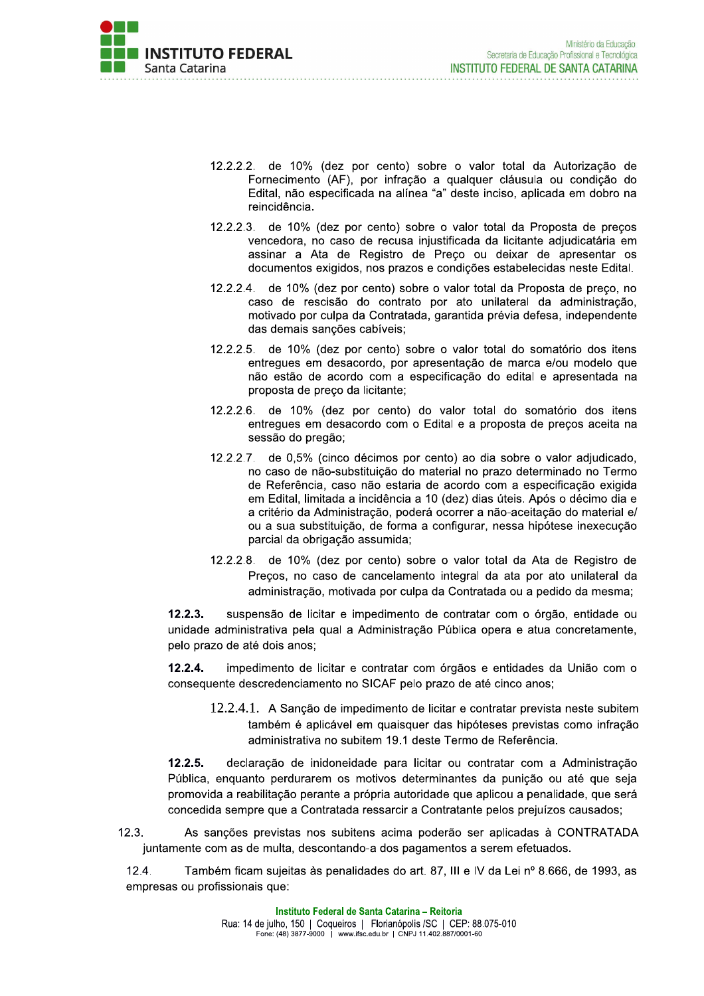

- 12.2.2.2. de 10% (dez por cento) sobre o valor total da Autorização de Fornecimento (AF), por infração a qualquer cláusula ou condição do Edital, não especificada na alínea "a" deste inciso, aplicada em dobro na reincidência.
- 12.2.2.3. de 10% (dez por cento) sobre o valor total da Proposta de preços vencedora, no caso de recusa injustificada da licitante adjudicatária em assinar a Ata de Registro de Preço ou deixar de apresentar os documentos exigidos, nos prazos e condições estabelecidas neste Edital.
- 12.2.2.4. de 10% (dez por cento) sobre o valor total da Proposta de preço, no caso de rescisão do contrato por ato unilateral da administração, motivado por culpa da Contratada, garantida prévia defesa, independente das demais sancões cabíveis:
- 12.2.2.5. de 10% (dez por cento) sobre o valor total do somatório dos itens entregues em desacordo, por apresentação de marca e/ou modelo que não estão de acordo com a especificação do edital e apresentada na proposta de preço da licitante;
- 12.2.2.6. de 10% (dez por cento) do valor total do somatório dos itens entregues em desacordo com o Edital e a proposta de preços aceita na sessão do pregão;
- $12.2.2.7$ . de 0,5% (cinco décimos por cento) ao dia sobre o valor adjudicado, no caso de não-substituição do material no prazo determinado no Termo de Referência, caso não estaria de acordo com a especificação exigida em Edital, limitada a incidência a 10 (dez) dias úteis. Após o décimo dia e a critério da Administração, poderá ocorrer a não-aceitação do material e/ ou a sua substituição, de forma a configurar, nessa hipótese inexecução parcial da obrigação assumida;
- 12.2.2.8. de 10% (dez por cento) sobre o valor total da Ata de Registro de Preços, no caso de cancelamento integral da ata por ato unilateral da administração, motivada por culpa da Contratada ou a pedido da mesma;

 $12.2.3.$ suspensão de licitar e impedimento de contratar com o órgão, entidade ou unidade administrativa pela qual a Administração Pública opera e atua concretamente, pelo prazo de até dois anos;

 $12.2.4.$ impedimento de licitar e contratar com órgãos e entidades da União com o consequente descredenciamento no SICAF pelo prazo de até cinco anos;

12.2.4.1. A Sancão de impedimento de licitar e contratar prevista neste subitem também é aplicável em quaisquer das hipóteses previstas como infração administrativa no subitem 19.1 deste Termo de Referência.

 $12.2.5.$ declaração de inidoneidade para licitar ou contratar com a Administração Pública, enquanto perdurarem os motivos determinantes da punição ou até que seja promovida a reabilitação perante a própria autoridade que aplicou a penalidade, que será concedida sempre que a Contratada ressarcir a Contratante pelos prejuízos causados:

 $12.3.$ As sanções previstas nos subitens acima poderão ser aplicadas à CONTRATADA juntamente com as de multa, descontando-a dos pagamentos a serem efetuados.

 $12.4.$ Também ficam sujeitas às penalidades do art. 87, III e IV da Lei nº 8.666, de 1993, as empresas ou profissionais que: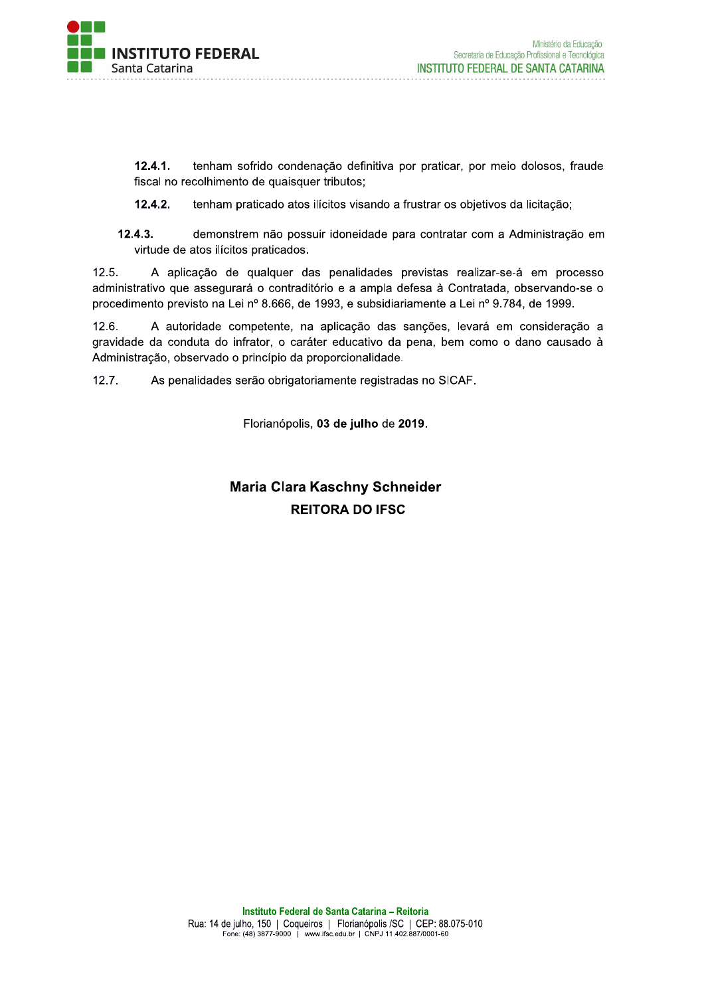

 $12.4.1.$ tenham sofrido condenação definitiva por praticar, por meio dolosos, fraude fiscal no recolhimento de quaisquer tributos;

 $12.4.2.$ tenham praticado atos ilícitos visando a frustrar os objetivos da licitação;

 $12.4.3.$ demonstrem não possuir idoneidade para contratar com a Administração em virtude de atos ilícitos praticados.

A aplicação de qualquer das penalidades previstas realizar-se-á em processo  $12.5.$ administrativo que assegurará o contraditório e a ampla defesa à Contratada, observando-se o procedimento previsto na Lei nº 8.666, de 1993, e subsidiariamente a Lei nº 9.784, de 1999.

 $12.6.$ A autoridade competente, na aplicação das sanções, levará em consideração a gravidade da conduta do infrator, o caráter educativo da pena, bem como o dano causado à Administração, observado o princípio da proporcionalidade.

 $12.7.$ As penalidades serão obrigatoriamente registradas no SICAF.

Florianópolis, 03 de julho de 2019.

# **Maria Clara Kaschny Schneider REITORA DO IFSC**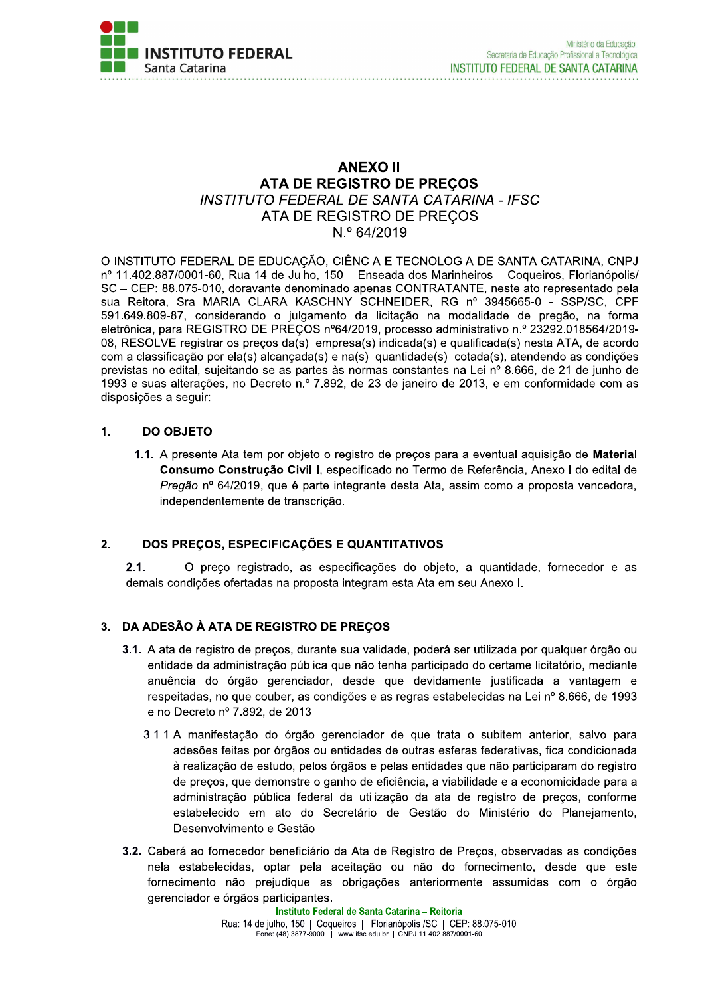

### **ANEXO II** ATA DE REGISTRO DE PREÇOS INSTITUTO FEDERAL DE SANTA CATARINA - IFSC ATA DE REGISTRO DE PRECOS N.º 64/2019

O INSTITUTO FEDERAL DE EDUCAÇÃO, CIÊNCIA E TECNOLOGIA DE SANTA CATARINA, CNPJ nº 11.402.887/0001-60, Rua 14 de Julho, 150 - Enseada dos Marinheiros - Coqueiros, Florianópolis/ SC - CEP: 88.075-010, doravante denominado apenas CONTRATANTE, neste ato representado pela sua Reitora, Sra MARIA CLARA KASCHNY SCHNEIDER, RG nº 3945665-0 - SSP/SC, CPF 591.649.809-87, considerando o julgamento da licitação na modalidade de pregão, na forma eletrônica, para REGISTRO DE PREÇOS nº64/2019, processo administrativo n.º 23292.018564/2019-08, RESOLVE registrar os preços da(s) empresa(s) indicada(s) e qualificada(s) nesta ATA, de acordo com a classificação por ela(s) alcançada(s) e na(s) quantidade(s) cotada(s), atendendo as condições previstas no edital, sujeitando-se as partes às normas constantes na Lei nº 8.666, de 21 de junho de 1993 e suas alterações, no Decreto n.º 7.892, de 23 de janeiro de 2013, e em conformidade com as disposicões a sequir:

#### $1.$ **DO OBJETO**

1.1. A presente Ata tem por objeto o registro de preços para a eventual aquisição de Material Consumo Construção Civil I, especificado no Termo de Referência, Anexo I do edital de Pregão nº 64/2019, que é parte integrante desta Ata, assim como a proposta vencedora, independentemente de transcrição.

#### DOS PRECOS. ESPECIFICAÇÕES E QUANTITATIVOS  $2.$

 $2.1.$ O preço registrado, as especificações do objeto, a quantidade, fornecedor e as demais condições ofertadas na proposta integram esta Ata em seu Anexo I.

### 3. DA ADESÃO À ATA DE REGISTRO DE PRECOS

- 3.1. A ata de registro de preços, durante sua validade, poderá ser utilizada por qualquer órgão ou entidade da administração pública que não tenha participado do certame licitatório, mediante anuência do órgão gerenciador, desde que devidamente justificada a vantagem e respeitadas, no que couber, as condições e as regras estabelecidas na Lei nº 8.666, de 1993 e no Decreto nº 7.892, de 2013.
	- 3.1.1.A manifestação do órgão gerenciador de que trata o subitem anterior, salvo para adesões feitas por órgãos ou entidades de outras esferas federativas, fica condicionada à realização de estudo, pelos órgãos e pelas entidades que não participaram do registro de preços, que demonstre o ganho de eficiência, a viabilidade e a economicidade para a administração pública federal da utilização da ata de registro de precos, conforme estabelecido em ato do Secretário de Gestão do Ministério do Planejamento, Desenvolvimento e Gestão
- 3.2. Caberá ao fornecedor beneficiário da Ata de Registro de Preços, observadas as condições nela estabelecidas, optar pela aceitação ou não do fornecimento, desde que este fornecimento não prejudique as obrigações anteriormente assumidas com o órgão gerenciador e órgãos participantes.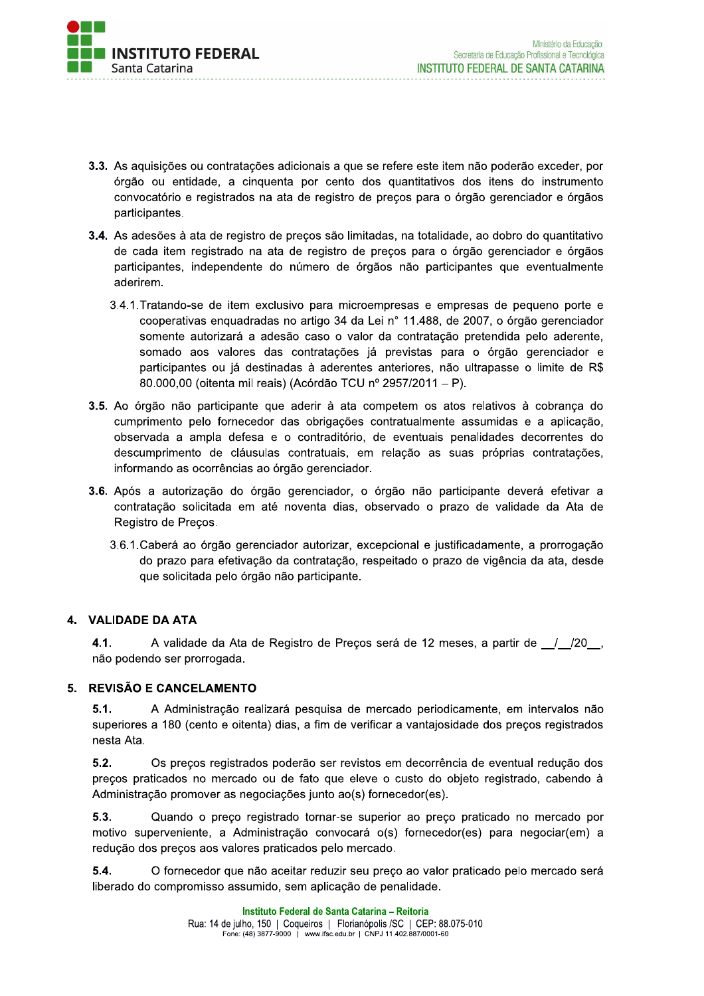

- 3.3. As aquisições ou contratações adicionais a que se refere este item não poderão exceder, por órgão ou entidade, a cinquenta por cento dos quantitativos dos itens do instrumento convocatório e registrados na ata de registro de preços para o órgão gerenciador e órgãos participantes.
- 3.4. As adesões à ata de registro de precos são limitadas, na totalidade, ao dobro do quantitativo de cada item registrado na ata de registro de preços para o órgão gerenciador e órgãos participantes, independente do número de órgãos não participantes que eventualmente aderirem.
	- 3.4.1. Tratando-se de item exclusivo para microempresas e empresas de pequeno porte e cooperativas enquadradas no artigo 34 da Lei nº 11.488, de 2007, o órgão gerenciador somente autorizará a adesão caso o valor da contratação pretendida pelo aderente, somado aos valores das contratações já previstas para o órgão gerenciador e participantes ou já destinadas à aderentes anteriores, não ultrapasse o limite de R\$ 80.000,00 (oitenta mil reais) (Acórdão TCU nº 2957/2011 - P).
- 3.5. Ao órgão não participante que aderir à ata competem os atos relativos à cobrança do cumprimento pelo fornecedor das obrigações contratualmente assumidas e a aplicação, observada a ampla defesa e o contraditório, de eventuais penalidades decorrentes do descumprimento de cláusulas contratuais, em relação as suas próprias contratações, informando as ocorrências ao órgão gerenciador.
- 3.6. Após a autorização do órgão gerenciador, o órgão não participante deverá efetivar a contratação solicitada em até noventa dias, observado o prazo de validade da Ata de Registro de Preços.
	- 3.6.1. Caberá ao órgão gerenciador autorizar, excepcional e justificadamente, a prorrogação do prazo para efetivação da contratação, respeitado o prazo de vigência da ata, desde que solicitada pelo órgão não participante.

### 4. VALIDADE DA ATA

 $4.1.$ A validade da Ata de Registro de Preços será de 12 meses, a partir de \_/\_/20\_, não podendo ser prorrogada.

### 5. REVISÃO E CANCELAMENTO

 $5.1.$ A Administração realizará pesquisa de mercado periodicamente, em intervalos não superiores a 180 (cento e oitenta) dias, a fim de verificar a vantajosidade dos preços registrados nesta Ata.

 $5.2.$ Os precos registrados poderão ser revistos em decorrência de eventual redução dos preços praticados no mercado ou de fato que eleve o custo do objeto registrado, cabendo à Administração promover as negociações junto ao(s) fornecedor(es).

5.3. Quando o preço registrado tornar-se superior ao preço praticado no mercado por motivo superveniente, a Administração convocará o(s) fornecedor(es) para negociar(em) a redução dos preços aos valores praticados pelo mercado.

 $5.4.$ O fornecedor que não aceitar reduzir seu preço ao valor praticado pelo mercado será liberado do compromisso assumido, sem aplicação de penalidade.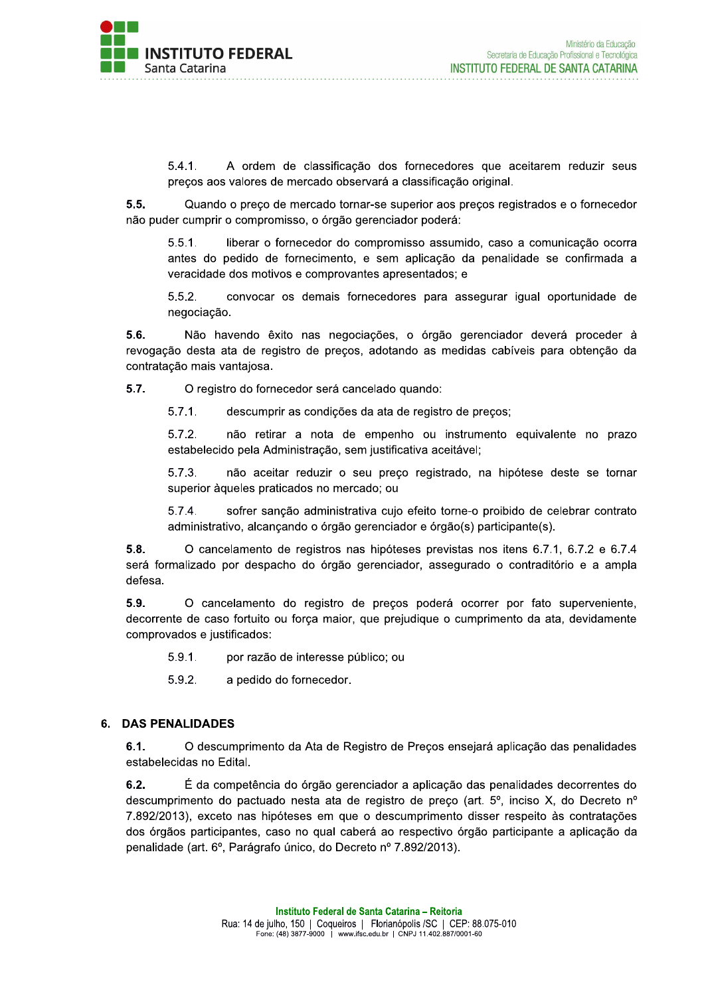

 $5.4.1$ A ordem de classificação dos fornecedores que aceitarem reduzir seus preços aos valores de mercado observará a classificação original.

 $5.5.$ Quando o preco de mercado tornar-se superior aos precos registrados e o fornecedor não puder cumprir o compromisso, o órgão gerenciador poderá:

 $5.5.1.$ liberar o fornecedor do compromisso assumido, caso a comunicação ocorra antes do pedido de fornecimento, e sem aplicação da penalidade se confirmada a veracidade dos motivos e comprovantes apresentados; e

 $5.5.2.$ convocar os demais fornecedores para assegurar igual oportunidade de negociação.

5.6. Não havendo êxito nas negociações, o órgão gerenciador deverá proceder à revogação desta ata de registro de preços, adotando as medidas cabíveis para obtenção da contratação mais vantajosa.

 $5.7.$ O registro do fornecedor será cancelado quando:

> $5.7.1.$ descumprir as condições da ata de registro de precos:

 $5.7.2.$ não retirar a nota de empenho ou instrumento equivalente no prazo estabelecido pela Administração, sem justificativa aceitável;

 $5.7.3.$ não aceitar reduzir o seu preço registrado, na hipótese deste se tornar superior àqueles praticados no mercado; ou

 $5.7.4.$ sofrer sanção administrativa cujo efeito torne-o proibido de celebrar contrato administrativo, alcançando o órgão gerenciador e órgão(s) participante(s).

 $5.8.$ O cancelamento de registros nas hipóteses previstas nos itens 6.7.1, 6.7.2 e 6.7.4 será formalizado por despacho do órgão gerenciador, assegurado o contraditório e a ampla defesa.

5.9. O cancelamento do registro de preços poderá ocorrer por fato superveniente, decorrente de caso fortuito ou força maior, que prejudique o cumprimento da ata, devidamente comprovados e justificados:

 $5.9.1.$ por razão de interesse público; ou

5.9.2. a pedido do fornecedor.

### 6. DAS PENALIDADES

 $6.1.$ O descumprimento da Ata de Registro de Preços ensejará aplicação das penalidades estabelecidas no Edital.

 $6.2.$ É da competência do órgão gerenciador a aplicação das penalidades decorrentes do descumprimento do pactuado nesta ata de registro de preco (art. 5°, inciso X, do Decreto n° 7.892/2013), exceto nas hipóteses em que o descumprimento disser respeito às contratações dos órgãos participantes, caso no qual caberá ao respectivo órgão participante a aplicação da penalidade (art. 6°, Parágrafo único, do Decreto nº 7.892/2013).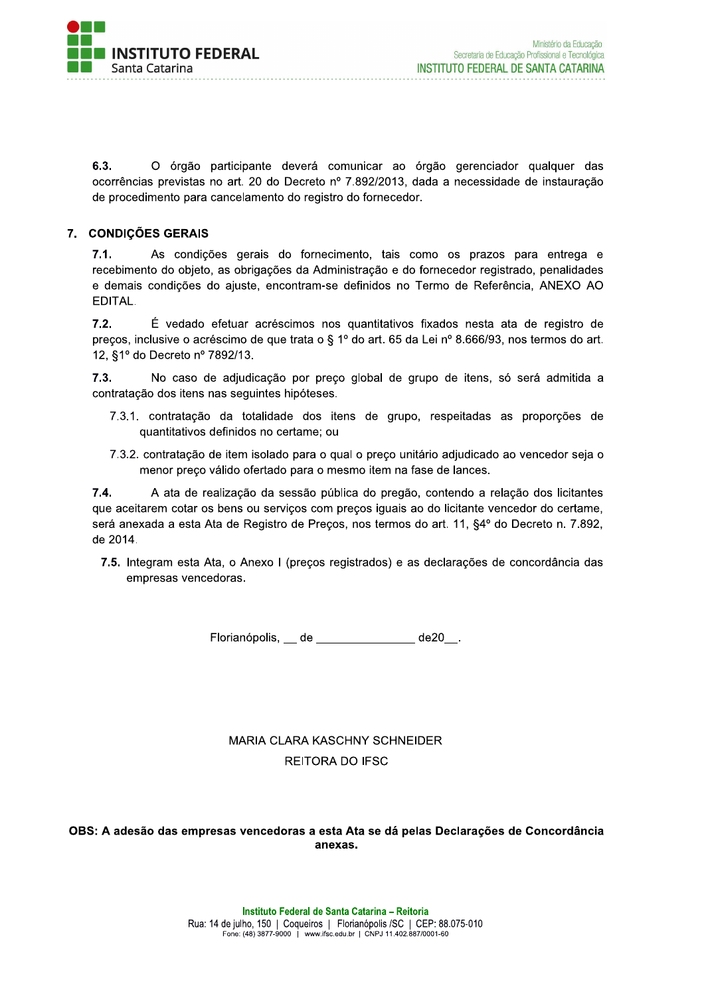

 $6.3.$ O órgão participante deverá comunicar ao órgão gerenciador qualquer das ocorrências previstas no art. 20 do Decreto nº 7.892/2013, dada a necessidade de instauração de procedimento para cancelamento do registro do fornecedor.

### 7. CONDIÇÕES GERAIS

 $7.1.$ As condições gerais do fornecimento, tais como os prazos para entrega e recebimento do objeto, as obrigações da Administração e do fornecedor registrado, penalidades e demais condições do ajuste, encontram-se definidos no Termo de Referência, ANEXO AO EDITAL.

 $7.2.$ É vedado efetuar acréscimos nos quantitativos fixados nesta ata de registro de preços, inclusive o acréscimo de que trata o § 1º do art. 65 da Lei nº 8.666/93, nos termos do art. 12, §1º do Decreto nº 7892/13.

 $7.3.$ No caso de adjudicação por preço global de grupo de itens, só será admitida a contratação dos itens nas seguintes hipóteses.

- 7.3.1. contratação da totalidade dos itens de grupo, respeitadas as proporções de quantitativos definidos no certame; ou
- 7.3.2. contratação de item isolado para o qual o preço unitário adjudicado ao vencedor seja o menor preço válido ofertado para o mesmo item na fase de lances.

 $7.4.$ A ata de realização da sessão pública do pregão, contendo a relação dos licitantes que aceitarem cotar os bens ou serviços com preços iguais ao do licitante vencedor do certame, será anexada a esta Ata de Registro de Preços, nos termos do art. 11, §4º do Decreto n. 7.892, de 2014.

7.5. Integram esta Ata, o Anexo I (preços registrados) e as declarações de concordância das empresas vencedoras.

Florianópolis, de \_\_\_\_\_\_ de \_\_\_\_\_\_ de20 .

# **MARIA CLARA KASCHNY SCHNEIDER REITORA DO IFSC**

#### OBS: A adesão das empresas vencedoras a esta Ata se dá pelas Declarações de Concordância anexas.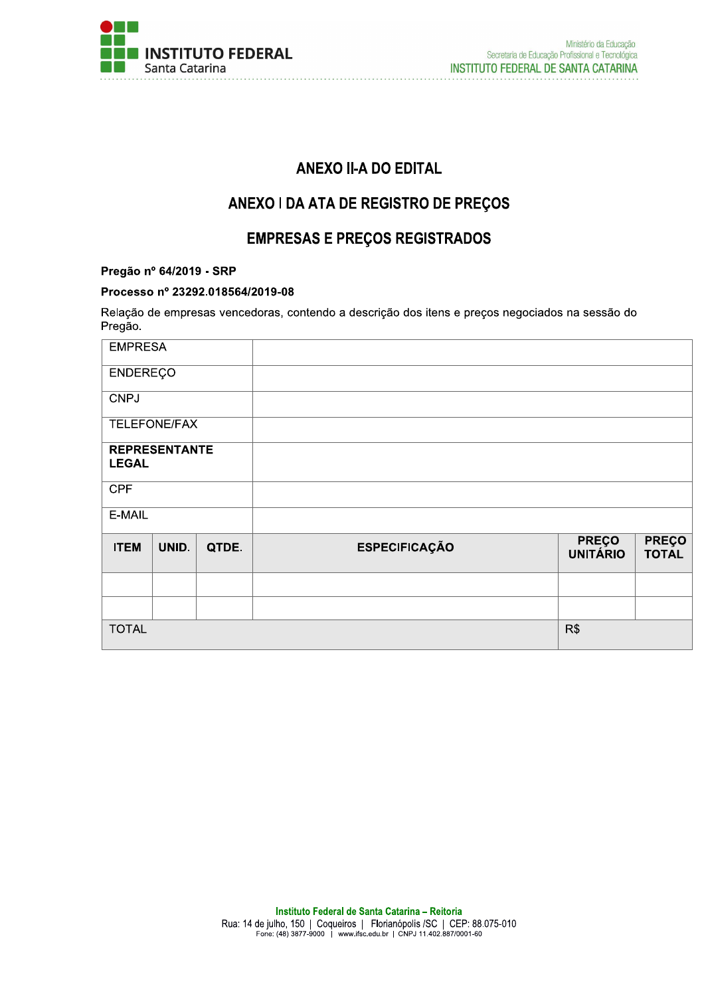

# **ANEXO II-A DO EDITAL**

# ANEXO I DA ATA DE REGISTRO DE PREÇOS

# **EMPRESAS E PREÇOS REGISTRADOS**

### Pregão nº 64/2019 - SRP

#### Processo nº 23292.018564/2019-08

Relação de empresas vencedoras, contendo a descrição dos itens e preços negociados na sessão do Pregão.

| <b>EMPRESA</b>                       |       |       |                      |                                 |                              |
|--------------------------------------|-------|-------|----------------------|---------------------------------|------------------------------|
| <b>ENDEREÇO</b>                      |       |       |                      |                                 |                              |
| <b>CNPJ</b>                          |       |       |                      |                                 |                              |
| TELEFONE/FAX                         |       |       |                      |                                 |                              |
| <b>REPRESENTANTE</b><br><b>LEGAL</b> |       |       |                      |                                 |                              |
| <b>CPF</b>                           |       |       |                      |                                 |                              |
| E-MAIL                               |       |       |                      |                                 |                              |
| <b>ITEM</b>                          | UNID. | QTDE. | <b>ESPECIFICAÇÃO</b> | <b>PREÇO</b><br><b>UNITÁRIO</b> | <b>PREÇO</b><br><b>TOTAL</b> |
|                                      |       |       |                      |                                 |                              |
|                                      |       |       |                      |                                 |                              |
| <b>TOTAL</b>                         |       |       |                      | R\$                             |                              |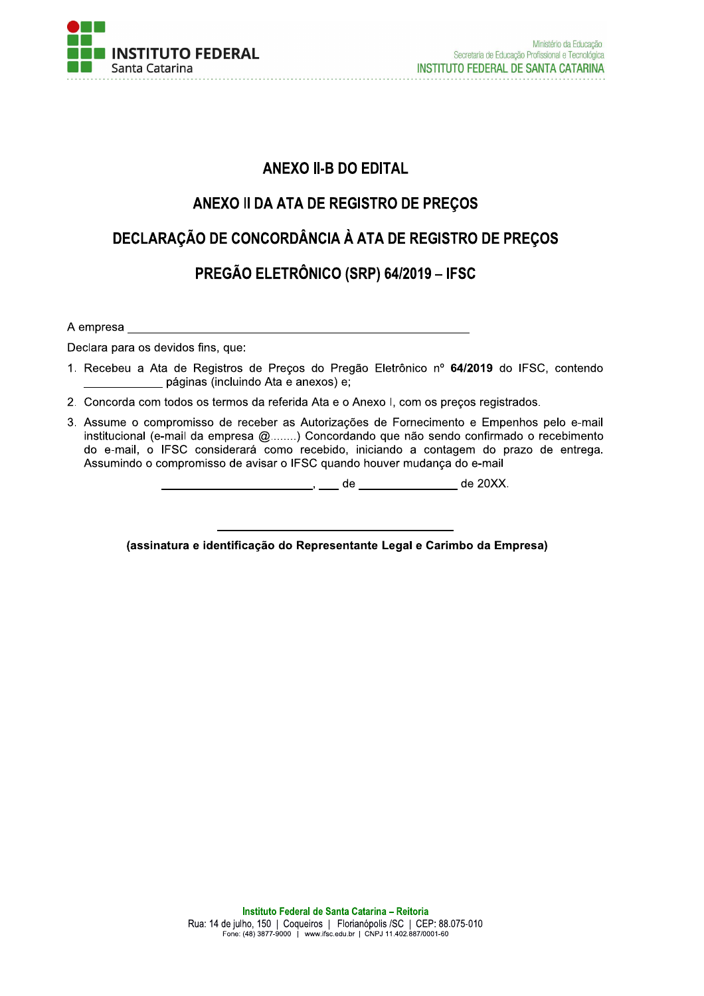

# **ANEXO II-B DO EDITAL**

# ANEXO II DA ATA DE REGISTRO DE PREÇOS

# DECLARAÇÃO DE CONCORDÂNCIA À ATA DE REGISTRO DE PREÇOS

# PREGÃO ELETRÔNICO (SRP) 64/2019 - IFSC

A empresa

Declara para os devidos fins, que:

- 1. Recebeu a Ata de Registros de Preços do Pregão Eletrônico nº 64/2019 do IFSC, contendo páginas (incluindo Ata e anexos) e;
- 2. Concorda com todos os termos da referida Ata e o Anexo I, com os precos registrados.
- 3. Assume o compromisso de receber as Autorizações de Fornecimento e Empenhos pelo e-mail institucional (e-mail da empresa @........) Concordando que não sendo confirmado o recebimento do e-mail, o IFSC considerará como recebido, iniciando a contagem do prazo de entrega. Assumindo o compromisso de avisar o IFSC quando houver mudança do e-mail

(assinatura e identificação do Representante Legal e Carimbo da Empresa)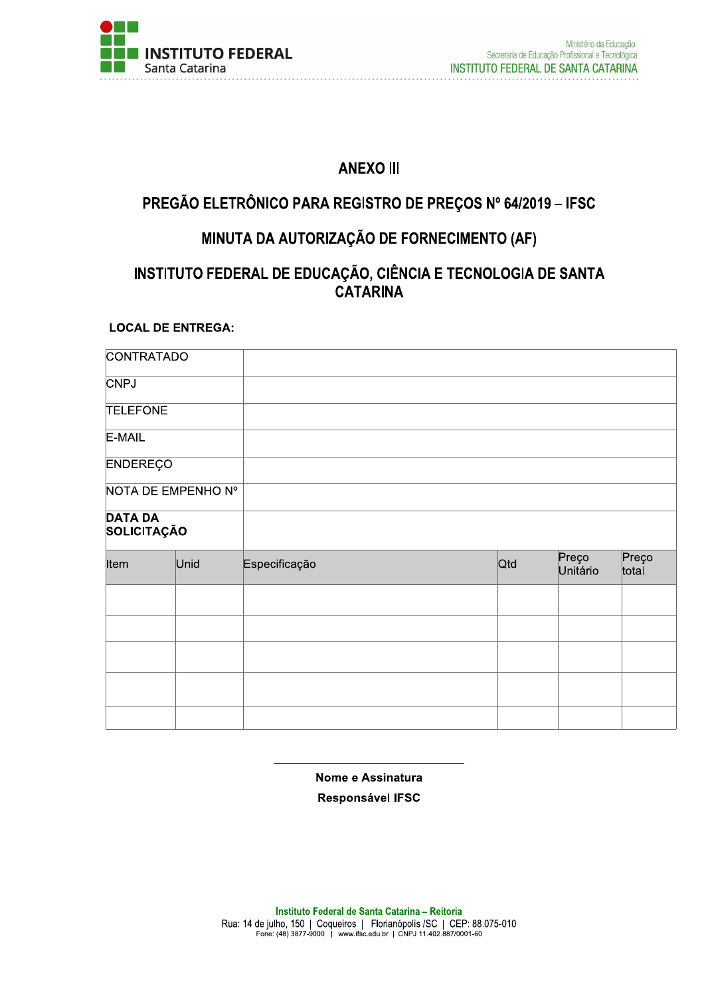

# **ANEXO III**

# PREGÃO ELETRÔNICO PARA REGISTRO DE PREÇOS Nº 64/2019 - IFSC

# MINUTA DA AUTORIZAÇÃO DE FORNECIMENTO (AF)

# INSTITUTO FEDERAL DE EDUCAÇÃO, CIÊNCIA E TECNOLOGIA DE SANTA **CATARINA**

### **LOCAL DE ENTREGA:**

| <b>CONTRATADO</b>             |                    |               |     |          |                |
|-------------------------------|--------------------|---------------|-----|----------|----------------|
| <b>CNPJ</b>                   |                    |               |     |          |                |
| <b>TELEFONE</b>               |                    |               |     |          |                |
| E-MAIL                        |                    |               |     |          |                |
| <b>ENDEREÇO</b>               |                    |               |     |          |                |
|                               | NOTA DE EMPENHO Nº |               |     |          |                |
| <b>DATA DA</b><br>SOLICITAÇÃO |                    |               |     |          |                |
| Item                          | Unid               | Especificação | Qtd | Preço    | Preço<br>total |
|                               |                    |               |     | Unitário |                |
|                               |                    |               |     |          |                |
|                               |                    |               |     |          |                |
|                               |                    |               |     |          |                |
|                               |                    |               |     |          |                |

### Nome e Assinatura

Responsável IFSC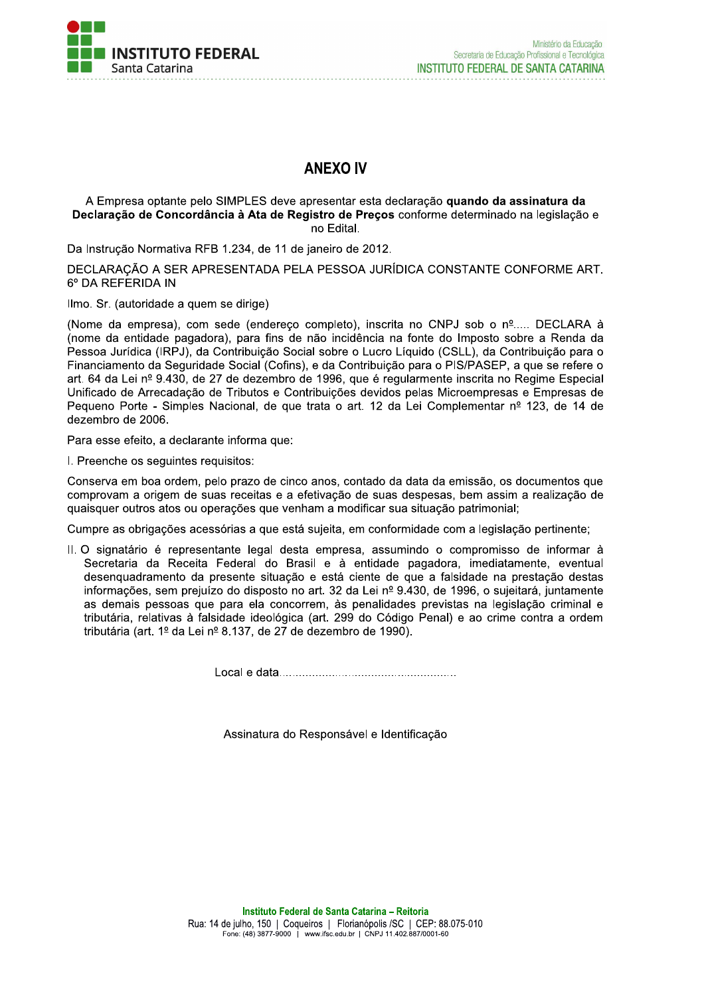

# **ANEXO IV**

#### A Empresa optante pelo SIMPLES deve apresentar esta declaração quando da assinatura da Declaração de Concordância à Ata de Registro de Preços conforme determinado na legislação e no Edital.

Da Instrução Normativa RFB 1.234, de 11 de janeiro de 2012.

DECLARAÇÃO A SER APRESENTADA PELA PESSOA JURÍDICA CONSTANTE CONFORME ART. 6° DA REFERIDA IN

Ilmo. Sr. (autoridade a quem se dirige)

(Nome da empresa), com sede (endereço completo), inscrita no CNPJ sob o nº..... DECLARA à (nome da entidade pagadora), para fins de não incidência na fonte do Imposto sobre a Renda da Pessoa Jurídica (IRPJ), da Contribuição Social sobre o Lucro Líquido (CSLL), da Contribuição para o Financiamento da Seguridade Social (Cofins), e da Contribuição para o PIS/PASEP, a que se refere o art. 64 da Lei nº 9.430, de 27 de dezembro de 1996, que é regularmente inscrita no Regime Especial Unificado de Arrecadação de Tributos e Contribuições devidos pelas Microempresas e Empresas de Pequeno Porte - Simples Nacional, de que trata o art. 12 da Lei Complementar nº 123, de 14 de dezembro de 2006.

Para esse efeito, a declarante informa que:

I. Preenche os sequintes requisitos:

Conserva em boa ordem, pelo prazo de cinco anos, contado da data da emissão, os documentos que comprovam a origem de suas receitas e a efetivação de suas despesas, bem assim a realização de guaisquer outros atos ou operações que venham a modificar sua situação patrimonial;

Cumpre as obrigações acessórias a que está sujeita, em conformidade com a legislação pertinente;

II. O signatário é representante legal desta empresa, assumindo o compromisso de informar à Secretaria da Receita Federal do Brasil e à entidade pagadora, imediatamente, eventual desenguadramento da presente situação e está ciente de que a falsidade na prestação destas informações, sem prejuízo do disposto no art. 32 da Lei nº 9.430, de 1996, o sujeitará, juntamente as demais pessoas que para ela concorrem, às penalidades previstas na legislação criminal e tributária, relativas à falsidade ideológica (art. 299 do Código Penal) e ao crime contra a ordem tributária (art. 1º da Lei nº 8.137, de 27 de dezembro de 1990).

Assinatura do Responsável e Identificação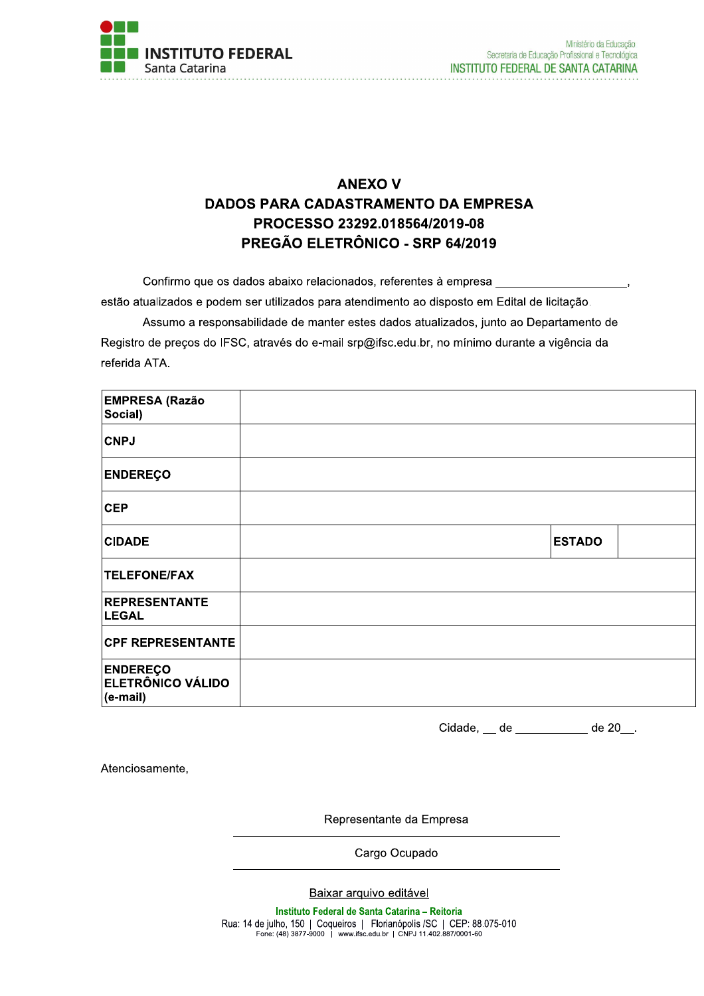

# **ANEXO V DADOS PARA CADASTRAMENTO DA EMPRESA** PROCESSO 23292.018564/2019-08 PREGÃO ELETRÔNICO - SRP 64/2019

Confirmo que os dados abaixo relacionados, referentes à empresa estão atualizados e podem ser utilizados para atendimento ao disposto em Edital de licitação.

Assumo a responsabilidade de manter estes dados atualizados, junto ao Departamento de Registro de preços do IFSC, através do e-mail srp@ifsc.edu.br, no mínimo durante a vigência da referida ATA.

| <b>EMPRESA (Razão</b><br>Social)                        |               |  |
|---------------------------------------------------------|---------------|--|
| <b>CNPJ</b>                                             |               |  |
| <b>ENDEREÇO</b>                                         |               |  |
| <b>CEP</b>                                              |               |  |
| <b>CIDADE</b>                                           | <b>ESTADO</b> |  |
| <b>TELEFONE/FAX</b>                                     |               |  |
| <b>REPRESENTANTE</b><br><b>LEGAL</b>                    |               |  |
| <b>CPF REPRESENTANTE</b>                                |               |  |
| <b>ENDEREÇO</b><br><b>ELETRÔNICO VÁLIDO</b><br>(e-mail) |               |  |

Cidade, \_\_ de \_\_\_\_\_\_\_\_\_\_ de 20\_\_.

Atenciosamente,

Representante da Empresa

Cargo Ocupado

Baixar arquivo editável

Instituto Federal de Santa Catarina - Reitoria Rua: 14 de julho, 150 | Coqueiros | Florianópolis / SC | CEP: 88.075-010<br>Fone: (48) 3877-9000 | www.ifsc.edu.br | CNPJ 11.402.887/0001-60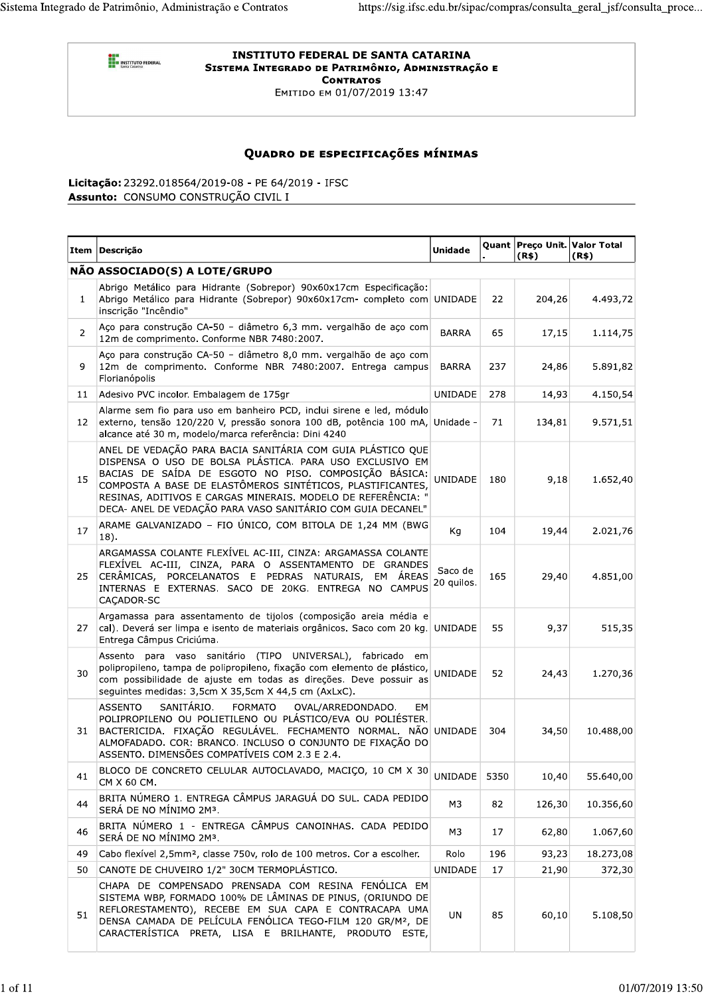**O BRI<br>BRIT INSTITUTO FEDERAL** 

#### **INSTITUTO FEDERAL DE SANTA CATARINA** SISTEMA INTEGRADO DE PATRIMÔNIO, ADMINISTRAÇÃO E **CONTRATOS**

Емітіро ем 01/07/2019 13:47

## QUADRO DE ESPECIFICAÇÕES MÍNIMAS

Licitação: 23292.018564/2019-08 - PE 64/2019 - IFSC Assunto: CONSUMO CONSTRUÇÃO CIVIL I

|                | Item Descrição                                                                                                                                                                                                                                                                                                                                                              | <b>Unidade</b>        |      | Quant Preço Unit. Valor Total<br>(R\$) | (R\$)     |
|----------------|-----------------------------------------------------------------------------------------------------------------------------------------------------------------------------------------------------------------------------------------------------------------------------------------------------------------------------------------------------------------------------|-----------------------|------|----------------------------------------|-----------|
|                | NÃO ASSOCIADO(S) A LOTE/GRUPO                                                                                                                                                                                                                                                                                                                                               |                       |      |                                        |           |
| $\mathbf{1}$   | Abrigo Metálico para Hidrante (Sobrepor) 90x60x17cm Especificação:<br>Abrigo Metálico para Hidrante (Sobrepor) 90x60x17cm- completo com UNIDADE<br>inscrição "Incêndio"                                                                                                                                                                                                     |                       | 22   | 204,26                                 | 4.493,72  |
| $\overline{2}$ | Aço para construção CA-50 - diâmetro 6,3 mm. vergalhão de aço com<br>12m de comprimento. Conforme NBR 7480:2007.                                                                                                                                                                                                                                                            | <b>BARRA</b>          | 65   | 17,15                                  | 1.114,75  |
| 9              | Aço para construção CA-50 - diâmetro 8,0 mm. vergalhão de aço com<br>12m de comprimento. Conforme NBR 7480:2007. Entrega campus<br>Florianópolis                                                                                                                                                                                                                            | <b>BARRA</b>          | 237  | 24,86                                  | 5.891,82  |
| 11             | Adesivo PVC incolor. Embalagem de 175gr                                                                                                                                                                                                                                                                                                                                     | <b>UNIDADE</b>        | 278  | 14,93                                  | 4.150,54  |
| 12             | Alarme sem fio para uso em banheiro PCD, inclui sirene e led, módulo<br>externo, tensão 120/220 V, pressão sonora 100 dB, potência 100 mA,<br>alcance até 30 m, modelo/marca referência: Dini 4240                                                                                                                                                                          | Unidade -             | 71   | 134,81                                 | 9.571,51  |
| 15             | ANEL DE VEDAÇÃO PARA BACIA SANITÁRIA COM GUIA PLÁSTICO QUE<br>DISPENSA O USO DE BOLSA PLÁSTICA. PARA USO EXCLUSIVO EM<br>BACIAS DE SAÍDA DE ESGOTO NO PISO. COMPOSIÇÃO BÁSICA:<br>COMPOSTA A BASE DE ELASTÔMEROS SINTÉTICOS, PLASTIFICANTES,<br>RESINAS, ADITIVOS E CARGAS MINERAIS. MODELO DE REFERÊNCIA: "<br>DECA- ANEL DE VEDAÇÃO PARA VASO SANITÁRIO COM GUIA DECANEL" | <b>UNIDADE</b>        | 180  | 9,18                                   | 1.652,40  |
| 17             | ARAME GALVANIZADO - FIO ÚNICO, COM BITOLA DE 1,24 MM (BWG<br>18).                                                                                                                                                                                                                                                                                                           | Kg                    | 104  | 19,44                                  | 2.021,76  |
| 25             | ARGAMASSA COLANTE FLEXÍVEL AC-III, CINZA: ARGAMASSA COLANTE<br>FLEXIVEL AC-III, CINZA, PARA O ASSENTAMENTO DE GRANDES<br>CERÂMICAS, PORCELANATOS E PEDRAS NATURAIS, EM ÁREAS<br>INTERNAS E EXTERNAS. SACO DE 20KG. ENTREGA NO CAMPUS<br>CAÇADOR-SC                                                                                                                          | Saco de<br>20 quilos. | 165  | 29,40                                  | 4.851,00  |
| 27             | Argamassa para assentamento de tijolos (composição areia média e<br>cal). Deverá ser limpa e isento de materiais orgânicos. Saco com 20 kg.<br>Entrega Câmpus Criciúma.                                                                                                                                                                                                     | <b>UNIDADE</b>        | 55   | 9,37                                   | 515,35    |
| 30             | Assento para vaso sanitário (TIPO UNIVERSAL), fabricado<br>em<br>polipropileno, tampa de polipropileno, fixação com elemento de plástico,<br>com possibilidade de ajuste em todas as direções. Deve possuir as<br>seguintes medidas: 3,5cm X 35,5cm X 44,5 cm (AxLxC).                                                                                                      | <b>UNIDADE</b>        | 52   | 24,43                                  | 1.270,36  |
| 31             | SANITÁRIO.<br><b>ASSENTO</b><br><b>FORMATO</b><br>OVAL/ARREDONDADO.<br>EM<br>POLIPROPILENO OU POLIETILENO OU PLÁSTICO/EVA OU POLIÉSTER.<br>BACTERICIDA. FIXAÇÃO REGULÁVEL. FECHAMENTO NORMAL. NÃO UNIDADE<br>ALMOFADADO. COR: BRANCO. INCLUSO O CONJUNTO DE FIXAÇÃO DO<br>ASSENTO. DIMENSÕES COMPATÍVEIS COM 2.3 E 2.4.                                                     |                       | 304  | 34,50                                  | 10.488,00 |
| 41             | BLOCO DE CONCRETO CELULAR AUTOCLAVADO, MACIÇO, 10 CM X 30<br>CM X 60 CM.                                                                                                                                                                                                                                                                                                    | <b>UNIDADE</b>        | 5350 | 10,40                                  | 55.640,00 |
| 44             | BRITA NÚMERO 1. ENTREGA CÂMPUS JARAGUÁ DO SUL. CADA PEDIDO<br>SERÁ DE NO MÍNIMO 2M3.                                                                                                                                                                                                                                                                                        | M3                    | 82   | 126,30                                 | 10.356,60 |
| 46             | BRITA NÚMERO 1 - ENTREGA CÂMPUS CANOINHAS. CADA PEDIDO<br>SERÁ DE NO MÍNIMO 2M3.                                                                                                                                                                                                                                                                                            | M3                    | 17   | 62,80                                  | 1.067,60  |
| 49             | Cabo flexível 2,5mm <sup>2</sup> , classe 750v, rolo de 100 metros. Cor a escolher.                                                                                                                                                                                                                                                                                         | Rolo                  | 196  | 93,23                                  | 18.273,08 |
| 50             | CANOTE DE CHUVEIRO 1/2" 30CM TERMOPLÁSTICO.                                                                                                                                                                                                                                                                                                                                 | UNIDADE               | 17   | 21,90                                  | 372,30    |
| 51             | CHAPA DE COMPENSADO PRENSADA COM RESINA FENÓLICA EM<br>SISTEMA WBP, FORMADO 100% DE LÂMINAS DE PINUS, (ORIUNDO DE<br>REFLORESTAMENTO), RECEBE EM SUA CAPA E CONTRACAPA UMA<br>DENSA CAMADA DE PELÍCULA FENÓLICA TEGO-FILM 120 GR/M <sup>2</sup> , DE<br>CARACTERÍSTICA PRETA, LISA E BRILHANTE, PRODUTO ESTE,                                                               | UN                    | 85   | 60,10                                  | 5.108,50  |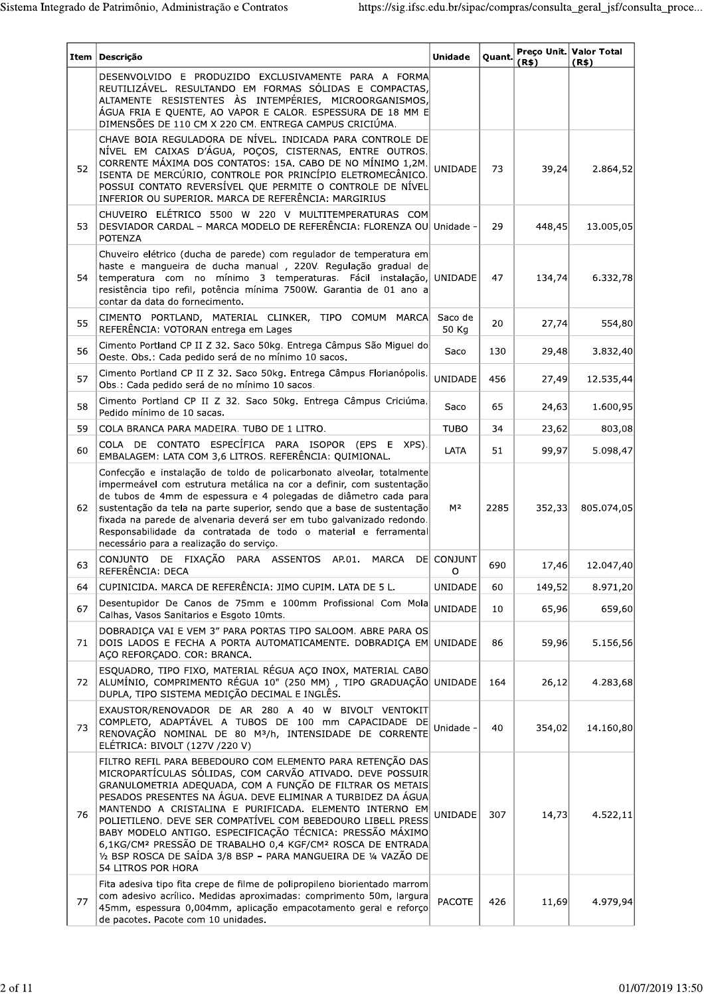| <b>Item</b> | Descrição                                                                                                                                                                                                                                                                                                                                                                                                                                                                                                                                                                                                                 | <b>Unidade</b>   | Quant. | (R\$)  | Preço Unit. Valor Total<br>(R\$) |
|-------------|---------------------------------------------------------------------------------------------------------------------------------------------------------------------------------------------------------------------------------------------------------------------------------------------------------------------------------------------------------------------------------------------------------------------------------------------------------------------------------------------------------------------------------------------------------------------------------------------------------------------------|------------------|--------|--------|----------------------------------|
|             | DESENVOLVIDO E PRODUZIDO EXCLUSIVAMENTE PARA A FORMA<br>REUTILIZÁVEL. RESULTANDO EM FORMAS SÓLIDAS E COMPACTAS,<br>ALTAMENTE RESISTENTES ÀS INTEMPÉRIES, MICROORGANISMOS,<br>ÁGUA FRIA E QUENTE, AO VAPOR E CALOR. ESPESSURA DE 18 MM E<br>DIMENSÕES DE 110 CM X 220 CM. ENTREGA CAMPUS CRICIÚMA.                                                                                                                                                                                                                                                                                                                         |                  |        |        |                                  |
| 52          | CHAVE BOIA REGULADORA DE NÍVEL. INDICADA PARA CONTROLE DE<br>NÍVEL EM CAIXAS D'ÁGUA, POÇOS, CISTERNAS, ENTRE OUTROS.<br>CORRENTE MÁXIMA DOS CONTATOS: 15A. CABO DE NO MÍNIMO 1,2M.<br>ISENTA DE MERCÚRIO, CONTROLE POR PRINCÍPIO ELETROMECÂNICO.<br>POSSUI CONTATO REVERSÍVEL QUE PERMITE O CONTROLE DE NÍVEL<br>INFERIOR OU SUPERIOR. MARCA DE REFERÊNCIA: MARGIRIUS                                                                                                                                                                                                                                                     | <b>UNIDADE</b>   | 73     | 39,24  | 2.864,52                         |
| 53          | CHUVEIRO ELÉTRICO 5500 W 220 V MULTITEMPERATURAS COM<br>DESVIADOR CARDAL - MARCA MODELO DE REFERÊNCIA: FLORENZA OU Unidade -<br><b>POTENZA</b>                                                                                                                                                                                                                                                                                                                                                                                                                                                                            |                  | 29     | 448,45 | 13.005,05                        |
| 54          | Chuveiro elétrico (ducha de parede) com regulador de temperatura em<br>haste e mangueira de ducha manual , 220V. Regulação gradual de<br>temperatura com no mínimo 3 temperaturas. Fácil instalação, UNIDADE<br>resistência tipo refil, potência mínima 7500W. Garantia de 01 ano a<br>contar da data do fornecimento.                                                                                                                                                                                                                                                                                                    |                  | 47     | 134,74 | 6.332,78                         |
| 55          | CIMENTO PORTLAND, MATERIAL CLINKER, TIPO COMUM MARCA<br>REFERÊNCIA: VOTORAN entrega em Lages                                                                                                                                                                                                                                                                                                                                                                                                                                                                                                                              | Saco de<br>50 Kg | 20     | 27,74  | 554,80                           |
| 56          | Cimento Portland CP II Z 32. Saco 50kg. Entrega Câmpus São Miguel do<br>Oeste. Obs.: Cada pedido será de no mínimo 10 sacos.                                                                                                                                                                                                                                                                                                                                                                                                                                                                                              | Saco             | 130    | 29,48  | 3.832,40                         |
| 57          | Cimento Portland CP II Z 32. Saco 50kg. Entrega Câmpus Florianópolis.<br>Obs.: Cada pedido será de no mínimo 10 sacos.                                                                                                                                                                                                                                                                                                                                                                                                                                                                                                    | UNIDADE          | 456    | 27,49  | 12.535,44                        |
| 58          | Cimento Portland CP II Z 32. Saco 50kg. Entrega Câmpus Criciúma.<br>Pedido mínimo de 10 sacas.                                                                                                                                                                                                                                                                                                                                                                                                                                                                                                                            | Saco             | 65     | 24,63  | 1.600,95                         |
| 59          | COLA BRANCA PARA MADEIRA. TUBO DE 1 LITRO.                                                                                                                                                                                                                                                                                                                                                                                                                                                                                                                                                                                | <b>TUBO</b>      | 34     | 23,62  | 803,08                           |
| 60          | COLA DE CONTATO ESPECÍFICA PARA ISOPOR (EPS E XPS).<br>EMBALAGEM: LATA COM 3,6 LITROS. REFERÊNCIA: QUIMIONAL.                                                                                                                                                                                                                                                                                                                                                                                                                                                                                                             | LATA             | 51     | 99,97  | 5.098,47                         |
| 62          | Confecção e instalação de toldo de policarbonato alveolar, totalmente<br>impermeável com estrutura metálica na cor a definir, com sustentação<br>de tubos de 4mm de espessura e 4 polegadas de diâmetro cada para<br>sustentação da tela na parte superior, sendo que a base de sustentação<br>fixada na parede de alvenaria deverá ser em tubo galvanizado redondo.<br>Responsabilidade da contratada de todo o material e ferramental<br>necessário para a realização do serviço.                                                                                                                                       | M <sup>2</sup>   | 2285   | 352,33 | 805.074,05                       |
| 63          | CONJUNTO DE FIXAÇÃO PARA ASSENTOS AP.01.<br>MARCA<br>REFERÊNCIA: DECA                                                                                                                                                                                                                                                                                                                                                                                                                                                                                                                                                     | DE CONJUNT<br>O  | 690    | 17,46  | 12.047,40                        |
| 64          | CUPINICIDA. MARCA DE REFERÊNCIA: JIMO CUPIM. LATA DE 5 L.                                                                                                                                                                                                                                                                                                                                                                                                                                                                                                                                                                 | <b>UNIDADE</b>   | 60     | 149,52 | 8.971,20                         |
| 67          | Desentupidor De Canos de 75mm e 100mm Profissional Com Mola<br>Calhas, Vasos Sanitarios e Esgoto 10mts.                                                                                                                                                                                                                                                                                                                                                                                                                                                                                                                   | <b>UNIDADE</b>   | 10     | 65,96  | 659,60                           |
| 71          | DOBRADICA VAI E VEM 3" PARA PORTAS TIPO SALOOM. ABRE PARA OS<br>DOIS LADOS E FECHA A PORTA AUTOMATICAMENTE. DOBRADIÇA EM<br>AÇO REFORÇADO. COR: BRANCA.                                                                                                                                                                                                                                                                                                                                                                                                                                                                   | UNIDADE          | 86     | 59,96  | 5.156,56                         |
| 72          | ESQUADRO, TIPO FIXO, MATERIAL RÉGUA AÇO INOX, MATERIAL CABO<br>ALUMÍNIO, COMPRIMENTO RÉGUA 10" (250 MM), TIPO GRADUAÇÃO UNIDADE<br>DUPLA, TIPO SISTEMA MEDIÇÃO DECIMAL E INGLÊS.                                                                                                                                                                                                                                                                                                                                                                                                                                          |                  | 164    | 26,12  | 4.283,68                         |
| 73          | EXAUSTOR/RENOVADOR DE AR 280 A 40 W BIVOLT VENTOKIT<br>COMPLETO, ADAPTÁVEL A TUBOS DE 100 mm CAPACIDADE DE<br>RENOVAÇÃO NOMINAL DE 80 M3/h, INTENSIDADE DE CORRENTE<br>ELÉTRICA: BIVOLT (127V /220 V)                                                                                                                                                                                                                                                                                                                                                                                                                     | Unidade -        | 40     | 354,02 | 14.160,80                        |
| 76          | FILTRO REFIL PARA BEBEDOURO COM ELEMENTO PARA RETENÇÃO DAS<br>MICROPARTÍCULAS SÓLIDAS, COM CARVÃO ATIVADO. DEVE POSSUIR<br>GRANULOMETRIA ADEQUADA, COM A FUNÇÃO DE FILTRAR OS METAIS<br>PESADOS PRESENTES NA ÁGUA. DEVE ELIMINAR A TURBIDEZ DA ÁGUA<br>MANTENDO A CRISTALINA E PURIFICADA. ELEMENTO INTERNO EM<br>POLIETILENO. DEVE SER COMPATÍVEL COM BEBEDOURO LIBELL PRESS<br>BABY MODELO ANTIGO. ESPECIFICAÇÃO TÉCNICA: PRESSÃO MÁXIMO<br>6,1KG/CM <sup>2</sup> PRESSÃO DE TRABALHO 0,4 KGF/CM <sup>2</sup> ROSCA DE ENTRADA<br>1/2 BSP ROSCA DE SAÍDA 3/8 BSP - PARA MANGUEIRA DE 1/4 VAZÃO DE<br>54 LITROS POR HORA | UNIDADE          | 307    | 14,73  | 4.522,11                         |
| 77          | Fita adesiva tipo fita crepe de filme de polipropileno biorientado marrom<br>com adesivo acrílico. Medidas aproximadas: comprimento 50m, largura<br>45mm, espessura 0,004mm, aplicação empacotamento geral e reforço<br>de pacotes. Pacote com 10 unidades.                                                                                                                                                                                                                                                                                                                                                               | PACOTE           | 426    | 11,69  | 4.979,94                         |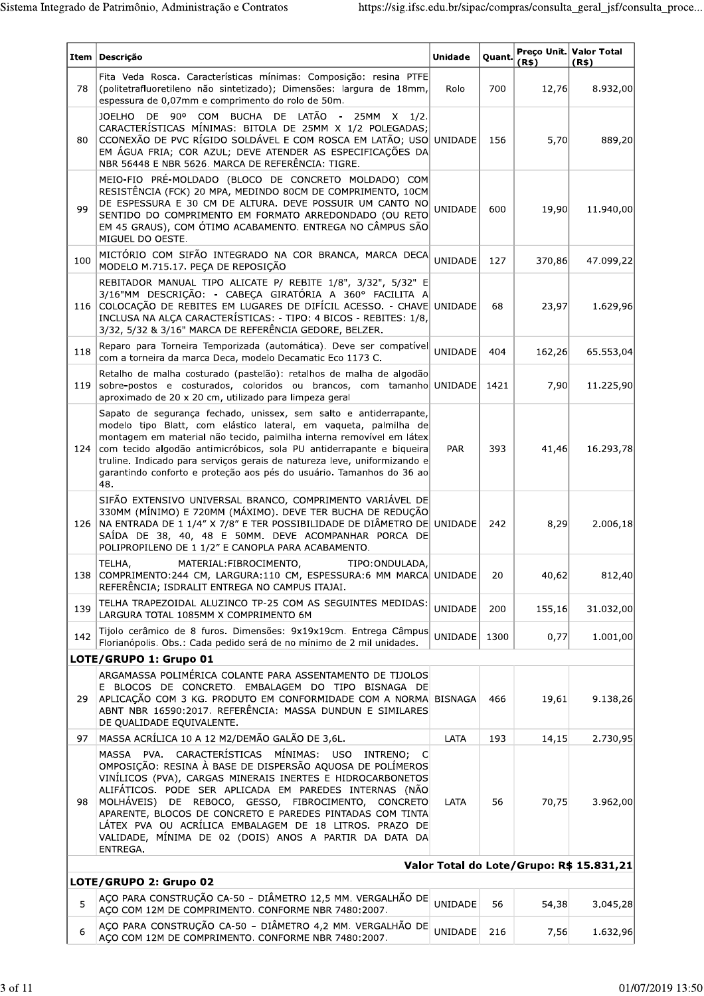|     | Item   Descrição                                                                                                                                                                                                                                                                                                                                                                                                                                                                                  | <b>Unidade</b> | Quant. | (R\$)  | Preço Unit. Valor Total<br>(R\$)         |
|-----|---------------------------------------------------------------------------------------------------------------------------------------------------------------------------------------------------------------------------------------------------------------------------------------------------------------------------------------------------------------------------------------------------------------------------------------------------------------------------------------------------|----------------|--------|--------|------------------------------------------|
| 78  | Fita Veda Rosca. Características mínimas: Composição: resina PTFE<br>(politetrafluoretileno não sintetizado); Dimensões: largura de 18mm,<br>espessura de 0,07mm e comprimento do rolo de 50m.                                                                                                                                                                                                                                                                                                    | Rolo           | 700    | 12,76  | 8.932,00                                 |
| 80  | JOELHO DE 90º COM BUCHA DE LATÃO<br>25MM<br>$\sim$ $-$<br>1/2.<br>X<br>CARACTERÍSTICAS MÍNIMAS: BITOLA DE 25MM X 1/2 POLEGADAS;<br>CCONEXÃO DE PVC RÍGIDO SOLDÁVEL E COM ROSCA EM LATÃO; USO UNIDADE<br>EM ÁGUA FRIA; COR AZUL; DEVE ATENDER AS ESPECIFICAÇÕES DA<br>NBR 56448 E NBR 5626. MARCA DE REFERÊNCIA: TIGRE.                                                                                                                                                                            |                | 156    | 5,70   | 889,20                                   |
| 99  | MEIO-FIO PRÉ-MOLDADO (BLOCO DE CONCRETO MOLDADO) COM<br>RESISTÊNCIA (FCK) 20 MPA, MEDINDO 80CM DE COMPRIMENTO, 10CM<br>DE ESPESSURA E 30 CM DE ALTURA. DEVE POSSUIR UM CANTO NO<br>SENTIDO DO COMPRIMENTO EM FORMATO ARREDONDADO (OU RETO<br>EM 45 GRAUS), COM ÓTIMO ACABAMENTO. ENTREGA NO CÂMPUS SÃO<br>MIGUEL DO OESTE.                                                                                                                                                                        | UNIDADE        | 600    | 19,90  | 11.940,00                                |
| 100 | MICTÓRIO COM SIFÃO INTEGRADO NA COR BRANCA, MARCA DECA<br>MODELO M.715.17. PEÇA DE REPOSIÇÃO                                                                                                                                                                                                                                                                                                                                                                                                      | <b>UNIDADE</b> | 127    | 370,86 | 47.099,22                                |
|     | REBITADOR MANUAL TIPO ALICATE P/ REBITE 1/8", 3/32", 5/32" E<br>3/16"MM DESCRIÇÃO: - CABECA GIRATÓRIA A 360° FACILITA A<br>116 COLOCAÇÃO DE REBITES EM LUGARES DE DIFÍCIL ACESSO. - CHAVE UNIDADE<br>INCLUSA NA ALCA CARACTERÍSTICAS: - TIPO: 4 BICOS - REBITES: 1/8,<br>3/32, 5/32 & 3/16" MARCA DE REFERÊNCIA GEDORE, BELZER.                                                                                                                                                                   |                | 68     | 23,97  | 1.629,96                                 |
| 118 | Reparo para Torneira Temporizada (automática). Deve ser compatível<br>com a torneira da marca Deca, modelo Decamatic Eco 1173 C.                                                                                                                                                                                                                                                                                                                                                                  | <b>UNIDADE</b> | 404    | 162,26 | 65.553,04                                |
| 119 | Retalho de malha costurado (pastelão): retalhos de malha de algodão<br>sobre-postos e costurados, coloridos ou brancos, com tamanho<br>aproximado de 20 x 20 cm, utilizado para limpeza geral                                                                                                                                                                                                                                                                                                     | UNIDADE        | 1421   | 7,90   | 11.225,90                                |
|     | Sapato de segurança fechado, unissex, sem salto e antiderrapante,<br>modelo tipo Blatt, com elástico lateral, em vaqueta, palmilha de<br>montagem em material não tecido, palmilha interna removível em látex<br>124 com tecido algodão antimicróbicos, sola PU antiderrapante e biqueira<br>truline. Indicado para serviços gerais de natureza leve, uniformizando e<br>garantindo conforto e proteção aos pés do usuário. Tamanhos do 36 ao<br>48.                                              | <b>PAR</b>     | 393    | 41,46  | 16.293,78                                |
| 126 | SIFÃO EXTENSIVO UNIVERSAL BRANCO, COMPRIMENTO VARIÁVEL DE<br>330MM (MÍNIMO) E 720MM (MÁXIMO). DEVE TER BUCHA DE REDUÇÃO<br>NA ENTRADA DE 1 1/4" X 7/8" E TER POSSIBILIDADE DE DIÂMETRO DE UNIDADE<br>SAÍDA DE 38, 40, 48 E 50MM. DEVE ACOMPANHAR PORCA DE<br>POLIPROPILENO DE 1 1/2" E CANOPLA PARA ACABAMENTO.                                                                                                                                                                                   |                | 242    | 8,29   | 2.006,18                                 |
|     | TELHA,<br>MATERIAL: FIBROCIMENTO,<br>TIPO: ONDULADA,<br>138 COMPRIMENTO:244 CM, LARGURA:110 CM, ESPESSURA:6 MM MARCA UNIDADE<br>REFERÊNCIA; ISDRALIT ENTREGA NO CAMPUS ITAJAI.                                                                                                                                                                                                                                                                                                                    |                | 20     | 40,62  | 812,40                                   |
| 139 | TELHA TRAPEZOIDAL ALUZINCO TP-25 COM AS SEGUINTES MEDIDAS:<br>LARGURA TOTAL 1085MM X COMPRIMENTO 6M                                                                                                                                                                                                                                                                                                                                                                                               | UNIDADE        | 200    | 155,16 | 31.032,00                                |
| 142 | Tijolo cerâmico de 8 furos. Dimensões: 9x19x19cm. Entrega Câmpus<br>Florianópolis. Obs.: Cada pedido será de no mínimo de 2 mil unidades.                                                                                                                                                                                                                                                                                                                                                         | UNIDADE        | 1300   | 0,77   | 1.001,00                                 |
|     | LOTE/GRUPO 1: Grupo 01                                                                                                                                                                                                                                                                                                                                                                                                                                                                            |                |        |        |                                          |
| 29  | ARGAMASSA POLIMÉRICA COLANTE PARA ASSENTAMENTO DE TIJOLOS<br>E BLOCOS DE CONCRETO. EMBALAGEM DO TIPO BISNAGA DE<br>APLICAÇÃO COM 3 KG. PRODUTO EM CONFORMIDADE COM A NORMA BISNAGA<br>ABNT NBR 16590:2017. REFERÊNCIA: MASSA DUNDUN E SIMILARES<br>DE QUALIDADE EQUIVALENTE.                                                                                                                                                                                                                      |                | 466    | 19,61  | 9.138,26                                 |
| 97  | MASSA ACRÍLICA 10 A 12 M2/DEMÃO GALÃO DE 3,6L.                                                                                                                                                                                                                                                                                                                                                                                                                                                    | LATA           | 193    | 14,15  | 2.730,95                                 |
| 98  | MASSA PVA. CARACTERÍSTICAS MÍNIMAS: USO<br>INTRENO:<br>C<br>OMPOSIÇÃO: RESINA À BASE DE DISPERSÃO AQUOSA DE POLÍMEROS<br>VINÍLICOS (PVA), CARGAS MINERAIS INERTES E HIDROCARBONETOS<br>ALIFÁTICOS. PODE SER APLICADA EM PAREDES INTERNAS (NÃO<br>MOLHÁVEIS) DE REBOCO, GESSO, FIBROCIMENTO, CONCRETO<br>APARENTE, BLOCOS DE CONCRETO E PAREDES PINTADAS COM TINTA<br>LÁTEX PVA OU ACRÍLICA EMBALAGEM DE 18 LITROS. PRAZO DE<br>VALIDADE, MÍNIMA DE 02 (DOIS) ANOS A PARTIR DA DATA DA<br>ENTREGA. | LATA           | 56     | 70,75  | 3.962,00                                 |
|     |                                                                                                                                                                                                                                                                                                                                                                                                                                                                                                   |                |        |        | Valor Total do Lote/Grupo: R\$ 15.831,21 |
|     | LOTE/GRUPO 2: Grupo 02<br>AÇO PARA CONSTRUÇÃO CA-50 - DIÂMETRO 12,5 MM. VERGALHÃO DE                                                                                                                                                                                                                                                                                                                                                                                                              |                |        |        |                                          |
| 5   | AÇO COM 12M DE COMPRIMENTO. CONFORME NBR 7480:2007.<br>AÇO PARA CONSTRUÇÃO CA-50 - DIÂMETRO 4,2 MM. VERGALHÃO DE                                                                                                                                                                                                                                                                                                                                                                                  | UNIDADE        | 56     | 54,38  | 3.045,28                                 |
| 6   | AÇO COM 12M DE COMPRIMENTO. CONFORME NBR 7480:2007.                                                                                                                                                                                                                                                                                                                                                                                                                                               | <b>UNIDADE</b> | 216    | 7,56   | 1.632,96                                 |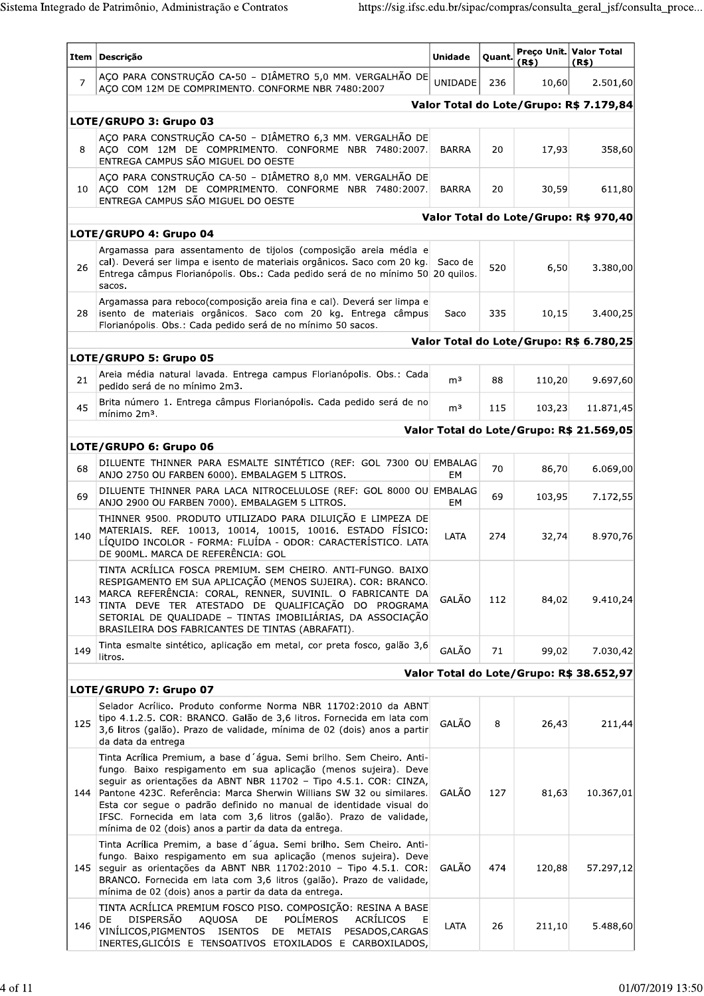|                | Item   Descrição                                                                                                                                                                                                                                                                                                                                                                                                                                                                            | <b>Unidade</b> | Quant. | (R\$)  | Preco Unit. Valor Total<br>(R\$)         |
|----------------|---------------------------------------------------------------------------------------------------------------------------------------------------------------------------------------------------------------------------------------------------------------------------------------------------------------------------------------------------------------------------------------------------------------------------------------------------------------------------------------------|----------------|--------|--------|------------------------------------------|
| $\overline{7}$ | AÇO PARA CONSTRUÇÃO CA-50 - DIÂMETRO 5,0 MM. VERGALHÃO DE<br>AÇO COM 12M DE COMPRIMENTO. CONFORME NBR 7480:2007                                                                                                                                                                                                                                                                                                                                                                             | <b>UNIDADE</b> | 236    | 10,60  | 2.501,60                                 |
|                |                                                                                                                                                                                                                                                                                                                                                                                                                                                                                             |                |        |        | Valor Total do Lote/Grupo: R\$ 7.179,84  |
|                | LOTE/GRUPO 3: Grupo 03                                                                                                                                                                                                                                                                                                                                                                                                                                                                      |                |        |        |                                          |
| 8              | AÇO PARA CONSTRUÇÃO CA-50 - DIÂMETRO 6,3 MM. VERGALHÃO DE<br>AÇO COM 12M DE COMPRIMENTO. CONFORME NBR 7480:2007.<br>ENTREGA CAMPUS SÃO MIGUEL DO OESTE                                                                                                                                                                                                                                                                                                                                      | <b>BARRA</b>   | 20     | 17,93  | 358,60                                   |
| 10             | AÇO PARA CONSTRUÇÃO CA-50 - DIÂMETRO 8,0 MM. VERGALHÃO DE<br>AÇO COM 12M DE COMPRIMENTO. CONFORME NBR 7480:2007.<br>ENTREGA CAMPUS SÃO MIGUEL DO OESTE                                                                                                                                                                                                                                                                                                                                      | <b>BARRA</b>   | 20     | 30,59  | 611,80                                   |
|                |                                                                                                                                                                                                                                                                                                                                                                                                                                                                                             |                |        |        | Valor Total do Lote/Grupo: R\$ 970,40    |
|                | LOTE/GRUPO 4: Grupo 04                                                                                                                                                                                                                                                                                                                                                                                                                                                                      |                |        |        |                                          |
| 26             | Argamassa para assentamento de tijolos (composição areia média e<br>cal). Deverá ser limpa e isento de materiais orgânicos. Saco com 20 kg. Saco de<br>Entrega câmpus Florianópolis. Obs.: Cada pedido será de no mínimo 50 20 quilos.<br>sacos.                                                                                                                                                                                                                                            |                | 520    | 6,50   | 3.380,00                                 |
| 28             | Argamassa para reboco(composição areia fina e cal). Deverá ser limpa e<br>isento de materiais orgânicos. Saco com 20 kg. Entrega câmpus<br>Florianópolis, Obs.: Cada pedido será de no mínimo 50 sacos.                                                                                                                                                                                                                                                                                     | Saco           | 335    | 10,15  | 3.400,25                                 |
|                |                                                                                                                                                                                                                                                                                                                                                                                                                                                                                             |                |        |        | Valor Total do Lote/Grupo: R\$ 6.780,25  |
|                | LOTE/GRUPO 5: Grupo 05                                                                                                                                                                                                                                                                                                                                                                                                                                                                      |                |        |        |                                          |
| 21             | Areia média natural lavada. Entrega campus Florianópolis. Obs.: Cada<br>pedido será de no mínimo 2m3.                                                                                                                                                                                                                                                                                                                                                                                       | m <sup>3</sup> | 88     | 110,20 | 9.697,60                                 |
| 45             | Brita número 1. Entrega câmpus Florianópolis. Cada pedido será de no<br>mínimo 2m <sup>3</sup> .                                                                                                                                                                                                                                                                                                                                                                                            | m <sup>3</sup> | 115    | 103,23 | 11.871,45                                |
|                |                                                                                                                                                                                                                                                                                                                                                                                                                                                                                             |                |        |        | Valor Total do Lote/Grupo: R\$ 21.569,05 |
|                | LOTE/GRUPO 6: Grupo 06                                                                                                                                                                                                                                                                                                                                                                                                                                                                      |                |        |        |                                          |
| 68             | DILUENTE THINNER PARA ESMALTE SINTÉTICO (REF: GOL 7300 OU EMBALAG<br>ANJO 2750 OU FARBEN 6000). EMBALAGEM 5 LITROS.                                                                                                                                                                                                                                                                                                                                                                         | EM             | 70     | 86,70  | 6.069,00                                 |
| 69             | DILUENTE THINNER PARA LACA NITROCELULOSE (REF: GOL 8000 OU EMBALAG<br>ANJO 2900 OU FARBEN 7000). EMBALAGEM 5 LITROS.                                                                                                                                                                                                                                                                                                                                                                        | EM             | 69     | 103,95 | 7.172,55                                 |
| 140            | THINNER 9500. PRODUTO UTILIZADO PARA DILUIÇÃO E LIMPEZA DE<br>MATERIAIS. REF. 10013, 10014, 10015, 10016. ESTADO FÍSICO:<br>LÍQUIDO INCOLOR - FORMA: FLUÍDA - ODOR: CARACTERÍSTICO. LATA<br>DE 900ML. MARCA DE REFERÊNCIA: GOL                                                                                                                                                                                                                                                              | LATA           | 274    | 32,74  | 8.970,76                                 |
| 143            | TINTA ACRÍLICA FOSCA PREMIUM. SEM CHEIRO. ANTI-FUNGO. BAIXO<br>RESPIGAMENTO EM SUA APLICAÇÃO (MENOS SUJEIRA). COR: BRANCO.<br>MARCA REFERÊNCIA: CORAL, RENNER, SUVINIL. O FABRICANTE DA<br>TINTA DEVE TER ATESTADO DE QUALIFICAÇÃO DO PROGRAMA<br>SETORIAL DE QUALIDADE - TINTAS IMOBILIÁRIAS, DA ASSOCIAÇÃO<br>BRASILEIRA DOS FABRICANTES DE TINTAS (ABRAFATI).                                                                                                                            | GALÃO          | 112    | 84,02  | 9.410,24                                 |
| 149            | Tinta esmalte sintético, aplicação em metal, cor preta fosco, galão 3,6<br>litros.                                                                                                                                                                                                                                                                                                                                                                                                          | GALÃO          | 71     | 99,02  | 7.030,42                                 |
|                |                                                                                                                                                                                                                                                                                                                                                                                                                                                                                             |                |        |        | Valor Total do Lote/Grupo: R\$ 38.652,97 |
|                | LOTE/GRUPO 7: Grupo 07                                                                                                                                                                                                                                                                                                                                                                                                                                                                      |                |        |        |                                          |
| 125            | Selador Acrílico. Produto conforme Norma NBR 11702:2010 da ABNT<br>tipo 4.1.2.5. COR: BRANCO. Galão de 3,6 litros. Fornecida em lata com<br>3,6 litros (galão). Prazo de validade, mínima de 02 (dois) anos a partir<br>da data da entrega                                                                                                                                                                                                                                                  | GALÃO          | 8      | 26,43  | 211,44                                   |
| 144            | Tinta Acrílica Premium, a base d'água. Semi brilho. Sem Cheiro. Anti-<br>fungo. Baixo respigamento em sua aplicação (menos sujeira). Deve<br>seguir as orientações da ABNT NBR 11702 - Tipo 4.5.1. COR: CINZA,<br>Pantone 423C. Referência: Marca Sherwin Willians SW 32 ou similares.<br>Esta cor segue o padrão definido no manual de identidade visual do<br>IFSC. Fornecida em lata com 3,6 litros (galão). Prazo de validade,<br>mínima de 02 (dois) anos a partir da data da entrega. | GALÃO          | 127    | 81,63  | 10.367,01                                |
|                | Tinta Acrílica Premim, a base d'água. Semi brilho. Sem Cheiro. Anti-<br>fungo. Baixo respigamento em sua aplicação (menos sujeira). Deve<br>145   seguir as orientações da ABNT NBR 11702:2010 - Tipo 4.5.1. COR:<br>BRANCO. Fornecida em lata com 3,6 litros (galão). Prazo de validade,<br>mínima de 02 (dois) anos a partir da data da entrega.                                                                                                                                          | GALÃO          | 474    | 120,88 | 57.297,12                                |
| 146            | TINTA ACRÍLICA PREMIUM FOSCO PISO. COMPOSIÇÃO: RESINA A BASE<br><b>DISPERSÃO</b><br>DE<br><b>POLÍMEROS</b><br>DE<br><b>AQUOSA</b><br><b>ACRILICOS</b><br>Е<br>VINÍLICOS, PIGMENTOS<br><b>ISENTOS</b><br>DE<br>METAIS<br>PESADOS, CARGAS<br>INERTES, GLICÓIS E TENSOATIVOS ETOXILADOS E CARBOXILADOS,                                                                                                                                                                                        | LATA           | 26     | 211,10 | 5.488,60                                 |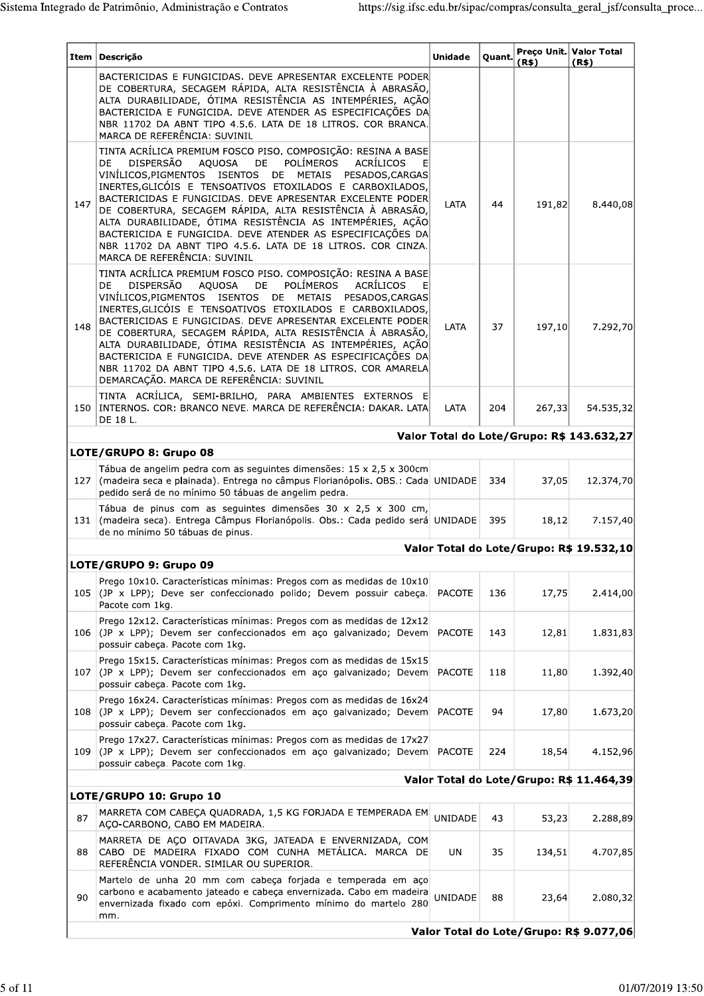| Item | Descrição                                                                                                                                                                                                                                                                                                                                                                                                                                                                                                                                                                                                                             | <b>Unidade</b> | Quant. | (R\$)                                   | Preço Unit. Valor Total<br>(R\$)          |  |  |  |  |  |
|------|---------------------------------------------------------------------------------------------------------------------------------------------------------------------------------------------------------------------------------------------------------------------------------------------------------------------------------------------------------------------------------------------------------------------------------------------------------------------------------------------------------------------------------------------------------------------------------------------------------------------------------------|----------------|--------|-----------------------------------------|-------------------------------------------|--|--|--|--|--|
|      | BACTERICIDAS E FUNGICIDAS. DEVE APRESENTAR EXCELENTE PODER<br>DE COBERTURA, SECAGEM RÁPIDA, ALTA RESISTÊNCIA À ABRASÃO,<br>ALTA DURABILIDADE, ÓTIMA RESISTÊNCIA AS INTEMPÉRIES, AÇÃO<br>BACTERICIDA E FUNGICIDA. DEVE ATENDER AS ESPECIFICAÇÕES DA<br>NBR 11702 DA ABNT TIPO 4.5.6. LATA DE 18 LITROS. COR BRANCA.<br>MARCA DE REFERÊNCIA: SUVINIL                                                                                                                                                                                                                                                                                    |                |        |                                         |                                           |  |  |  |  |  |
| 147  | TINTA ACRÍLICA PREMIUM FOSCO PISO. COMPOSIÇÃO: RESINA A BASE<br><b>POLÍMEROS</b><br><b>DISPERSÃO</b><br>AQUOSA<br>DE<br>ACRÍLICOS<br>DE<br>VINÍLICOS, PIGMENTOS ISENTOS<br>DE<br>METAIS<br>PESADOS, CARGAS<br>INERTES, GLICÓIS E TENSOATIVOS ETOXILADOS E CARBOXILADOS,<br>BACTERICIDAS E FUNGICIDAS, DEVE APRESENTAR EXCELENTE PODER<br>DE COBERTURA, SECAGEM RÁPIDA, ALTA RESISTÊNCIA À ABRASÃO,<br>ALTA DURABILIDADE, ÓTIMA RESISTÊNCIA AS INTEMPÉRIES, AÇÃO<br>BACTERICIDA E FUNGICIDA. DEVE ATENDER AS ESPECIFICAÇÕES DA<br>NBR 11702 DA ABNT TIPO 4.5.6. LATA DE 18 LITROS. COR CINZA.<br>MARCA DE REFERÊNCIA: SUVINIL          | LATA           | 44     | 191,82                                  | 8.440,08                                  |  |  |  |  |  |
| 148  | TINTA ACRÍLICA PREMIUM FOSCO PISO. COMPOSIÇÃO: RESINA A BASE<br><b>POLÍMEROS</b><br><b>DISPERSÃO</b><br>AQUOSA<br>ACRÍLICOS<br>E<br>DE<br>DE<br>VINÍLICOS, PIGMENTOS ISENTOS DE METAIS PESADOS, CARGAS<br>INERTES, GLICÓIS E TENSOATIVOS ETOXILADOS E CARBOXILADOS,<br>BACTERICIDAS E FUNGICIDAS, DEVE APRESENTAR EXCELENTE PODER<br>DE COBERTURA, SECAGEM RÁPIDA, ALTA RESISTÊNCIA À ABRASÃO,<br>ALTA DURABILIDADE, ÓTIMA RESISTÊNCIA AS INTEMPÉRIES, AÇÃO<br>BACTERICIDA E FUNGICIDA. DEVE ATENDER AS ESPECIFICAÇÕES DA<br>NBR 11702 DA ABNT TIPO 4.5.6. LATA DE 18 LITROS. COR AMARELA<br>DEMARCAÇÃO. MARCA DE REFERÊNCIA: SUVINIL | LATA           | 37     | 197,10                                  | 7.292,70                                  |  |  |  |  |  |
|      | TINTA ACRÍLICA, SEMI-BRILHO, PARA AMBIENTES EXTERNOS E<br>150   INTERNOS. COR: BRANCO NEVE. MARCA DE REFERÊNCIA: DAKAR. LATA<br>DE 18 L.                                                                                                                                                                                                                                                                                                                                                                                                                                                                                              | LATA           | 204    | 267,33                                  | 54.535,32                                 |  |  |  |  |  |
|      |                                                                                                                                                                                                                                                                                                                                                                                                                                                                                                                                                                                                                                       |                |        |                                         | Valor Total do Lote/Grupo: R\$ 143.632,27 |  |  |  |  |  |
|      | LOTE/GRUPO 8: Grupo 08                                                                                                                                                                                                                                                                                                                                                                                                                                                                                                                                                                                                                |                |        |                                         |                                           |  |  |  |  |  |
| 127  | Tábua de angelim pedra com as seguintes dimensões: 15 x 2,5 x 300cm<br>(madeira seca e plainada). Entrega no câmpus Florianópolis. OBS.: Cada UNIDADE<br>pedido será de no mínimo 50 tábuas de angelim pedra.                                                                                                                                                                                                                                                                                                                                                                                                                         |                | 334    | 37,05                                   | 12.374,70                                 |  |  |  |  |  |
| 131  | Tábua de pinus com as seguintes dimensões 30 x 2,5 x 300 cm,<br>(madeira seca). Entrega Câmpus Florianópolis. Obs.: Cada pedido será UNIDADE<br>de no mínimo 50 tábuas de pinus.                                                                                                                                                                                                                                                                                                                                                                                                                                                      |                | 395    | 18,12                                   | 7.157,40                                  |  |  |  |  |  |
|      |                                                                                                                                                                                                                                                                                                                                                                                                                                                                                                                                                                                                                                       |                |        |                                         | Valor Total do Lote/Grupo: R\$ 19.532,10  |  |  |  |  |  |
|      | LOTE/GRUPO 9: Grupo 09                                                                                                                                                                                                                                                                                                                                                                                                                                                                                                                                                                                                                |                |        |                                         |                                           |  |  |  |  |  |
| 105  | Prego 10x10. Características mínimas: Pregos com as medidas de 10x10<br>(JP x LPP); Deve ser confeccionado polido; Devem possuir cabeça.<br>Pacote com 1kg.                                                                                                                                                                                                                                                                                                                                                                                                                                                                           | <b>PACOTE</b>  | 136    | 17,75                                   | 2.414,00                                  |  |  |  |  |  |
| 106  | Prego 12x12. Características mínimas: Pregos com as medidas de 12x12<br>(JP x LPP); Devem ser confeccionados em aço galvanizado; Devem<br>possuir cabeça. Pacote com 1kg.                                                                                                                                                                                                                                                                                                                                                                                                                                                             | <b>PACOTE</b>  | 143    | 12,81                                   | 1.831,83                                  |  |  |  |  |  |
| 107  | Prego 15x15. Características mínimas: Pregos com as medidas de 15x15<br>(JP x LPP); Devem ser confeccionados em aço galvanizado; Devem<br>possuir cabeça. Pacote com 1kg.                                                                                                                                                                                                                                                                                                                                                                                                                                                             | <b>PACOTE</b>  | 118    | 11,80                                   | 1.392,40                                  |  |  |  |  |  |
| 108  | Prego 16x24. Características mínimas: Pregos com as medidas de 16x24<br>(JP x LPP); Devem ser confeccionados em aço galvanizado; Devem<br>possuir cabeça. Pacote com 1kg.                                                                                                                                                                                                                                                                                                                                                                                                                                                             | <b>PACOTE</b>  | 94     | 17,80                                   | 1.673,20                                  |  |  |  |  |  |
| 109  | Prego 17x27. Características mínimas: Pregos com as medidas de 17x27<br>(JP x LPP); Devem ser confeccionados em aço galvanizado; Devem<br>possuir cabeça. Pacote com 1kg.                                                                                                                                                                                                                                                                                                                                                                                                                                                             | <b>PACOTE</b>  | 224    | 18,54                                   | 4.152,96                                  |  |  |  |  |  |
|      |                                                                                                                                                                                                                                                                                                                                                                                                                                                                                                                                                                                                                                       |                |        |                                         | Valor Total do Lote/Grupo: R\$ 11.464,39  |  |  |  |  |  |
|      | LOTE/GRUPO 10: Grupo 10                                                                                                                                                                                                                                                                                                                                                                                                                                                                                                                                                                                                               |                |        |                                         |                                           |  |  |  |  |  |
| 87   | MARRETA COM CABEÇA QUADRADA, 1,5 KG FORJADA E TEMPERADA EM<br>ACO-CARBONO, CABO EM MADEIRA.                                                                                                                                                                                                                                                                                                                                                                                                                                                                                                                                           | <b>UNIDADE</b> | 43     | 53,23                                   | 2.288,89                                  |  |  |  |  |  |
| 88   | MARRETA DE AÇO OITAVADA 3KG, JATEADA E ENVERNIZADA, COM<br>CABO DE MADEIRA FIXADO COM CUNHA METÁLICA. MARCA DE<br>REFERÊNCIA VONDER. SIMILAR OU SUPERIOR.                                                                                                                                                                                                                                                                                                                                                                                                                                                                             | UN             | 35     | 134,51                                  | 4.707,85                                  |  |  |  |  |  |
| 90   | Martelo de unha 20 mm com cabeça forjada e temperada em aço<br>carbono e acabamento jateado e cabeça envernizada. Cabo em madeira<br>envernizada fixado com epóxi. Comprimento mínimo do martelo 280<br>mm.                                                                                                                                                                                                                                                                                                                                                                                                                           | UNIDADE        | 88     | 23,64                                   | 2.080,32                                  |  |  |  |  |  |
|      |                                                                                                                                                                                                                                                                                                                                                                                                                                                                                                                                                                                                                                       |                |        | Valor Total do Lote/Grupo: R\$ 9.077,06 |                                           |  |  |  |  |  |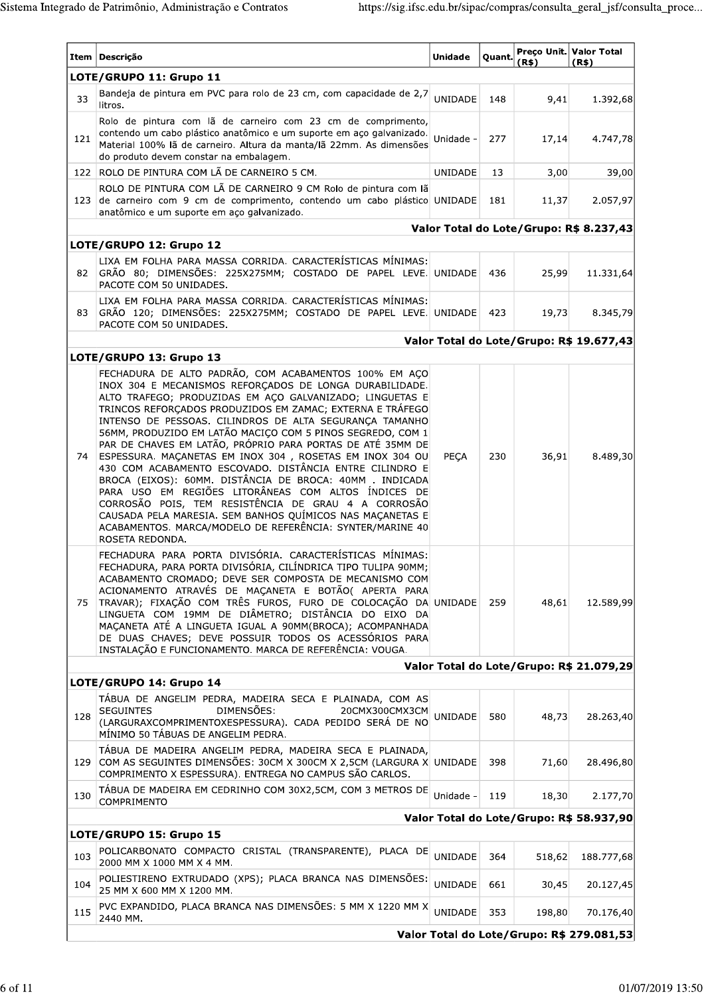| Item | Descrição                                                                                                                                                                                                                                                                                                                                                                                                                                                                                                                                                                                                                                                                                                                                                                                                                                                                      | <b>Unidade</b> | Quant. | (R\$)  | Preco Unit. Valor Total<br>(R\$)          |
|------|--------------------------------------------------------------------------------------------------------------------------------------------------------------------------------------------------------------------------------------------------------------------------------------------------------------------------------------------------------------------------------------------------------------------------------------------------------------------------------------------------------------------------------------------------------------------------------------------------------------------------------------------------------------------------------------------------------------------------------------------------------------------------------------------------------------------------------------------------------------------------------|----------------|--------|--------|-------------------------------------------|
|      | LOTE/GRUPO 11: Grupo 11                                                                                                                                                                                                                                                                                                                                                                                                                                                                                                                                                                                                                                                                                                                                                                                                                                                        |                |        |        |                                           |
| 33   | Bandeja de pintura em PVC para rolo de 23 cm, com capacidade de 2,7<br>litros.                                                                                                                                                                                                                                                                                                                                                                                                                                                                                                                                                                                                                                                                                                                                                                                                 | <b>UNIDADE</b> | 148    | 9,41   | 1.392,68                                  |
| 121  | Rolo de pintura com lã de carneiro com 23 cm de comprimento,<br>contendo um cabo plástico anatômico e um suporte em aço galvanizado.<br>Material 100% lã de carneiro. Altura da manta/lã 22mm. As dimensões<br>do produto devem constar na embalagem.                                                                                                                                                                                                                                                                                                                                                                                                                                                                                                                                                                                                                          | Unidade -      | 277    | 17,14  | 4.747,78                                  |
| 122  | ROLO DE PINTURA COM LÃ DE CARNEIRO 5 CM.                                                                                                                                                                                                                                                                                                                                                                                                                                                                                                                                                                                                                                                                                                                                                                                                                                       | UNIDADE        | 13     | 3,00   | 39,00                                     |
| 123  | ROLO DE PINTURA COM LÃ DE CARNEIRO 9 CM Rolo de pintura com lã<br>de carneiro com 9 cm de comprimento, contendo um cabo plástico UNIDADE<br>anatômico e um suporte em aço galvanizado.                                                                                                                                                                                                                                                                                                                                                                                                                                                                                                                                                                                                                                                                                         |                | 181    | 11,37  | 2.057,97                                  |
|      |                                                                                                                                                                                                                                                                                                                                                                                                                                                                                                                                                                                                                                                                                                                                                                                                                                                                                |                |        |        | Valor Total do Lote/Grupo: R\$ 8.237,43   |
|      | LOTE/GRUPO 12: Grupo 12                                                                                                                                                                                                                                                                                                                                                                                                                                                                                                                                                                                                                                                                                                                                                                                                                                                        |                |        |        |                                           |
| 82   | LIXA EM FOLHA PARA MASSA CORRIDA. CARACTERÍSTICAS MÍNIMAS:<br>GRÃO 80; DIMENSÕES: 225X275MM; COSTADO DE PAPEL LEVE. UNIDADE<br>PACOTE COM 50 UNIDADES.                                                                                                                                                                                                                                                                                                                                                                                                                                                                                                                                                                                                                                                                                                                         |                | 436    | 25,99  | 11.331,64                                 |
| 83   | LIXA EM FOLHA PARA MASSA CORRIDA. CARACTERÍSTICAS MÍNIMAS:<br>GRÃO 120; DIMENSÕES: 225X275MM; COSTADO DE PAPEL LEVE. UNIDADE<br>PACOTE COM 50 UNIDADES.                                                                                                                                                                                                                                                                                                                                                                                                                                                                                                                                                                                                                                                                                                                        |                | 423    | 19,73  | 8.345,79                                  |
|      |                                                                                                                                                                                                                                                                                                                                                                                                                                                                                                                                                                                                                                                                                                                                                                                                                                                                                |                |        |        | Valor Total do Lote/Grupo: R\$ 19.677,43  |
|      | LOTE/GRUPO 13: Grupo 13                                                                                                                                                                                                                                                                                                                                                                                                                                                                                                                                                                                                                                                                                                                                                                                                                                                        |                |        |        |                                           |
| 74   | FECHADURA DE ALTO PADRÃO, COM ACABAMENTOS 100% EM AÇO<br>INOX 304 E MECANISMOS REFORÇADOS DE LONGA DURABILIDADE.<br>ALTO TRAFEGO; PRODUZIDAS EM AÇO GALVANIZADO; LINGUETAS E<br>TRINCOS REFORÇADOS PRODUZIDOS EM ZAMAC; EXTERNA E TRÁFEGO<br>INTENSO DE PESSOAS. CILINDROS DE ALTA SEGURANÇA TAMANHO<br>56MM, PRODUZIDO EM LATÃO MACIÇO COM 5 PINOS SEGREDO, COM 1<br>PAR DE CHAVES EM LATÃO, PRÓPRIO PARA PORTAS DE ATÉ 35MM DE<br>ESPESSURA. MAÇANETAS EM INOX 304, ROSETAS EM INOX 304 OU<br>430 COM ACABAMENTO ESCOVADO. DISTÂNCIA ENTRE CILINDRO E<br>BROCA (EIXOS): 60MM. DISTÂNCIA DE BROCA: 40MM . INDICADA<br>PARA USO EM REGIÕES LITORÂNEAS COM ALTOS ÍNDICES DE<br>CORROSÃO POIS, TEM RESISTÊNCIA DE GRAU 4 A CORROSÃO<br>CAUSADA PELA MARESIA. SEM BANHOS QUÍMICOS NAS MAÇANETAS E<br>ACABAMENTOS. MARCA/MODELO DE REFERÊNCIA: SYNTER/MARINE 40<br>ROSETA REDONDA. | <b>PECA</b>    | 230    | 36,91  | 8.489,30                                  |
| 75   | FECHADURA PARA PORTA DIVISÓRIA. CARACTERÍSTICAS MÍNIMAS:<br>FECHADURA, PARA PORTA DIVISÓRIA, CILÍNDRICA TIPO TULIPA 90MM;<br>ACABAMENTO CROMADO; DEVE SER COMPOSTA DE MECANISMO COM<br>ACIONAMENTO ATRAVÉS DE MAÇANETA E BOTÃO( APERTA PARA<br>TRAVAR); FIXAÇÃO COM TRÊS FUROS, FURO DE COLOCAÇÃO DA UNIDADE<br>LINGUETA COM 19MM DE DIÂMETRO; DISTÂNCIA DO EIXO DA<br>MAÇANETA ATÉ A LINGUETA IGUAL A 90MM(BROCA); ACOMPANHADA<br>DE DUAS CHAVES; DEVE POSSUIR TODOS OS ACESSÓRIOS PARA<br>INSTALAÇÃO E FUNCIONAMENTO. MARCA DE REFERÊNCIA: VOUGA.                                                                                                                                                                                                                                                                                                                            |                | 259    | 48,61  | 12.589,99                                 |
|      |                                                                                                                                                                                                                                                                                                                                                                                                                                                                                                                                                                                                                                                                                                                                                                                                                                                                                |                |        |        | Valor Total do Lote/Grupo: R\$ 21.079,29  |
| 128  | LOTE/GRUPO 14: Grupo 14<br>TÁBUA DE ANGELIM PEDRA, MADEIRA SECA E PLAINADA, COM AS<br>DIMENSÕES:<br><b>SEGUINTES</b><br>20CMX300CMX3CM<br>(LARGURAXCOMPRIMENTOXESPESSURA). CADA PEDIDO SERÁ DE NO<br>MÍNIMO 50 TÁBUAS DE ANGELIM PEDRA.                                                                                                                                                                                                                                                                                                                                                                                                                                                                                                                                                                                                                                        | <b>UNIDADE</b> | 580    | 48,73  | 28.263,40                                 |
| 129  | TÁBUA DE MADEIRA ANGELIM PEDRA, MADEIRA SECA E PLAINADA,<br>COM AS SEGUINTES DIMENSÕES: 30CM X 300CM X 2,5CM (LARGURA X UNIDADE<br>COMPRIMENTO X ESPESSURA). ENTREGA NO CAMPUS SÃO CARLOS.                                                                                                                                                                                                                                                                                                                                                                                                                                                                                                                                                                                                                                                                                     |                | 398    | 71,60  | 28.496,80                                 |
| 130  | TÁBUA DE MADEIRA EM CEDRINHO COM 30X2,5CM, COM 3 METROS DE<br>COMPRIMENTO                                                                                                                                                                                                                                                                                                                                                                                                                                                                                                                                                                                                                                                                                                                                                                                                      | Unidade -      | 119    | 18,30  | 2.177,70                                  |
|      |                                                                                                                                                                                                                                                                                                                                                                                                                                                                                                                                                                                                                                                                                                                                                                                                                                                                                |                |        |        | Valor Total do Lote/Grupo: R\$ 58.937,90  |
|      | LOTE/GRUPO 15: Grupo 15                                                                                                                                                                                                                                                                                                                                                                                                                                                                                                                                                                                                                                                                                                                                                                                                                                                        |                |        |        |                                           |
| 103  | POLICARBONATO COMPACTO CRISTAL (TRANSPARENTE), PLACA DE<br>2000 MM X 1000 MM X 4 MM.                                                                                                                                                                                                                                                                                                                                                                                                                                                                                                                                                                                                                                                                                                                                                                                           | <b>UNIDADE</b> | 364    | 518,62 | 188.777,68                                |
| 104  | POLIESTIRENO EXTRUDADO (XPS); PLACA BRANCA NAS DIMENSÕES:<br>25 MM X 600 MM X 1200 MM.                                                                                                                                                                                                                                                                                                                                                                                                                                                                                                                                                                                                                                                                                                                                                                                         | UNIDADE        | 661    | 30,45  | 20.127,45                                 |
| 115  | PVC EXPANDIDO, PLACA BRANCA NAS DIMENSÕES: 5 MM X 1220 MM X<br>2440 MM.                                                                                                                                                                                                                                                                                                                                                                                                                                                                                                                                                                                                                                                                                                                                                                                                        | <b>UNIDADE</b> | 353    | 198,80 | 70.176,40                                 |
|      |                                                                                                                                                                                                                                                                                                                                                                                                                                                                                                                                                                                                                                                                                                                                                                                                                                                                                |                |        |        | Valor Total do Lote/Grupo: R\$ 279.081,53 |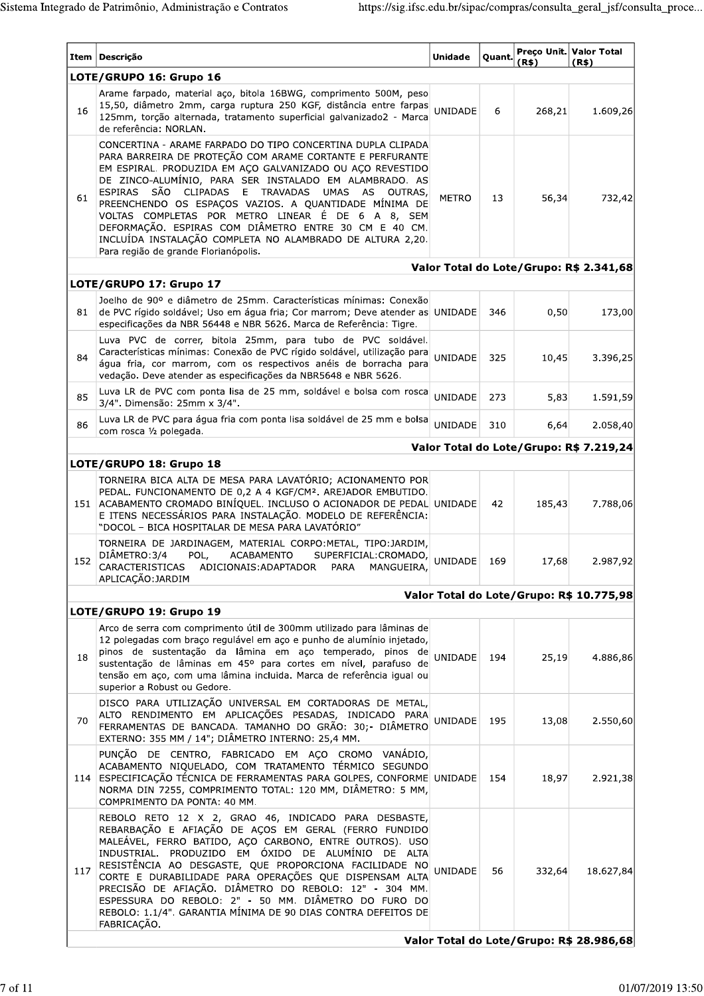| LOTE/GRUPO 16: Grupo 16<br>Arame farpado, material aço, bitola 16BWG, comprimento 500M, peso<br>15,50, diâmetro 2mm, carga ruptura 250 KGF, distância entre farpas<br>UNIDADE<br>268,21<br>16<br>6<br>125mm, torção alternada, tratamento superficial galvanizado2 - Marca<br>de referência: NORLAN.<br>CONCERTINA - ARAME FARPADO DO TIPO CONCERTINA DUPLA CLIPADA<br>PARA BARREIRA DE PROTEÇÃO COM ARAME CORTANTE E PERFURANTE<br>EM ESPIRAL. PRODUZIDA EM AÇO GALVANIZADO OU AÇO REVESTIDO<br>DE ZINCO-ALUMÍNIO, PARA SER INSTALADO EM ALAMBRADO. AS<br>ESPIRAS SÃO CLIPADAS E TRAVADAS UMAS AS OUTRAS,<br>56,34<br>61<br><b>METRO</b><br>13<br>PREENCHENDO OS ESPAÇOS VAZIOS. A QUANTIDADE MÍNIMA DE<br>VOLTAS COMPLETAS POR METRO LINEAR É DE 6 A 8, SEM<br>DEFORMAÇÃO. ESPIRAS COM DIÂMETRO ENTRE 30 CM E 40 CM.<br>INCLUÍDA INSTALAÇÃO COMPLETA NO ALAMBRADO DE ALTURA 2,20.<br>Para região de grande Florianópolis.<br>Valor Total do Lote/Grupo: R\$ 2.341,68<br>LOTE/GRUPO 17: Grupo 17<br>Joelho de 90º e diâmetro de 25mm. Características mínimas: Conexão<br>81<br>de PVC rígido soldável; Uso em água fria; Cor marrom; Deve atender as UNIDADE<br>346<br>0,50<br>especificações da NBR 56448 e NBR 5626. Marca de Referência: Tigre.<br>Luva PVC de correr, bitola 25mm, para tubo de PVC soldável.<br>Características mínimas: Conexão de PVC rígido soldável, utilização para<br>UNIDADE<br>84<br>325<br>10,45<br>água fria, cor marrom, com os respectivos anéis de borracha para<br>vedação. Deve atender as especificações da NBR5648 e NBR 5626.<br>Luva LR de PVC com ponta lisa de 25 mm, soldável e bolsa com rosca<br>85<br><b>UNIDADE</b><br>5,83<br>273<br>3/4". Dimensão: 25mm x 3/4".<br>Luva LR de PVC para água fria com ponta lisa soldável de 25 mm e bolsa<br>86<br>UNIDADE<br>310<br>6,64<br>com rosca 1/2 polegada.<br>Valor Total do Lote/Grupo: R\$ 7.219,24<br>LOTE/GRUPO 18: Grupo 18<br>TORNEIRA BICA ALTA DE MESA PARA LAVATÓRIO; ACIONAMENTO POR<br>PEDAL. FUNCIONAMENTO DE 0,2 A 4 KGF/CM <sup>2</sup> . AREJADOR EMBUTIDO.<br>151 ACABAMENTO CROMADO BINÍQUEL. INCLUSO O ACIONADOR DE PEDAL UNIDADE<br>185,43<br>42<br>E ITENS NECESSÁRIOS PARA INSTALAÇÃO. MODELO DE REFERÊNCIA:<br>"DOCOL - BICA HOSPITALAR DE MESA PARA LAVATÓRIO"<br>TORNEIRA DE JARDINAGEM, MATERIAL CORPO:METAL, TIPO:JARDIM,<br>DIÂMETRO: 3/4<br>POL,<br><b>ACABAMENTO</b><br>SUPERFICIAL: CROMADO,<br>UNIDADE<br>152<br>169<br>17,68<br>CARACTERISTICAS ADICIONAIS: ADAPTADOR PARA<br>MANGUEIRA,<br>APLICAÇÃO: JARDIM<br>Valor Total do Lote/Grupo: R\$ 10.775,98<br>LOTE/GRUPO 19: Grupo 19<br>Arco de serra com comprimento útil de 300mm utilizado para lâminas de<br>12 polegadas com braço regulável em aço e punho de alumínio injetado,<br>pinos de sustentação da lâmina em aço temperado, pinos de<br>UNIDADE<br>18<br>194<br>25,19<br>sustentação de lâminas em 45º para cortes em nível, parafuso de<br>tensão em aço, com uma lâmina incluida. Marca de referência igual ou<br>superior a Robust ou Gedore.<br>DISCO PARA UTILIZAÇÃO UNIVERSAL EM CORTADORAS DE METAL,<br>ALTO RENDIMENTO EM APLICAÇÕES PESADAS, INDICADO PARA<br><b>UNIDADE</b><br>70<br>195<br>13,08<br>FERRAMENTAS DE BANCADA. TAMANHO DO GRÃO: 30;- DIÂMETRO<br>EXTERNO: 355 MM / 14"; DIÂMETRO INTERNO: 25,4 MM.<br>PUNÇÃO DE CENTRO, FABRICADO EM AÇO CROMO VANÁDIO,<br>ACABAMENTO NIQUELADO, COM TRATAMENTO TÉRMICO SEGUNDO<br>ESPECIFICAÇÃO TÉCNICA DE FERRAMENTAS PARA GOLPES, CONFORME UNIDADE<br>114<br>154<br>18,97<br>NORMA DIN 7255, COMPRIMENTO TOTAL: 120 MM, DIÂMETRO: 5 MM,<br>COMPRIMENTO DA PONTA: 40 MM.<br>REBOLO RETO 12 X 2, GRAO 46, INDICADO PARA DESBASTE,<br>REBARBAÇÃO E AFIAÇÃO DE AÇOS EM GERAL (FERRO FUNDIDO<br>MALEÁVEL, FERRO BATIDO, AÇO CARBONO, ENTRE OUTROS). USO<br>INDUSTRIAL. PRODUZIDO EM ÓXIDO DE ALUMÍNIO DE ALTA<br>RESISTÊNCIA AO DESGASTE, QUE PROPORCIONA FACILIDADE NO<br>117<br>UNIDADE<br>56<br>332,64<br>CORTE E DURABILIDADE PARA OPERAÇÕES QUE DISPENSAM ALTA<br>PRECISÃO DE AFIAÇÃO. DIÂMETRO DO REBOLO: 12" - 304 MM.<br>ESPESSURA DO REBOLO: 2" - 50 MM. DIÂMETRO DO FURO DO<br>REBOLO: 1.1/4". GARANTIA MÍNIMA DE 90 DIAS CONTRA DEFEITOS DE<br>FABRICAÇÃO.<br>Valor Total do Lote/Grupo: R\$ 28.986,68 | Item Descrição | Unidade | Quant. |       | Preco Unit. Valor Total |
|----------------------------------------------------------------------------------------------------------------------------------------------------------------------------------------------------------------------------------------------------------------------------------------------------------------------------------------------------------------------------------------------------------------------------------------------------------------------------------------------------------------------------------------------------------------------------------------------------------------------------------------------------------------------------------------------------------------------------------------------------------------------------------------------------------------------------------------------------------------------------------------------------------------------------------------------------------------------------------------------------------------------------------------------------------------------------------------------------------------------------------------------------------------------------------------------------------------------------------------------------------------------------------------------------------------------------------------------------------------------------------------------------------------------------------------------------------------------------------------------------------------------------------------------------------------------------------------------------------------------------------------------------------------------------------------------------------------------------------------------------------------------------------------------------------------------------------------------------------------------------------------------------------------------------------------------------------------------------------------------------------------------------------------------------------------------------------------------------------------------------------------------------------------------------------------------------------------------------------------------------------------------------------------------------------------------------------------------------------------------------------------------------------------------------------------------------------------------------------------------------------------------------------------------------------------------------------------------------------------------------------------------------------------------------------------------------------------------------------------------------------------------------------------------------------------------------------------------------------------------------------------------------------------------------------------------------------------------------------------------------------------------------------------------------------------------------------------------------------------------------------------------------------------------------------------------------------------------------------------------------------------------------------------------------------------------------------------------------------------------------------------------------------------------------------------------------------------------------------------------------------------------------------------------------------------------------------------------------------------------------------------------------------------------------------------------------------------------------------------------------------------------------------------------------------------------------------------------------------------------------------------------------------------------------------------------------------------------------------------------------------------------------------------------------------------------------------------------------------------------------------------------------------------------------------------------------------------------------------------------------------------------|----------------|---------|--------|-------|-------------------------|
|                                                                                                                                                                                                                                                                                                                                                                                                                                                                                                                                                                                                                                                                                                                                                                                                                                                                                                                                                                                                                                                                                                                                                                                                                                                                                                                                                                                                                                                                                                                                                                                                                                                                                                                                                                                                                                                                                                                                                                                                                                                                                                                                                                                                                                                                                                                                                                                                                                                                                                                                                                                                                                                                                                                                                                                                                                                                                                                                                                                                                                                                                                                                                                                                                                                                                                                                                                                                                                                                                                                                                                                                                                                                                                                                                                                                                                                                                                                                                                                                                                                                                                                                                                                                                                                                      |                |         |        | (R\$) | (R\$)                   |
|                                                                                                                                                                                                                                                                                                                                                                                                                                                                                                                                                                                                                                                                                                                                                                                                                                                                                                                                                                                                                                                                                                                                                                                                                                                                                                                                                                                                                                                                                                                                                                                                                                                                                                                                                                                                                                                                                                                                                                                                                                                                                                                                                                                                                                                                                                                                                                                                                                                                                                                                                                                                                                                                                                                                                                                                                                                                                                                                                                                                                                                                                                                                                                                                                                                                                                                                                                                                                                                                                                                                                                                                                                                                                                                                                                                                                                                                                                                                                                                                                                                                                                                                                                                                                                                                      |                |         |        |       | 1.609,26                |
|                                                                                                                                                                                                                                                                                                                                                                                                                                                                                                                                                                                                                                                                                                                                                                                                                                                                                                                                                                                                                                                                                                                                                                                                                                                                                                                                                                                                                                                                                                                                                                                                                                                                                                                                                                                                                                                                                                                                                                                                                                                                                                                                                                                                                                                                                                                                                                                                                                                                                                                                                                                                                                                                                                                                                                                                                                                                                                                                                                                                                                                                                                                                                                                                                                                                                                                                                                                                                                                                                                                                                                                                                                                                                                                                                                                                                                                                                                                                                                                                                                                                                                                                                                                                                                                                      |                |         |        |       | 732,42                  |
|                                                                                                                                                                                                                                                                                                                                                                                                                                                                                                                                                                                                                                                                                                                                                                                                                                                                                                                                                                                                                                                                                                                                                                                                                                                                                                                                                                                                                                                                                                                                                                                                                                                                                                                                                                                                                                                                                                                                                                                                                                                                                                                                                                                                                                                                                                                                                                                                                                                                                                                                                                                                                                                                                                                                                                                                                                                                                                                                                                                                                                                                                                                                                                                                                                                                                                                                                                                                                                                                                                                                                                                                                                                                                                                                                                                                                                                                                                                                                                                                                                                                                                                                                                                                                                                                      |                |         |        |       |                         |
|                                                                                                                                                                                                                                                                                                                                                                                                                                                                                                                                                                                                                                                                                                                                                                                                                                                                                                                                                                                                                                                                                                                                                                                                                                                                                                                                                                                                                                                                                                                                                                                                                                                                                                                                                                                                                                                                                                                                                                                                                                                                                                                                                                                                                                                                                                                                                                                                                                                                                                                                                                                                                                                                                                                                                                                                                                                                                                                                                                                                                                                                                                                                                                                                                                                                                                                                                                                                                                                                                                                                                                                                                                                                                                                                                                                                                                                                                                                                                                                                                                                                                                                                                                                                                                                                      |                |         |        |       |                         |
|                                                                                                                                                                                                                                                                                                                                                                                                                                                                                                                                                                                                                                                                                                                                                                                                                                                                                                                                                                                                                                                                                                                                                                                                                                                                                                                                                                                                                                                                                                                                                                                                                                                                                                                                                                                                                                                                                                                                                                                                                                                                                                                                                                                                                                                                                                                                                                                                                                                                                                                                                                                                                                                                                                                                                                                                                                                                                                                                                                                                                                                                                                                                                                                                                                                                                                                                                                                                                                                                                                                                                                                                                                                                                                                                                                                                                                                                                                                                                                                                                                                                                                                                                                                                                                                                      |                |         |        |       | 173,00                  |
|                                                                                                                                                                                                                                                                                                                                                                                                                                                                                                                                                                                                                                                                                                                                                                                                                                                                                                                                                                                                                                                                                                                                                                                                                                                                                                                                                                                                                                                                                                                                                                                                                                                                                                                                                                                                                                                                                                                                                                                                                                                                                                                                                                                                                                                                                                                                                                                                                                                                                                                                                                                                                                                                                                                                                                                                                                                                                                                                                                                                                                                                                                                                                                                                                                                                                                                                                                                                                                                                                                                                                                                                                                                                                                                                                                                                                                                                                                                                                                                                                                                                                                                                                                                                                                                                      |                |         |        |       | 3.396,25                |
|                                                                                                                                                                                                                                                                                                                                                                                                                                                                                                                                                                                                                                                                                                                                                                                                                                                                                                                                                                                                                                                                                                                                                                                                                                                                                                                                                                                                                                                                                                                                                                                                                                                                                                                                                                                                                                                                                                                                                                                                                                                                                                                                                                                                                                                                                                                                                                                                                                                                                                                                                                                                                                                                                                                                                                                                                                                                                                                                                                                                                                                                                                                                                                                                                                                                                                                                                                                                                                                                                                                                                                                                                                                                                                                                                                                                                                                                                                                                                                                                                                                                                                                                                                                                                                                                      |                |         |        |       | 1.591,59                |
|                                                                                                                                                                                                                                                                                                                                                                                                                                                                                                                                                                                                                                                                                                                                                                                                                                                                                                                                                                                                                                                                                                                                                                                                                                                                                                                                                                                                                                                                                                                                                                                                                                                                                                                                                                                                                                                                                                                                                                                                                                                                                                                                                                                                                                                                                                                                                                                                                                                                                                                                                                                                                                                                                                                                                                                                                                                                                                                                                                                                                                                                                                                                                                                                                                                                                                                                                                                                                                                                                                                                                                                                                                                                                                                                                                                                                                                                                                                                                                                                                                                                                                                                                                                                                                                                      |                |         |        |       | 2.058,40                |
|                                                                                                                                                                                                                                                                                                                                                                                                                                                                                                                                                                                                                                                                                                                                                                                                                                                                                                                                                                                                                                                                                                                                                                                                                                                                                                                                                                                                                                                                                                                                                                                                                                                                                                                                                                                                                                                                                                                                                                                                                                                                                                                                                                                                                                                                                                                                                                                                                                                                                                                                                                                                                                                                                                                                                                                                                                                                                                                                                                                                                                                                                                                                                                                                                                                                                                                                                                                                                                                                                                                                                                                                                                                                                                                                                                                                                                                                                                                                                                                                                                                                                                                                                                                                                                                                      |                |         |        |       |                         |
|                                                                                                                                                                                                                                                                                                                                                                                                                                                                                                                                                                                                                                                                                                                                                                                                                                                                                                                                                                                                                                                                                                                                                                                                                                                                                                                                                                                                                                                                                                                                                                                                                                                                                                                                                                                                                                                                                                                                                                                                                                                                                                                                                                                                                                                                                                                                                                                                                                                                                                                                                                                                                                                                                                                                                                                                                                                                                                                                                                                                                                                                                                                                                                                                                                                                                                                                                                                                                                                                                                                                                                                                                                                                                                                                                                                                                                                                                                                                                                                                                                                                                                                                                                                                                                                                      |                |         |        |       |                         |
|                                                                                                                                                                                                                                                                                                                                                                                                                                                                                                                                                                                                                                                                                                                                                                                                                                                                                                                                                                                                                                                                                                                                                                                                                                                                                                                                                                                                                                                                                                                                                                                                                                                                                                                                                                                                                                                                                                                                                                                                                                                                                                                                                                                                                                                                                                                                                                                                                                                                                                                                                                                                                                                                                                                                                                                                                                                                                                                                                                                                                                                                                                                                                                                                                                                                                                                                                                                                                                                                                                                                                                                                                                                                                                                                                                                                                                                                                                                                                                                                                                                                                                                                                                                                                                                                      |                |         |        |       | 7.788,06                |
|                                                                                                                                                                                                                                                                                                                                                                                                                                                                                                                                                                                                                                                                                                                                                                                                                                                                                                                                                                                                                                                                                                                                                                                                                                                                                                                                                                                                                                                                                                                                                                                                                                                                                                                                                                                                                                                                                                                                                                                                                                                                                                                                                                                                                                                                                                                                                                                                                                                                                                                                                                                                                                                                                                                                                                                                                                                                                                                                                                                                                                                                                                                                                                                                                                                                                                                                                                                                                                                                                                                                                                                                                                                                                                                                                                                                                                                                                                                                                                                                                                                                                                                                                                                                                                                                      |                |         |        |       | 2.987,92                |
|                                                                                                                                                                                                                                                                                                                                                                                                                                                                                                                                                                                                                                                                                                                                                                                                                                                                                                                                                                                                                                                                                                                                                                                                                                                                                                                                                                                                                                                                                                                                                                                                                                                                                                                                                                                                                                                                                                                                                                                                                                                                                                                                                                                                                                                                                                                                                                                                                                                                                                                                                                                                                                                                                                                                                                                                                                                                                                                                                                                                                                                                                                                                                                                                                                                                                                                                                                                                                                                                                                                                                                                                                                                                                                                                                                                                                                                                                                                                                                                                                                                                                                                                                                                                                                                                      |                |         |        |       |                         |
|                                                                                                                                                                                                                                                                                                                                                                                                                                                                                                                                                                                                                                                                                                                                                                                                                                                                                                                                                                                                                                                                                                                                                                                                                                                                                                                                                                                                                                                                                                                                                                                                                                                                                                                                                                                                                                                                                                                                                                                                                                                                                                                                                                                                                                                                                                                                                                                                                                                                                                                                                                                                                                                                                                                                                                                                                                                                                                                                                                                                                                                                                                                                                                                                                                                                                                                                                                                                                                                                                                                                                                                                                                                                                                                                                                                                                                                                                                                                                                                                                                                                                                                                                                                                                                                                      |                |         |        |       |                         |
|                                                                                                                                                                                                                                                                                                                                                                                                                                                                                                                                                                                                                                                                                                                                                                                                                                                                                                                                                                                                                                                                                                                                                                                                                                                                                                                                                                                                                                                                                                                                                                                                                                                                                                                                                                                                                                                                                                                                                                                                                                                                                                                                                                                                                                                                                                                                                                                                                                                                                                                                                                                                                                                                                                                                                                                                                                                                                                                                                                                                                                                                                                                                                                                                                                                                                                                                                                                                                                                                                                                                                                                                                                                                                                                                                                                                                                                                                                                                                                                                                                                                                                                                                                                                                                                                      |                |         |        |       | 4.886,86                |
|                                                                                                                                                                                                                                                                                                                                                                                                                                                                                                                                                                                                                                                                                                                                                                                                                                                                                                                                                                                                                                                                                                                                                                                                                                                                                                                                                                                                                                                                                                                                                                                                                                                                                                                                                                                                                                                                                                                                                                                                                                                                                                                                                                                                                                                                                                                                                                                                                                                                                                                                                                                                                                                                                                                                                                                                                                                                                                                                                                                                                                                                                                                                                                                                                                                                                                                                                                                                                                                                                                                                                                                                                                                                                                                                                                                                                                                                                                                                                                                                                                                                                                                                                                                                                                                                      |                |         |        |       | 2.550,60                |
|                                                                                                                                                                                                                                                                                                                                                                                                                                                                                                                                                                                                                                                                                                                                                                                                                                                                                                                                                                                                                                                                                                                                                                                                                                                                                                                                                                                                                                                                                                                                                                                                                                                                                                                                                                                                                                                                                                                                                                                                                                                                                                                                                                                                                                                                                                                                                                                                                                                                                                                                                                                                                                                                                                                                                                                                                                                                                                                                                                                                                                                                                                                                                                                                                                                                                                                                                                                                                                                                                                                                                                                                                                                                                                                                                                                                                                                                                                                                                                                                                                                                                                                                                                                                                                                                      |                |         |        |       | 2.921,38                |
|                                                                                                                                                                                                                                                                                                                                                                                                                                                                                                                                                                                                                                                                                                                                                                                                                                                                                                                                                                                                                                                                                                                                                                                                                                                                                                                                                                                                                                                                                                                                                                                                                                                                                                                                                                                                                                                                                                                                                                                                                                                                                                                                                                                                                                                                                                                                                                                                                                                                                                                                                                                                                                                                                                                                                                                                                                                                                                                                                                                                                                                                                                                                                                                                                                                                                                                                                                                                                                                                                                                                                                                                                                                                                                                                                                                                                                                                                                                                                                                                                                                                                                                                                                                                                                                                      |                |         |        |       | 18.627,84               |
|                                                                                                                                                                                                                                                                                                                                                                                                                                                                                                                                                                                                                                                                                                                                                                                                                                                                                                                                                                                                                                                                                                                                                                                                                                                                                                                                                                                                                                                                                                                                                                                                                                                                                                                                                                                                                                                                                                                                                                                                                                                                                                                                                                                                                                                                                                                                                                                                                                                                                                                                                                                                                                                                                                                                                                                                                                                                                                                                                                                                                                                                                                                                                                                                                                                                                                                                                                                                                                                                                                                                                                                                                                                                                                                                                                                                                                                                                                                                                                                                                                                                                                                                                                                                                                                                      |                |         |        |       |                         |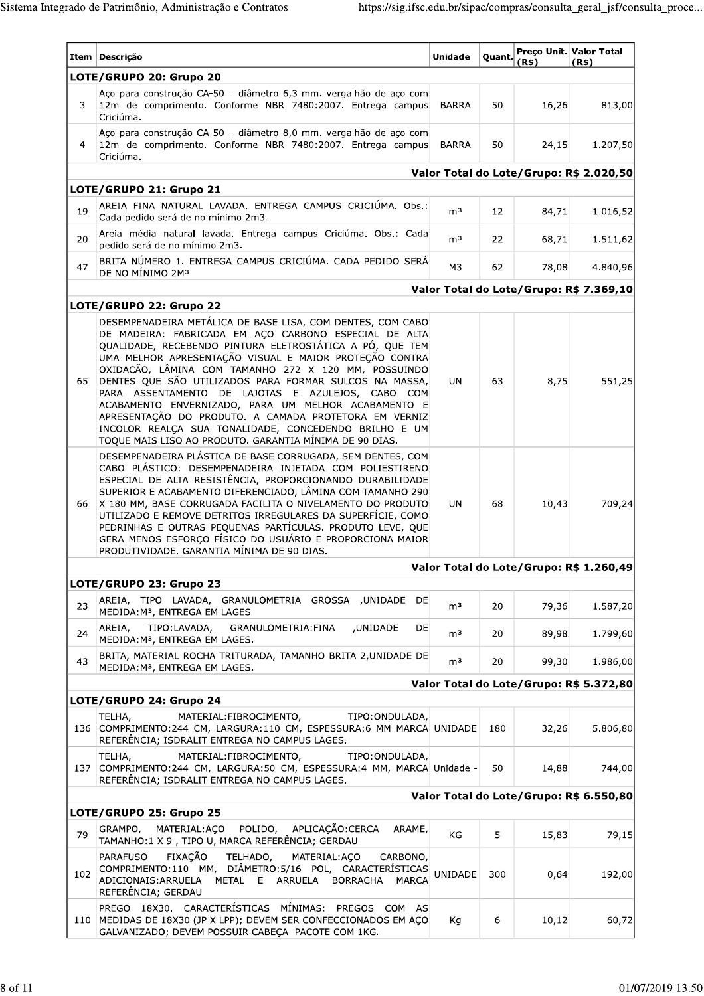|     | Item   Descrição                                                                                                                                                                                                                                                                                                                                                                                                                                                                                                                                                                                                                                        | <b>Unidade</b> | Quant. | (R\$) | Preco Unit. Valor Total<br>(R\$)        |
|-----|---------------------------------------------------------------------------------------------------------------------------------------------------------------------------------------------------------------------------------------------------------------------------------------------------------------------------------------------------------------------------------------------------------------------------------------------------------------------------------------------------------------------------------------------------------------------------------------------------------------------------------------------------------|----------------|--------|-------|-----------------------------------------|
|     | LOTE/GRUPO 20: Grupo 20                                                                                                                                                                                                                                                                                                                                                                                                                                                                                                                                                                                                                                 |                |        |       |                                         |
| 3   | Aço para construção CA-50 - diâmetro 6,3 mm. vergalhão de aço com<br>12m de comprimento. Conforme NBR 7480:2007. Entrega campus<br>Criciúma.                                                                                                                                                                                                                                                                                                                                                                                                                                                                                                            | <b>BARRA</b>   | 50     | 16,26 | 813,00                                  |
| 4   | Aço para construção CA-50 - diâmetro 8,0 mm. vergalhão de aço com<br>12m de comprimento. Conforme NBR 7480:2007. Entrega campus<br>Criciúma.                                                                                                                                                                                                                                                                                                                                                                                                                                                                                                            | BARRA          | 50     | 24,15 | 1.207,50                                |
|     |                                                                                                                                                                                                                                                                                                                                                                                                                                                                                                                                                                                                                                                         |                |        |       | Valor Total do Lote/Grupo: R\$ 2.020,50 |
|     | LOTE/GRUPO 21: Grupo 21                                                                                                                                                                                                                                                                                                                                                                                                                                                                                                                                                                                                                                 |                |        |       |                                         |
| 19  | AREIA FINA NATURAL LAVADA. ENTREGA CAMPUS CRICIÚMA. Obs.:<br>Cada pedido será de no mínimo 2m3.                                                                                                                                                                                                                                                                                                                                                                                                                                                                                                                                                         | m <sup>3</sup> | 12     | 84,71 | 1.016,52                                |
| 20  | Areia média natural lavada. Entrega campus Criciúma. Obs.: Cada<br>pedido será de no mínimo 2m3.                                                                                                                                                                                                                                                                                                                                                                                                                                                                                                                                                        | m <sup>3</sup> | 22     | 68,71 | 1.511,62                                |
| 47  | BRITA NÚMERO 1. ENTREGA CAMPUS CRICIÚMA. CADA PEDIDO SERÁ<br>DE NO MÍNIMO 2M <sup>3</sup>                                                                                                                                                                                                                                                                                                                                                                                                                                                                                                                                                               | M3             | 62     | 78,08 | 4.840,96                                |
|     |                                                                                                                                                                                                                                                                                                                                                                                                                                                                                                                                                                                                                                                         |                |        |       | Valor Total do Lote/Grupo: R\$ 7.369,10 |
|     | LOTE/GRUPO 22: Grupo 22                                                                                                                                                                                                                                                                                                                                                                                                                                                                                                                                                                                                                                 |                |        |       |                                         |
| 65  | DESEMPENADEIRA METÁLICA DE BASE LISA, COM DENTES, COM CABO<br>DE MADEIRA: FABRICADA EM AÇO CARBONO ESPECIAL DE ALTA<br>QUALIDADE, RECEBENDO PINTURA ELETROSTÁTICA A PÓ, QUE TEM<br>UMA MELHOR APRESENTAÇÃO VISUAL E MAIOR PROTEÇÃO CONTRA<br>OXIDAÇÃO, LÂMINA COM TAMANHO 272 X 120 MM, POSSUINDO<br>DENTES QUE SÃO UTILIZADOS PARA FORMAR SULCOS NA MASSA,<br>PARA ASSENTAMENTO DE LAJOTAS E AZULEJOS, CABO<br>COM<br>ACABAMENTO ENVERNIZADO, PARA UM MELHOR ACABAMENTO E<br>APRESENTAÇÃO DO PRODUTO. A CAMADA PROTETORA EM VERNIZ<br>INCOLOR REALÇA SUA TONALIDADE, CONCEDENDO BRILHO E UM<br>TOQUE MAIS LISO AO PRODUTO. GARANTIA MÍNIMA DE 90 DIAS. | UN.            | 63     | 8,75  | 551,25                                  |
| 66  | DESEMPENADEIRA PLÁSTICA DE BASE CORRUGADA, SEM DENTES, COM<br>CABO PLÁSTICO: DESEMPENADEIRA INJETADA COM POLIESTIRENO<br>ESPECIAL DE ALTA RESISTÊNCIA, PROPORCIONANDO DURABILIDADE<br>SUPERIOR E ACABAMENTO DIFERENCIADO, LÂMINA COM TAMANHO 290<br>X 180 MM, BASE CORRUGADA FACILITA O NIVELAMENTO DO PRODUTO<br>UTILIZADO E REMOVE DETRITOS IRREGULARES DA SUPERFÍCIE, COMO<br>PEDRINHAS E OUTRAS PEQUENAS PARTÍCULAS. PRODUTO LEVE, QUE<br>GERA MENOS ESFORÇO FÍSICO DO USUÁRIO E PROPORCIONA MAIOR<br>PRODUTIVIDADE. GARANTIA MÍNIMA DE 90 DIAS.                                                                                                    | <b>UN</b>      | 68     | 10,43 | 709,24                                  |
|     |                                                                                                                                                                                                                                                                                                                                                                                                                                                                                                                                                                                                                                                         |                |        |       | Valor Total do Lote/Grupo: R\$ 1.260,49 |
|     | LOTE/GRUPO 23: Grupo 23                                                                                                                                                                                                                                                                                                                                                                                                                                                                                                                                                                                                                                 |                |        |       |                                         |
| 23  | AREIA, TIPO LAVADA, GRANULOMETRIA GROSSA ,UNIDADE DE<br>MEDIDA: M <sup>3</sup> , ENTREGA EM LAGES                                                                                                                                                                                                                                                                                                                                                                                                                                                                                                                                                       | m <sup>3</sup> | 20     | 79,36 | 1.587,20                                |
| 24  | TIPO: LAVADA,<br>AREIA,<br>GRANULOMETRIA: FINA<br>,UNIDADE<br>DE<br>MEDIDA: M3, ENTREGA EM LAGES.                                                                                                                                                                                                                                                                                                                                                                                                                                                                                                                                                       | m <sup>3</sup> | 20     | 89,98 | 1.799,60                                |
| 43  | BRITA, MATERIAL ROCHA TRITURADA, TAMANHO BRITA 2, UNIDADE DE<br>MEDIDA: M3, ENTREGA EM LAGES.                                                                                                                                                                                                                                                                                                                                                                                                                                                                                                                                                           | m <sup>3</sup> | 20     | 99,30 | 1.986,00                                |
|     |                                                                                                                                                                                                                                                                                                                                                                                                                                                                                                                                                                                                                                                         |                |        |       | Valor Total do Lote/Grupo: R\$ 5.372,80 |
|     | LOTE/GRUPO 24: Grupo 24                                                                                                                                                                                                                                                                                                                                                                                                                                                                                                                                                                                                                                 |                |        |       |                                         |
|     | MATERIAL: FIBROCIMENTO,<br>TIPO: ONDULADA,<br>TELHA,<br>136 COMPRIMENTO:244 CM, LARGURA:110 CM, ESPESSURA:6 MM MARCA UNIDADE<br>REFERÊNCIA; ISDRALIT ENTREGA NO CAMPUS LAGES.                                                                                                                                                                                                                                                                                                                                                                                                                                                                           |                | 180    | 32,26 | 5.806,80                                |
| 137 | MATERIAL: FIBROCIMENTO,<br>TELHA,<br>TIPO: ONDULADA,<br>COMPRIMENTO:244 CM, LARGURA:50 CM, ESPESSURA:4 MM, MARCA Unidade -<br>REFERÊNCIA; ISDRALIT ENTREGA NO CAMPUS LAGES.                                                                                                                                                                                                                                                                                                                                                                                                                                                                             |                | 50     | 14,88 | 744,00                                  |
|     |                                                                                                                                                                                                                                                                                                                                                                                                                                                                                                                                                                                                                                                         |                |        |       | Valor Total do Lote/Grupo: R\$ 6.550,80 |
| 79  | LOTE/GRUPO 25: Grupo 25<br>APLICAÇÃO: CERCA<br>POLIDO,<br>GRAMPO,<br>MATERIAL:ACO<br>ARAME,<br>TAMANHO:1 X 9, TIPO U, MARCA REFERÊNCIA; GERDAU                                                                                                                                                                                                                                                                                                                                                                                                                                                                                                          | KG             | 5      | 15,83 | 79,15                                   |
| 102 | FIXAÇÃO<br><b>PARAFUSO</b><br>TELHADO,<br>MATERIAL: ACO<br>CARBONO,<br>COMPRIMENTO:110 MM, DIÂMETRO:5/16 POL, CARACTERÍSTICAS<br>ADICIONAIS: ARRUELA<br>METAL E ARRUELA<br>BORRACHA<br>MARCA<br>REFERÊNCIA; GERDAU                                                                                                                                                                                                                                                                                                                                                                                                                                      | <b>UNIDADE</b> | 300    | 0,64  | 192,00                                  |
| 110 | PREGO 18X30. CARACTERÍSTICAS MÍNIMAS:<br>PREGOS COM AS<br>MEDIDAS DE 18X30 (JP X LPP); DEVEM SER CONFECCIONADOS EM AÇO<br>GALVANIZADO; DEVEM POSSUIR CABEÇA. PACOTE COM 1KG.                                                                                                                                                                                                                                                                                                                                                                                                                                                                            | Кq             | 6      | 10,12 | 60,72                                   |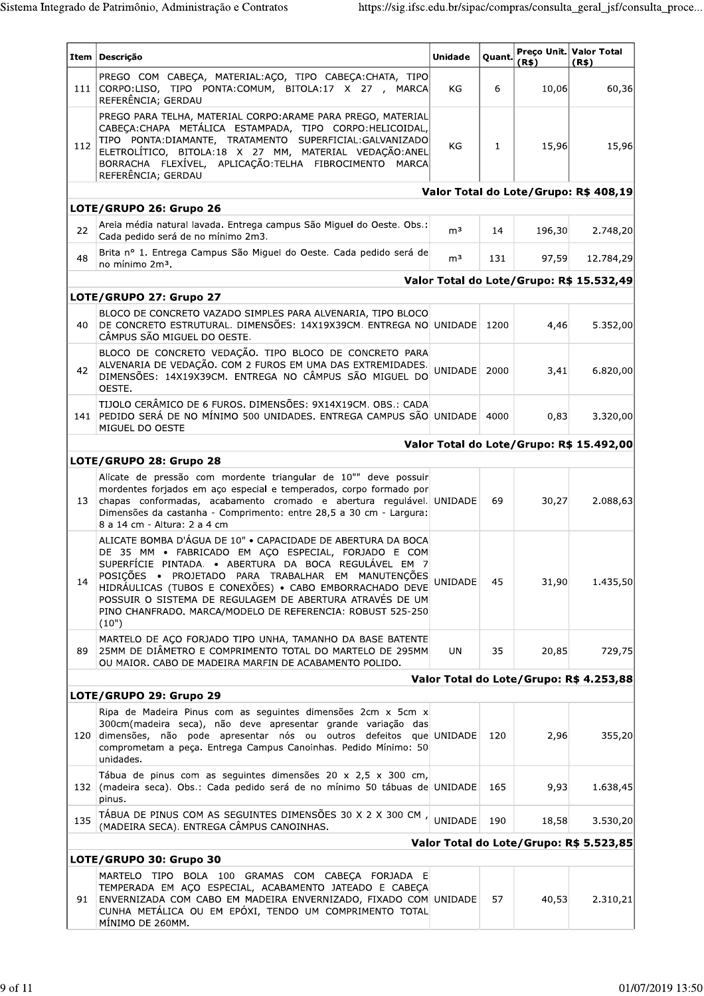|                                         | Item   Descrição                                                                                                                                                                                                                                                                                                                                                                                                                 | <b>Unidade</b> | Quant.       | (R\$)  | Preço Unit. Valor Total<br>(R\$)         |
|-----------------------------------------|----------------------------------------------------------------------------------------------------------------------------------------------------------------------------------------------------------------------------------------------------------------------------------------------------------------------------------------------------------------------------------------------------------------------------------|----------------|--------------|--------|------------------------------------------|
|                                         | PREGO COM CABEÇA, MATERIAL:AÇO, TIPO CABEÇA:CHATA, TIPO<br>111 CORPO:LISO, TIPO PONTA:COMUM, BITOLA:17 X 27, MARCA<br>REFERÊNCIA; GERDAU                                                                                                                                                                                                                                                                                         | KG             | 6            | 10,06  | 60,36                                    |
| 112                                     | PREGO PARA TELHA, MATERIAL CORPO: ARAME PARA PREGO, MATERIAL<br>CABEÇA: CHAPA METÁLICA ESTAMPADA, TIPO CORPO: HELICOIDAL,<br>TIPO PONTA: DIAMANTE, TRATAMENTO SUPERFICIAL: GALVANIZADO<br>ELETROLÍTICO, BITOLA:18 X 27 MM, MATERIAL VEDAÇÃO:ANEL<br>BORRACHA FLEXÍVEL, APLICAÇÃO:TELHA FIBROCIMENTO MARCA<br>REFERÊNCIA; GERDAU                                                                                                  | KG             | $\mathbf{1}$ | 15,96  | 15,96                                    |
|                                         |                                                                                                                                                                                                                                                                                                                                                                                                                                  |                |              |        | Valor Total do Lote/Grupo: R\$ 408,19    |
|                                         | LOTE/GRUPO 26: Grupo 26                                                                                                                                                                                                                                                                                                                                                                                                          |                |              |        |                                          |
| 22                                      | Areia média natural lavada. Entrega campus São Miguel do Oeste. Obs.:<br>Cada pedido será de no mínimo 2m3.                                                                                                                                                                                                                                                                                                                      | m <sup>3</sup> | 14           | 196,30 | 2.748,20                                 |
| 48                                      | Brita nº 1. Entrega Campus São Miguel do Oeste. Cada pedido será de<br>no mínimo 2m <sup>3</sup> .                                                                                                                                                                                                                                                                                                                               | m <sup>3</sup> | 131          | 97,59  | 12.784,29                                |
|                                         |                                                                                                                                                                                                                                                                                                                                                                                                                                  |                |              |        | Valor Total do Lote/Grupo: R\$ 15.532,49 |
|                                         | LOTE/GRUPO 27: Grupo 27                                                                                                                                                                                                                                                                                                                                                                                                          |                |              |        |                                          |
| 40                                      | BLOCO DE CONCRETO VAZADO SIMPLES PARA ALVENARIA, TIPO BLOCO<br>DE CONCRETO ESTRUTURAL. DIMENSÕES: 14X19X39CM. ENTREGA NO UNIDADE 1200<br>CÂMPUS SÃO MIGUEL DO OESTE.                                                                                                                                                                                                                                                             |                |              | 4,46   | 5.352,00                                 |
| 42                                      | BLOCO DE CONCRETO VEDAÇÃO. TIPO BLOCO DE CONCRETO PARA<br>ALVENARIA DE VEDAÇÃO. COM 2 FUROS EM UMA DAS EXTREMIDADES.<br>DIMENSÕES: 14X19X39CM. ENTREGA NO CÂMPUS SÃO MIGUEL DO<br>OESTE.                                                                                                                                                                                                                                         | UNIDADE        | 2000         | 3,41   | 6.820,00                                 |
|                                         | TIJOLO CERÂMICO DE 6 FUROS. DIMENSÕES: 9X14X19CM. OBS.: CADA<br>141 PEDIDO SERÁ DE NO MÍNIMO 500 UNIDADES. ENTREGA CAMPUS SÃO UNIDADE<br>MIGUEL DO OESTE                                                                                                                                                                                                                                                                         |                | 4000         | 0,83   | 3.320,00                                 |
|                                         |                                                                                                                                                                                                                                                                                                                                                                                                                                  |                |              |        | Valor Total do Lote/Grupo: R\$ 15.492,00 |
|                                         | LOTE/GRUPO 28: Grupo 28                                                                                                                                                                                                                                                                                                                                                                                                          |                |              |        |                                          |
| 13                                      | Alicate de pressão com mordente triangular de 10"" deve possuir<br>mordentes forjados em aço especial e temperados, corpo formado por<br>chapas conformadas, acabamento cromado e abertura regulável. UNIDADE<br>Dimensões da castanha - Comprimento: entre 28,5 a 30 cm - Largura:<br>8 a 14 cm - Altura: 2 a 4 cm                                                                                                              |                | 69           | 30,27  | 2.088,63                                 |
| 14                                      | ALICATE BOMBA D'ÁGUA DE 10" · CAPACIDADE DE ABERTURA DA BOCA<br>DE 35 MM · FABRICADO EM AÇO ESPECIAL, FORJADO E COM<br>SUPERFÍCIE PINTADA. • ABERTURA DA BOCA REGULÁVEL EM 7<br>POSIÇÕES · PROJETADO PARA TRABALHAR EM MANUTENÇÕES<br>HIDRÁULICAS (TUBOS E CONEXÕES) · CABO EMBORRACHADO DEVE<br>POSSUIR O SISTEMA DE REGULAGEM DE ABERTURA ATRAVÉS DE UM<br>PINO CHANFRADO. MARCA/MODELO DE REFERENCIA: ROBUST 525-250<br>(10") | <b>UNIDADE</b> | 45           | 31,90  | 1.435,50                                 |
| 89                                      | MARTELO DE AÇO FORJADO TIPO UNHA, TAMANHO DA BASE BATENTE<br>25MM DE DIÂMETRO E COMPRIMENTO TOTAL DO MARTELO DE 295MM<br>OU MAIOR. CABO DE MADEIRA MARFIN DE ACABAMENTO POLIDO.                                                                                                                                                                                                                                                  | UN             | 35           | 20,85  | 729,75                                   |
|                                         |                                                                                                                                                                                                                                                                                                                                                                                                                                  |                |              |        | Valor Total do Lote/Grupo: R\$ 4.253,88  |
|                                         | LOTE/GRUPO 29: Grupo 29                                                                                                                                                                                                                                                                                                                                                                                                          |                |              |        |                                          |
|                                         | Ripa de Madeira Pinus com as seguintes dimensões 2cm x 5cm x<br>300cm(madeira seca), não deve apresentar grande variação das<br>120 dimensões, não pode apresentar nós ou outros defeitos que UNIDADE<br>comprometam a peça. Entrega Campus Canoinhas. Pedido Mínimo: 50<br>unidades.                                                                                                                                            |                | 120          | 2,96   | 355,20                                   |
|                                         | Tábua de pinus com as seguintes dimensões 20 x 2,5 x 300 cm,<br>132 (madeira seca). Obs.: Cada pedido será de no mínimo 50 tábuas de UNIDADE<br>pinus.                                                                                                                                                                                                                                                                           |                | 165          | 9,93   | 1.638,45                                 |
| 135                                     | TÁBUA DE PINUS COM AS SEGUINTES DIMENSÕES 30 X 2 X 300 CM,<br>(MADEIRA SECA). ENTREGA CÂMPUS CANOINHAS.                                                                                                                                                                                                                                                                                                                          | UNIDADE        | 190          | 18,58  | 3.530,20                                 |
| Valor Total do Lote/Grupo: R\$ 5.523,85 |                                                                                                                                                                                                                                                                                                                                                                                                                                  |                |              |        |                                          |
|                                         | LOTE/GRUPO 30: Grupo 30                                                                                                                                                                                                                                                                                                                                                                                                          |                |              |        |                                          |
| 91                                      | MARTELO TIPO BOLA 100 GRAMAS COM CABEÇA FORJADA E<br>TEMPERADA EM AÇO ESPECIAL, ACABAMENTO JATEADO E CABEÇA<br>ENVERNIZADA COM CABO EM MADEIRA ENVERNIZADO, FIXADO COM UNIDADE<br>CUNHA METÁLICA OU EM EPÓXI, TENDO UM COMPRIMENTO TOTAL<br>MÍNIMO DE 260MM.                                                                                                                                                                     |                | 57           | 40,53  | 2.310,21                                 |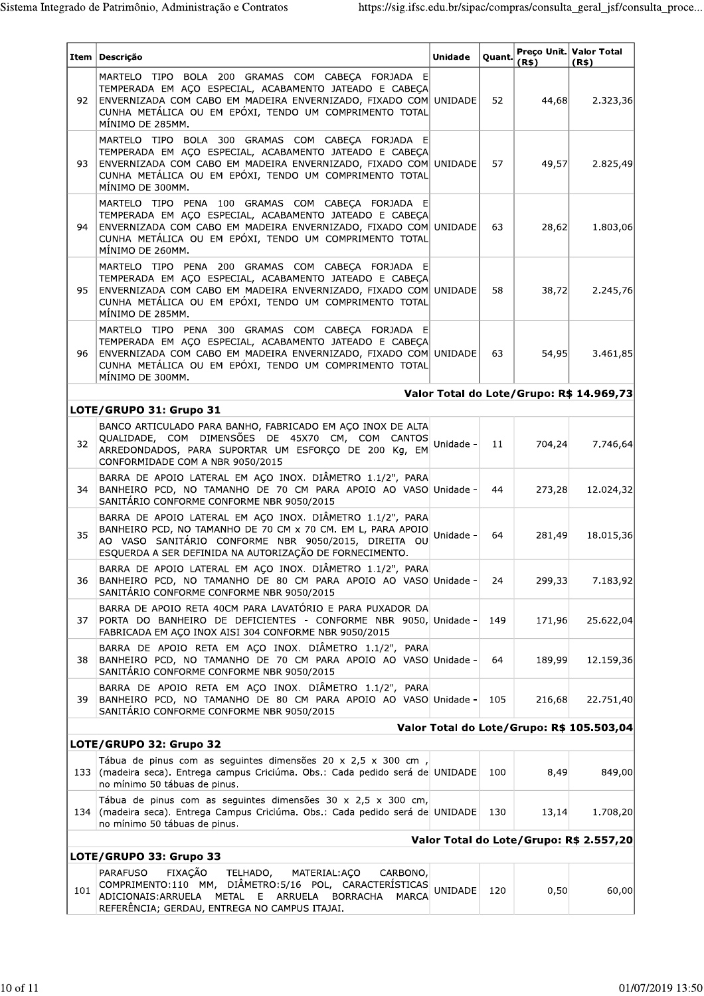|     | Item   Descrição                                                                                                                                                                                                                                             | <b>Unidade</b> | Quant. | (R\$)  | Preço Unit. Valor Total<br>(R\$)         |  |  |
|-----|--------------------------------------------------------------------------------------------------------------------------------------------------------------------------------------------------------------------------------------------------------------|----------------|--------|--------|------------------------------------------|--|--|
| 92  | MARTELO TIPO BOLA 200 GRAMAS COM CABECA FORJADA E<br>TEMPERADA EM AÇO ESPECIAL, ACABAMENTO JATEADO E CABEÇA<br>ENVERNIZADA COM CABO EM MADEIRA ENVERNIZADO, FIXADO COM UNIDADE<br>CUNHA METÁLICA OU EM EPÓXI, TENDO UM COMPRIMENTO TOTAL<br>MÍNIMO DE 285MM. |                | 52     | 44,68  | 2.323,36                                 |  |  |
| 93  | MARTELO TIPO BOLA 300 GRAMAS COM CABEÇA FORJADA E<br>TEMPERADA EM AÇO ESPECIAL, ACABAMENTO JATEADO E CABEÇA<br>ENVERNIZADA COM CABO EM MADEIRA ENVERNIZADO, FIXADO COM UNIDADE<br>CUNHA METÁLICA OU EM EPÓXI, TENDO UM COMPRIMENTO TOTAL<br>MÍNIMO DE 300MM. |                | 57     | 49,57  | 2.825,49                                 |  |  |
| 94  | MARTELO TIPO PENA 100 GRAMAS COM CABEÇA FORJADA E<br>TEMPERADA EM AÇO ESPECIAL, ACABAMENTO JATEADO E CABEÇA<br>ENVERNIZADA COM CABO EM MADEIRA ENVERNIZADO, FIXADO COM UNIDADE<br>CUNHA METÁLICA OU EM EPÓXI, TENDO UM COMPRIMENTO TOTAL<br>MÍNIMO DE 260MM. |                | 63     | 28,62  | 1.803,06                                 |  |  |
| 95  | MARTELO TIPO PENA 200 GRAMAS COM CABECA FORJADA E<br>TEMPERADA EM AÇO ESPECIAL, ACABAMENTO JATEADO E CABEÇA<br>ENVERNIZADA COM CABO EM MADEIRA ENVERNIZADO, FIXADO COM UNIDADE<br>CUNHA METÁLICA OU EM EPÓXI, TENDO UM COMPRIMENTO TOTAL<br>MÍNIMO DE 285MM. |                | 58     | 38,72  | 2.245,76                                 |  |  |
| 96  | MARTELO TIPO PENA 300 GRAMAS COM CABECA FORJADA E<br>TEMPERADA EM AÇO ESPECIAL, ACABAMENTO JATEADO E CABEÇA<br>ENVERNIZADA COM CABO EM MADEIRA ENVERNIZADO, FIXADO COM UNIDADE<br>CUNHA METÁLICA OU EM EPÓXI, TENDO UM COMPRIMENTO TOTAL<br>MÍNIMO DE 300MM. |                | 63     | 54,95  | 3.461,85                                 |  |  |
|     |                                                                                                                                                                                                                                                              |                |        |        | Valor Total do Lote/Grupo: R\$ 14.969,73 |  |  |
|     | LOTE/GRUPO 31: Grupo 31                                                                                                                                                                                                                                      |                |        |        |                                          |  |  |
| 32  | BANCO ARTICULADO PARA BANHO, FABRICADO EM AÇO INOX DE ALTA<br>QUALIDADE, COM DIMENSÕES DE 45X70 CM, COM CANTOS<br>ARREDONDADOS, PARA SUPORTAR UM ESFORÇO DE 200 Kg, EM<br>CONFORMIDADE COM A NBR 9050/2015                                                   | Unidade -      | 11     | 704,24 | 7.746,64                                 |  |  |
| 34  | BARRA DE APOIO LATERAL EM AÇO INOX. DIÂMETRO 1.1/2", PARA<br>BANHEIRO PCD, NO TAMANHO DE 70 CM PARA APOIO AO VASO Unidade -<br>SANITÁRIO CONFORME CONFORME NBR 9050/2015                                                                                     |                | 44     | 273,28 | 12.024,32                                |  |  |
| 35  | BARRA DE APOIO LATERAL EM AÇO INOX. DIÂMETRO 1.1/2", PARA<br>BANHEIRO PCD, NO TAMANHO DE 70 CM x 70 CM. EM L, PARA APOIO<br>AO VASO SANITÁRIO CONFORME NBR 9050/2015, DIREITA OU<br>ESQUERDA A SER DEFINIDA NA AUTORIZAÇÃO DE FORNECIMENTO.                  | Unidade -      | 64     | 281,49 | 18.015,36                                |  |  |
| 36  | BARRA DE APOIO LATERAL EM AÇO INOX. DIÂMETRO 1.1/2", PARA<br>BANHEIRO PCD, NO TAMANHO DE 80 CM PARA APOIO AO VASO Unidade -<br>SANITÁRIO CONFORME CONFORME NBR 9050/2015                                                                                     |                | 24     | 299,33 | 7.183,92                                 |  |  |
| 37  | BARRA DE APOIO RETA 40CM PARA LAVATÓRIO E PARA PUXADOR DA<br>PORTA DO BANHEIRO DE DEFICIENTES - CONFORME NBR 9050, Unidade -<br>FABRICADA EM AÇO INOX AISI 304 CONFORME NBR 9050/2015                                                                        |                | 149    | 171,96 | 25.622,04                                |  |  |
| 38  | BARRA DE APOIO RETA EM AÇO INOX. DIÂMETRO 1.1/2", PARA<br>BANHEIRO PCD, NO TAMANHO DE 70 CM PARA APOIO AO VASO Unidade -<br>SANITÁRIO CONFORME CONFORME NBR 9050/2015                                                                                        |                | 64     | 189,99 | 12.159,36                                |  |  |
| 39  | BARRA DE APOIO RETA EM AÇO INOX. DIÂMETRO 1.1/2", PARA<br>BANHEIRO PCD, NO TAMANHO DE 80 CM PARA APOIO AO VASO Unidade -<br>SANITÁRIO CONFORME CONFORME NBR 9050/2015                                                                                        |                | 105    | 216,68 | 22.751,40                                |  |  |
|     | Valor Total do Lote/Grupo: R\$ 105.503,04                                                                                                                                                                                                                    |                |        |        |                                          |  |  |
|     | LOTE/GRUPO 32: Grupo 32<br>Tábua de pinus com as seguintes dimensões 20 x 2,5 x 300 cm,                                                                                                                                                                      |                |        |        |                                          |  |  |
|     | 133 (madeira seca). Entrega campus Criciúma. Obs.: Cada pedido será de UNIDADE<br>no mínimo 50 tábuas de pinus.                                                                                                                                              |                | 100    | 8,49   | 849,00                                   |  |  |
| 134 | Tábua de pinus com as seguintes dimensões 30 x 2,5 x 300 cm,<br>(madeira seca). Entrega Campus Criciúma. Obs.: Cada pedido será de UNIDADE<br>no mínimo 50 tábuas de pinus.                                                                                  |                | 130    | 13,14  | 1.708,20                                 |  |  |
|     | Valor Total do Lote/Grupo: R\$ 2.557,20                                                                                                                                                                                                                      |                |        |        |                                          |  |  |
|     | LOTE/GRUPO 33: Grupo 33                                                                                                                                                                                                                                      |                |        |        |                                          |  |  |
| 101 | FIXAÇÃO<br><b>PARAFUSO</b><br>MATERIAL: ACO<br>TELHADO,<br>CARBONO,<br>COMPRIMENTO:110 MM, DIÂMETRO:5/16 POL, CARACTERÍSTICAS<br>METAL E ARRUELA<br>ADICIONAIS: ARRUELA<br><b>BORRACHA</b><br>MARCA<br>REFERÊNCIA; GERDAU, ENTREGA NO CAMPUS ITAJAI.         | <b>UNIDADE</b> | 120    | 0,50   | 60,00                                    |  |  |